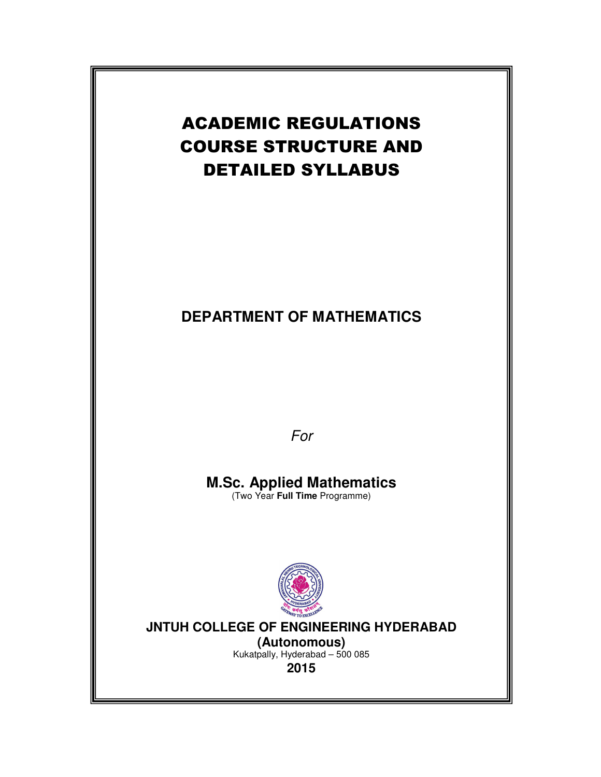# ACADEMIC REGULATIONS COURSE STRUCTURE AND DETAILED SYLLABUS

## **DEPARTMENT OF MATHEMATICS**

For

# **M.Sc. Applied Mathematics**

(Two Year **Full Time** Programme)



## **JNTUH COLLEGE OF ENGINEERING HYDERABAD**

**(Autonomous)** Kukatpally, Hyderabad – 500 085 **2015**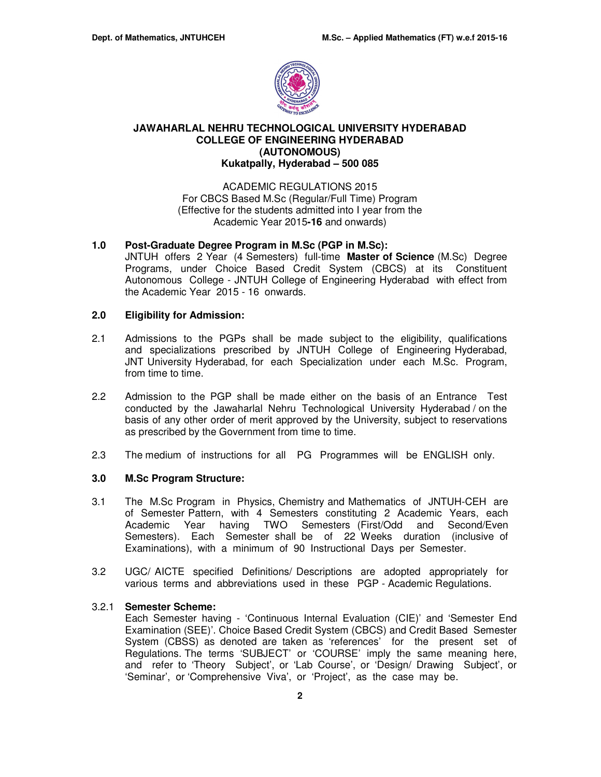

## **JAWAHARLAL NEHRU TECHNOLOGICAL UNIVERSITY HYDERABAD COLLEGE OF ENGINEERING HYDERABAD (AUTONOMOUS) Kukatpally, Hyderabad – 500 085**

#### ACADEMIC REGULATIONS 2015 For CBCS Based M.Sc (Regular/Full Time) Program (Effective for the students admitted into I year from the Academic Year 2015**-16** and onwards)

#### **1.0 Post-Graduate Degree Program in M.Sc (PGP in M.Sc):**

JNTUH offers 2 Year (4 Semesters) full-time **Master of Science** (M.Sc) Degree Programs, under Choice Based Credit System (CBCS) at its Constituent Autonomous College - JNTUH College of Engineering Hyderabad with effect from the Academic Year 2015 - 16 onwards.

## **2.0 Eligibility for Admission:**

- 2.1 Admissions to the PGPs shall be made subject to the eligibility, qualifications and specializations prescribed by JNTUH College of Engineering Hyderabad, JNT University Hyderabad, for each Specialization under each M.Sc. Program, from time to time.
- 2.2 Admission to the PGP shall be made either on the basis of an Entrance Test conducted by the Jawaharlal Nehru Technological University Hyderabad / on the basis of any other order of merit approved by the University, subject to reservations as prescribed by the Government from time to time.
- 2.3 The medium of instructions for all PG Programmes will be ENGLISH only.

## **3.0 M.Sc Program Structure:**

- 3.1 The M.Sc Program in Physics, Chemistry and Mathematics of JNTUH-CEH are of Semester Pattern, with 4 Semesters constituting 2 Academic Years, each Academic Year having TWO Semesters (First/Odd and Second/Even Semesters). Each Semester shall be of 22 Weeks duration (inclusive of Examinations), with a minimum of 90 Instructional Days per Semester.
- 3.2 UGC/ AICTE specified Definitions/ Descriptions are adopted appropriately for various terms and abbreviations used in these PGP - Academic Regulations.

#### 3.2.1 **Semester Scheme:**

Each Semester having - 'Continuous Internal Evaluation (CIE)' and 'Semester End Examination (SEE)'. Choice Based Credit System (CBCS) and Credit Based Semester System (CBSS) as denoted are taken as 'references' for the present set of Regulations. The terms 'SUBJECT' or 'COURSE' imply the same meaning here, and refer to 'Theory Subject', or 'Lab Course', or 'Design/ Drawing Subject', or 'Seminar', or 'Comprehensive Viva', or 'Project', as the case may be.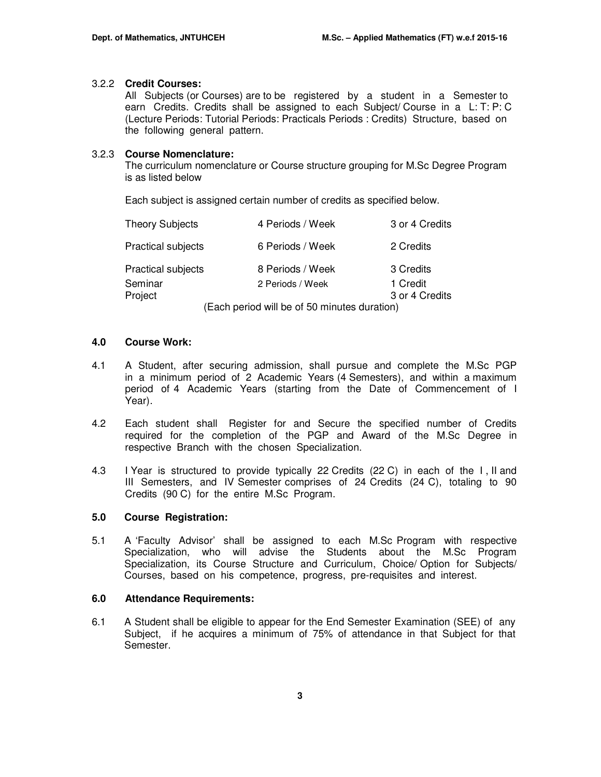#### 3.2.2 **Credit Courses:**

All Subjects (or Courses) are to be registered by a student in a Semester to earn Credits. Credits shall be assigned to each Subject/ Course in a L: T: P: C (Lecture Periods: Tutorial Periods: Practicals Periods : Credits) Structure, based on the following general pattern.

#### 3.2.3 **Course Nomenclature:**

The curriculum nomenclature or Course structure grouping for M.Sc Degree Program is as listed below

Each subject is assigned certain number of credits as specified below.

| <b>Theory Subjects</b>    | 4 Periods / Week                                                                             | 3 or 4 Credits |
|---------------------------|----------------------------------------------------------------------------------------------|----------------|
| <b>Practical subjects</b> | 6 Periods / Week                                                                             | 2 Credits      |
| <b>Practical subjects</b> | 8 Periods / Week                                                                             | 3 Credits      |
| Seminar                   | 2 Periods / Week                                                                             | 1 Credit       |
| Project                   | .<br>$\mathbf{r}$ = $\mathbf{r}$ , $\mathbf{r}$ , $\mathbf{r}$ , $\mathbf{r}$ , $\mathbf{r}$ | 3 or 4 Credits |

(Each period will be of 50 minutes duration)

#### **4.0 Course Work:**

- 4.1 A Student, after securing admission, shall pursue and complete the M.Sc PGP in a minimum period of 2 Academic Years (4 Semesters), and within a maximum period of 4 Academic Years (starting from the Date of Commencement of I Year).
- 4.2 Each student shall Register for and Secure the specified number of Credits required for the completion of the PGP and Award of the M.Sc Degree in respective Branch with the chosen Specialization.
- 4.3 I Year is structured to provide typically 22 Credits (22 C) in each of the I , II and III Semesters, and IV Semester comprises of 24 Credits (24 C), totaling to 90 Credits (90 C) for the entire M.Sc Program.

## **5.0 Course Registration:**

5.1 A 'Faculty Advisor' shall be assigned to each M.Sc Program with respective Specialization, who will advise the Students about the M.Sc Program Specialization, its Course Structure and Curriculum, Choice/ Option for Subjects/ Courses, based on his competence, progress, pre-requisites and interest.

## **6.0 Attendance Requirements:**

6.1 A Student shall be eligible to appear for the End Semester Examination (SEE) of any Subject, if he acquires a minimum of 75% of attendance in that Subject for that Semester.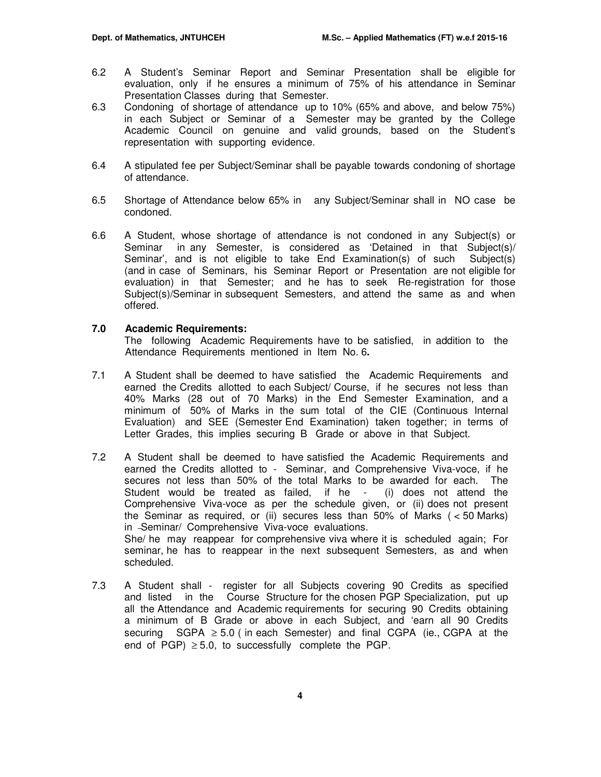- 6.2 A Student's Seminar Report and Seminar Presentation shall be eligible for evaluation, only if he ensures a minimum of 75% of his attendance in Seminar Presentation Classes during that Semester.
- 6.3 Condoning of shortage of attendance up to 10% (65% and above, and below 75%) in each Subject or Seminar of a Semester may be granted by the College Academic Council on genuine and valid grounds, based on the Student's representation with supporting evidence.
- 6.4 A stipulated fee per Subject/Seminar shall be payable towards condoning of shortage of attendance.
- 6.5 Shortage of Attendance below 65% in any Subject/Seminar shall in NO case be condoned.
- 6.6 A Student, whose shortage of attendance is not condoned in any Subject(s) or Seminar in any Semester, is considered as 'Detained in that Subject(s)/ Seminar', and is not eligible to take End Examination(s) of such Subject(s) (and in case of Seminars, his Seminar Report or Presentation are not eligible for evaluation) in that Semester; and he has to seek Re-registration for those Subject(s)/Seminar in subsequent Semesters, and attend the same as and when offered.

#### **7.0 Academic Requirements:**

The following Academic Requirements have to be satisfied, in addition to the Attendance Requirements mentioned in Item No. 6**.** 

- 7.1 A Student shall be deemed to have satisfied the Academic Requirements and earned the Credits allotted to each Subject/ Course, if he secures not less than 40% Marks (28 out of 70 Marks) in the End Semester Examination, and a minimum of 50% of Marks in the sum total of the CIE (Continuous Internal Evaluation) and SEE (Semester End Examination) taken together; in terms of Letter Grades, this implies securing B Grade or above in that Subject.
- 7.2A Student shall be deemed to have satisfied the Academic Requirements and earned the Credits allotted to - Seminar, and Comprehensive Viva-voce, if he secures not less than 50% of the total Marks to be awarded for each. The Student would be treated as failed, if he - (i) does not attend the Comprehensive Viva-voce as per the schedule given, or (ii) does not present the Seminar as required, or (ii) secures less than 50% of Marks ( < 50 Marks) in Seminar/ Comprehensive Viva-voce evaluations. She/ he may reappear for comprehensive viva where it is scheduled again; For seminar, he has to reappear in the next subsequent Semesters, as and when scheduled.
- 7.3 A Student shall register for all Subjects covering 90 Credits as specified and listed in the Course Structure for the chosen PGP Specialization, put up all the Attendance and Academic requirements for securing 90 Credits obtaining a minimum of B Grade or above in each Subject, and 'earn all 90 Credits securing  $SGPA \geq 5.0$  (in each Semester) and final CGPA (ie., CGPA at the end of PGP)  $\geq$  5.0, to successfully complete the PGP.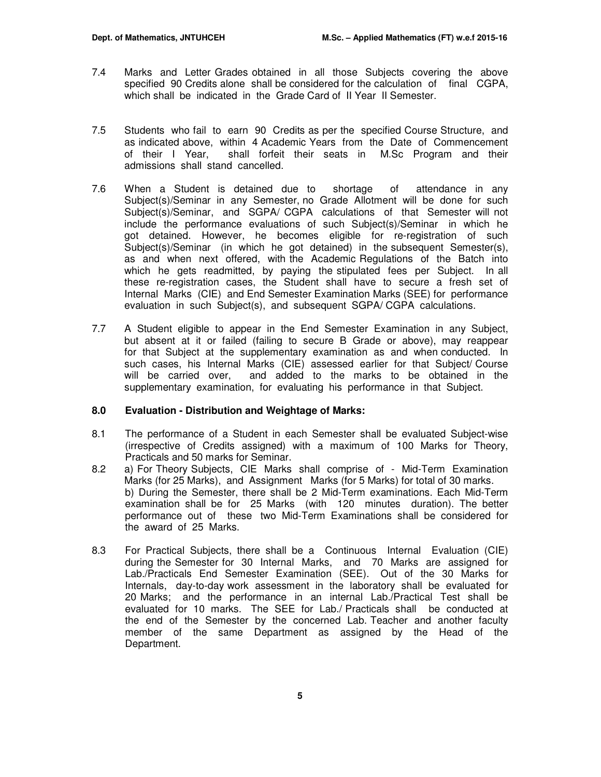- 7.4 Marks and Letter Grades obtained in all those Subjects covering the above specified 90 Credits alone shall be considered for the calculation of final CGPA, which shall be indicated in the Grade Card of II Year II Semester.
- 7.5 Students who fail to earn 90 Credits as per the specified Course Structure, and as indicated above, within 4 Academic Years from the Date of Commencement of their I Year, shall forfeit their seats in M.Sc Program and their admissions shall stand cancelled.
- 7.6 When a Student is detained due to shortage of attendance in any Subject(s)/Seminar in any Semester, no Grade Allotment will be done for such Subject(s)/Seminar, and SGPA/ CGPA calculations of that Semester will not include the performance evaluations of such Subject(s)/Seminar in which he got detained. However, he becomes eligible for re-registration of such Subject(s)/Seminar (in which he got detained) in the subsequent Semester(s), as and when next offered, with the Academic Regulations of the Batch into which he gets readmitted, by paying the stipulated fees per Subject. In all these re-registration cases, the Student shall have to secure a fresh set of Internal Marks (CIE) and End Semester Examination Marks (SEE) for performance evaluation in such Subject(s), and subsequent SGPA/ CGPA calculations.
- 7.7 A Student eligible to appear in the End Semester Examination in any Subject, but absent at it or failed (failing to secure B Grade or above), may reappear for that Subject at the supplementary examination as and when conducted. In such cases, his Internal Marks (CIE) assessed earlier for that Subject/ Course will be carried over, and added to the marks to be obtained in the supplementary examination, for evaluating his performance in that Subject.

## **8.0 Evaluation - Distribution and Weightage of Marks:**

- 8.1 The performance of a Student in each Semester shall be evaluated Subject-wise (irrespective of Credits assigned) with a maximum of 100 Marks for Theory, Practicals and 50 marks for Seminar.
- 8.2 a) For Theory Subjects, CIE Marks shall comprise of Mid-Term Examination Marks (for 25 Marks), and Assignment Marks (for 5 Marks) for total of 30 marks. b) During the Semester, there shall be 2 Mid-Term examinations. Each Mid-Term examination shall be for 25 Marks (with 120 minutes duration). The better performance out of these two Mid-Term Examinations shall be considered for the award of 25 Marks.
- 8.3 For Practical Subjects, there shall be a Continuous Internal Evaluation (CIE) during the Semester for 30 Internal Marks, and 70 Marks are assigned for Lab./Practicals End Semester Examination (SEE). Out of the 30 Marks for Internals, day-to-day work assessment in the laboratory shall be evaluated for 20 Marks; and the performance in an internal Lab./Practical Test shall be evaluated for 10 marks. The SEE for Lab./ Practicals shall be conducted at the end of the Semester by the concerned Lab. Teacher and another faculty member of the same Department as assigned by the Head of the Department.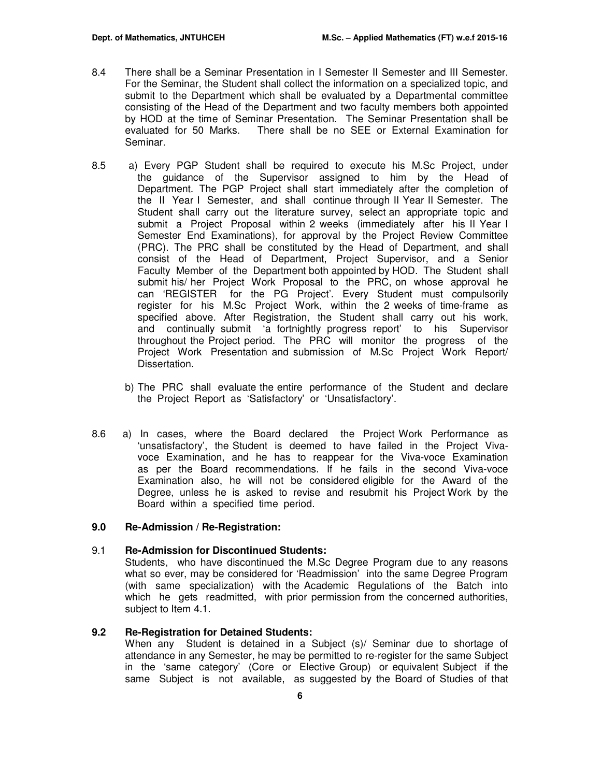- 8.4 There shall be a Seminar Presentation in I Semester II Semester and III Semester. For the Seminar, the Student shall collect the information on a specialized topic, and submit to the Department which shall be evaluated by a Departmental committee consisting of the Head of the Department and two faculty members both appointed by HOD at the time of Seminar Presentation. The Seminar Presentation shall be evaluated for 50 Marks. There shall be no SEE or External Examination for Seminar.
- 8.5 a) Every PGP Student shall be required to execute his M.Sc Project, under the guidance of the Supervisor assigned to him by the Head of Department. The PGP Project shall start immediately after the completion of the II Year I Semester, and shall continue through II Year II Semester. The Student shall carry out the literature survey, select an appropriate topic and submit a Project Proposal within 2 weeks (immediately after his II Year I Semester End Examinations), for approval by the Project Review Committee (PRC). The PRC shall be constituted by the Head of Department, and shall consist of the Head of Department, Project Supervisor, and a Senior Faculty Member of the Department both appointed by HOD. The Student shall submit his/ her Project Work Proposal to the PRC, on whose approval he can 'REGISTER for the PG Project'. Every Student must compulsorily register for his M.Sc Project Work, within the 2 weeks of time-frame as specified above. After Registration, the Student shall carry out his work, and continually submit 'a fortnightly progress report' to his Supervisor throughout the Project period. The PRC will monitor the progress of the Project Work Presentation and submission of M.Sc Project Work Report/ Dissertation.
	- b) The PRC shall evaluate the entire performance of the Student and declare the Project Report as 'Satisfactory' or 'Unsatisfactory'.
- 8.6 a) In cases, where the Board declared the Project Work Performance as 'unsatisfactory', the Student is deemed to have failed in the Project Vivavoce Examination, and he has to reappear for the Viva-voce Examination as per the Board recommendations. If he fails in the second Viva-voce Examination also, he will not be considered eligible for the Award of the Degree, unless he is asked to revise and resubmit his Project Work by the Board within a specified time period.

#### **9.0 Re-Admission / Re-Registration:**

#### 9.1 **Re-Admission for Discontinued Students:**

Students, who have discontinued the M.Sc Degree Program due to any reasons what so ever, may be considered for 'Readmission' into the same Degree Program (with same specialization) with the Academic Regulations of the Batch into which he gets readmitted, with prior permission from the concerned authorities, subject to Item 4.1.

#### **9.2 Re-Registration for Detained Students:**

When any Student is detained in a Subject (s)/ Seminar due to shortage of attendance in any Semester, he may be permitted to re-register for the same Subject in the 'same category' (Core or Elective Group) or equivalent Subject if the same Subject is not available, as suggested by the Board of Studies of that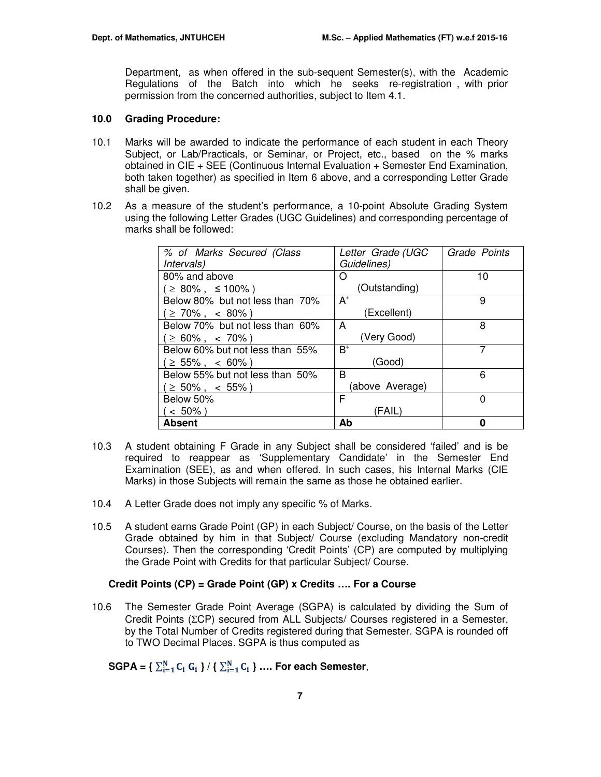Department, as when offered in the sub-sequent Semester(s), with the Academic Regulations of the Batch into which he seeks re-registration , with prior permission from the concerned authorities, subject to Item 4.1.

#### **10.0 Grading Procedure:**

- 10.1 Marks will be awarded to indicate the performance of each student in each Theory Subject, or Lab/Practicals, or Seminar, or Project, etc., based on the % marks obtained in CIE + SEE (Continuous Internal Evaluation + Semester End Examination, both taken together) as specified in Item 6 above, and a corresponding Letter Grade shall be given.
- 10.2 As a measure of the student's performance, a 10-point Absolute Grading System using the following Letter Grades (UGC Guidelines) and corresponding percentage of marks shall be followed:

| % of Marks Secured (Class       | Letter Grade (UGC | Grade Points |
|---------------------------------|-------------------|--------------|
| <i>Intervals</i> )              | Guidelines)       |              |
| 80% and above                   | ( )               | 10           |
| $\geq$ 80%, $\leq$ 100%)        | (Outstanding)     |              |
| Below 80% but not less than 70% | $A^+$             | 9            |
| $\geq 70\%$ , < 80%)            | (Excellent)       |              |
| Below 70% but not less than 60% | A                 | 8            |
| $\geq 60\%$ , < 70%)            | (Very Good)       |              |
| Below 60% but not less than 55% | $B^+$             | 7            |
| $\geq 55\%$ , < 60%)            | (Good)            |              |
| Below 55% but not less than 50% | B                 | 6            |
| $\geq 50\%$ , < 55%)            | (above Average)   |              |
| Below 50%                       | F                 | 0            |
| $< 50\%$ )                      | (FAIL)            |              |
| Absent                          | Ab                | Ω            |

- 10.3 A student obtaining F Grade in any Subject shall be considered 'failed' and is be required to reappear as 'Supplementary Candidate' in the Semester End Examination (SEE), as and when offered. In such cases, his Internal Marks (CIE Marks) in those Subjects will remain the same as those he obtained earlier.
- 10.4 A Letter Grade does not imply any specific % of Marks.
- 10.5 A student earns Grade Point (GP) in each Subject/ Course, on the basis of the Letter Grade obtained by him in that Subject/ Course (excluding Mandatory non-credit Courses). Then the corresponding 'Credit Points' (CP) are computed by multiplying the Grade Point with Credits for that particular Subject/ Course.

#### **Credit Points (CP) = Grade Point (GP) x Credits …. For a Course**

10.6 The Semester Grade Point Average (SGPA) is calculated by dividing the Sum of Credit Points (ΣCP) secured from ALL Subjects/ Courses registered in a Semester, by the Total Number of Credits registered during that Semester. SGPA is rounded off to TWO Decimal Places. SGPA is thus computed as

 $\text{SGPA} = \left\{ \sum_{i=1}^{N} C_i \ G_i \right\} / \left\{ \sum_{i=1}^{N} C_i \right\} \dots$  For each Semester,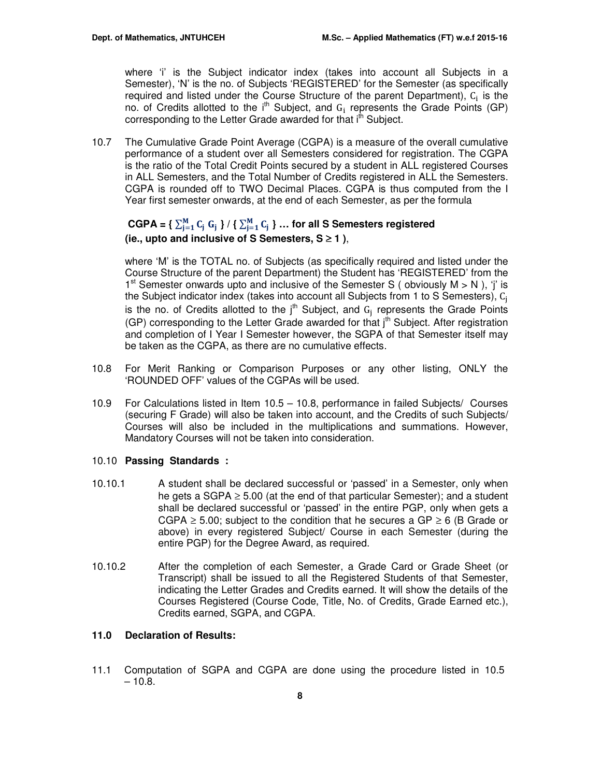where 'i' is the Subject indicator index (takes into account all Subjects in a Semester), 'N' is the no. of Subjects 'REGISTERED' for the Semester (as specifically required and listed under the Course Structure of the parent Department),  $C_i$  is the no. of Credits allotted to the  $i<sup>th</sup>$  Subject, and  $G_i$  represents the Grade Points (GP) corresponding to the Letter Grade awarded for that i<sup>th</sup> Subject.

10.7 The Cumulative Grade Point Average (CGPA) is a measure of the overall cumulative performance of a student over all Semesters considered for registration. The CGPA is the ratio of the Total Credit Points secured by a student in ALL registered Courses in ALL Semesters, and the Total Number of Credits registered in ALL the Semesters. CGPA is rounded off to TWO Decimal Places. CGPA is thus computed from the I Year first semester onwards, at the end of each Semester, as per the formula

## $CGPA = \left\{ \sum_{j=1}^{M} C_j G_j \right\} / \left\{ \sum_{j=1}^{M} C_j \right\} \dots$  for all S Semesters registered **(ie., upto and inclusive of S Semesters, S** ≥ **1 )**,

where 'M' is the TOTAL no. of Subjects (as specifically required and listed under the Course Structure of the parent Department) the Student has 'REGISTERED' from the 1<sup>st</sup> Semester onwards upto and inclusive of the Semester S (obviously  $M > N$ ), 'j' is the Subject indicator index (takes into account all Subjects from 1 to S Semesters), C<sub>i</sub> is the no. of Credits allotted to the  $j<sup>th</sup>$  Subject, and  $G_j$  represents the Grade Points (GP) corresponding to the Letter Grade awarded for that  $i<sup>th</sup>$  Subject. After registration and completion of I Year I Semester however, the SGPA of that Semester itself may be taken as the CGPA, as there are no cumulative effects.

- 10.8 For Merit Ranking or Comparison Purposes or any other listing, ONLY the 'ROUNDED OFF' values of the CGPAs will be used.
- 10.9 For Calculations listed in Item 10.5 10.8, performance in failed Subjects/ Courses (securing F Grade) will also be taken into account, and the Credits of such Subjects/ Courses will also be included in the multiplications and summations. However, Mandatory Courses will not be taken into consideration.

#### 10.10 **Passing Standards :**

- 10.10.1 A student shall be declared successful or 'passed' in a Semester, only when he gets a SGPA  $\geq$  5.00 (at the end of that particular Semester); and a student shall be declared successful or 'passed' in the entire PGP, only when gets a CGPA  $\geq$  5.00; subject to the condition that he secures a GP  $\geq$  6 (B Grade or above) in every registered Subject/ Course in each Semester (during the entire PGP) for the Degree Award, as required.
- 10.10.2 After the completion of each Semester, a Grade Card or Grade Sheet (or Transcript) shall be issued to all the Registered Students of that Semester, indicating the Letter Grades and Credits earned. It will show the details of the Courses Registered (Course Code, Title, No. of Credits, Grade Earned etc.), Credits earned, SGPA, and CGPA.

## **11.0 Declaration of Results:**

11.1 Computation of SGPA and CGPA are done using the procedure listed in 10.5  $-10.8.$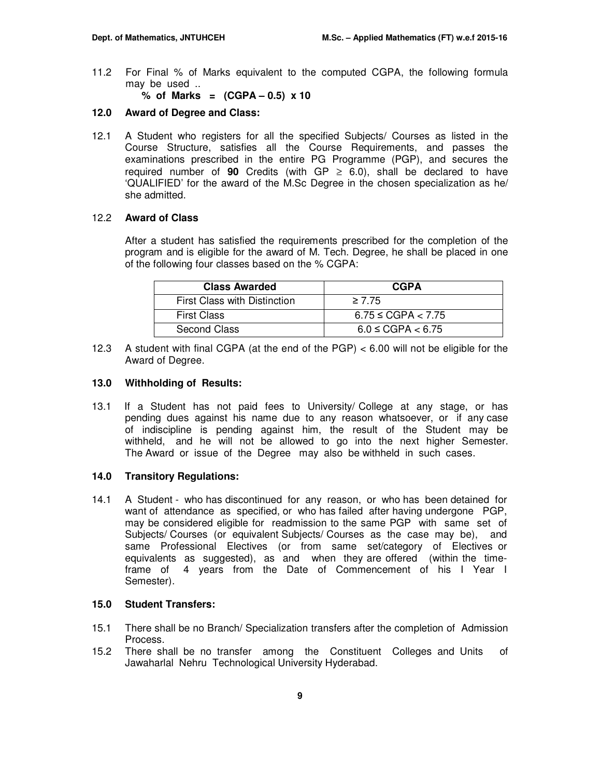11.2 For Final % of Marks equivalent to the computed CGPA, the following formula may be used ..

**% of Marks = (CGPA – 0.5) x 10** 

## **12.0 Award of Degree and Class:**

12.1 A Student who registers for all the specified Subjects/ Courses as listed in the Course Structure, satisfies all the Course Requirements, and passes the examinations prescribed in the entire PG Programme (PGP), and secures the required number of **90** Credits (with  $GP \ge 6.0$ ), shall be declared to have 'QUALIFIED' for the award of the M.Sc Degree in the chosen specialization as he/ she admitted.

#### 12.2 **Award of Class**

After a student has satisfied the requirements prescribed for the completion of the program and is eligible for the award of M. Tech. Degree, he shall be placed in one of the following four classes based on the % CGPA:

| <b>Class Awarded</b>         | <b>CGPA</b>             |
|------------------------------|-------------------------|
| First Class with Distinction | $\geq 7.75$             |
| <b>First Class</b>           | $6.75 \leq CGPA < 7.75$ |
| Second Class                 | $6.0 \leq CGPA < 6.75$  |

12.3 A student with final CGPA (at the end of the PGP) < 6.00 will not be eligible for the Award of Degree.

#### **13.0 Withholding of Results:**

13.1 If a Student has not paid fees to University/ College at any stage, or has pending dues against his name due to any reason whatsoever, or if any case of indiscipline is pending against him, the result of the Student may be withheld, and he will not be allowed to go into the next higher Semester. The Award or issue of the Degree may also be withheld in such cases.

#### **14.0 Transitory Regulations:**

14.1 A Student - who has discontinued for any reason, or who has been detained for want of attendance as specified, or who has failed after having undergone PGP, may be considered eligible for readmission to the same PGP with same set of Subjects/ Courses (or equivalent Subjects/ Courses as the case may be), and same Professional Electives (or from same set/category of Electives or equivalents as suggested), as and when they are offered (within the timeframe of 4 years from the Date of Commencement of his I Year I Semester).

## **15.0 Student Transfers:**

- 15.1 There shall be no Branch/ Specialization transfers after the completion of Admission Process.
- 15.2 There shall be no transfer among the Constituent Colleges and Units of Jawaharlal Nehru Technological University Hyderabad.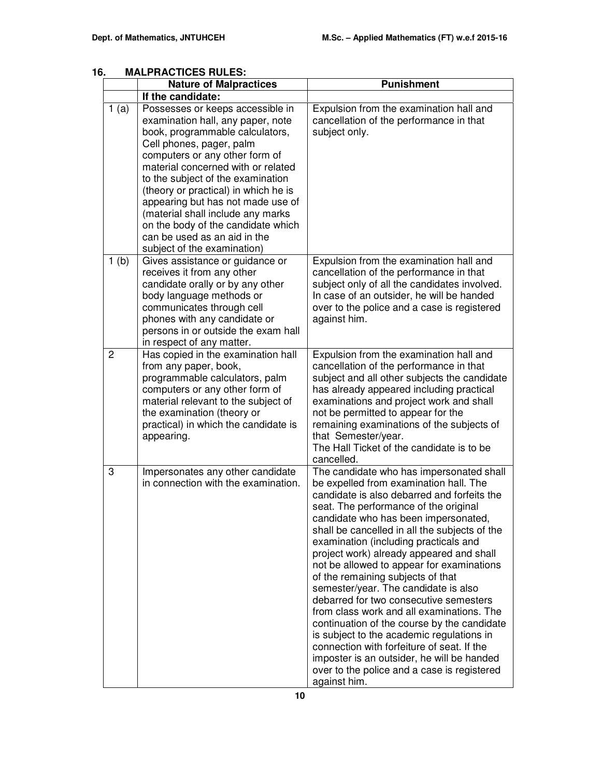| ο.             | MALPRAU IIUES RULES:                                                                                                                                                                                                                                                                                                                                                                                                                                                                          | <b>Punishment</b>                                                                                                                                                                                                                                                                                                                                                                                                                                                                                                                                                                                                                                                                                                                                                                                                                |  |  |  |
|----------------|-----------------------------------------------------------------------------------------------------------------------------------------------------------------------------------------------------------------------------------------------------------------------------------------------------------------------------------------------------------------------------------------------------------------------------------------------------------------------------------------------|----------------------------------------------------------------------------------------------------------------------------------------------------------------------------------------------------------------------------------------------------------------------------------------------------------------------------------------------------------------------------------------------------------------------------------------------------------------------------------------------------------------------------------------------------------------------------------------------------------------------------------------------------------------------------------------------------------------------------------------------------------------------------------------------------------------------------------|--|--|--|
|                | <b>Nature of Malpractices</b>                                                                                                                                                                                                                                                                                                                                                                                                                                                                 |                                                                                                                                                                                                                                                                                                                                                                                                                                                                                                                                                                                                                                                                                                                                                                                                                                  |  |  |  |
| 1(a)           | If the candidate:<br>Possesses or keeps accessible in<br>examination hall, any paper, note<br>book, programmable calculators,<br>Cell phones, pager, palm<br>computers or any other form of<br>material concerned with or related<br>to the subject of the examination<br>(theory or practical) in which he is<br>appearing but has not made use of<br>(material shall include any marks<br>on the body of the candidate which<br>can be used as an aid in the<br>subject of the examination) | Expulsion from the examination hall and<br>cancellation of the performance in that<br>subject only.                                                                                                                                                                                                                                                                                                                                                                                                                                                                                                                                                                                                                                                                                                                              |  |  |  |
| 1(b)           | Gives assistance or guidance or<br>receives it from any other<br>candidate orally or by any other<br>body language methods or<br>communicates through cell<br>phones with any candidate or<br>persons in or outside the exam hall<br>in respect of any matter.                                                                                                                                                                                                                                | Expulsion from the examination hall and<br>cancellation of the performance in that<br>subject only of all the candidates involved.<br>In case of an outsider, he will be handed<br>over to the police and a case is registered<br>against him.                                                                                                                                                                                                                                                                                                                                                                                                                                                                                                                                                                                   |  |  |  |
| $\overline{2}$ | Has copied in the examination hall<br>from any paper, book,<br>programmable calculators, palm<br>computers or any other form of<br>material relevant to the subject of<br>the examination (theory or<br>practical) in which the candidate is<br>appearing.                                                                                                                                                                                                                                    | Expulsion from the examination hall and<br>cancellation of the performance in that<br>subject and all other subjects the candidate<br>has already appeared including practical<br>examinations and project work and shall<br>not be permitted to appear for the<br>remaining examinations of the subjects of<br>that Semester/year.<br>The Hall Ticket of the candidate is to be<br>cancelled.                                                                                                                                                                                                                                                                                                                                                                                                                                   |  |  |  |
| 3              | Impersonates any other candidate<br>in connection with the examination.                                                                                                                                                                                                                                                                                                                                                                                                                       | The candidate who has impersonated shall<br>be expelled from examination hall. The<br>candidate is also debarred and forfeits the<br>seat. The performance of the original<br>candidate who has been impersonated,<br>shall be cancelled in all the subjects of the<br>examination (including practicals and<br>project work) already appeared and shall<br>not be allowed to appear for examinations<br>of the remaining subjects of that<br>semester/year. The candidate is also<br>debarred for two consecutive semesters<br>from class work and all examinations. The<br>continuation of the course by the candidate<br>is subject to the academic regulations in<br>connection with forfeiture of seat. If the<br>imposter is an outsider, he will be handed<br>over to the police and a case is registered<br>against him. |  |  |  |

## **16. MALPRACTICES RULES:**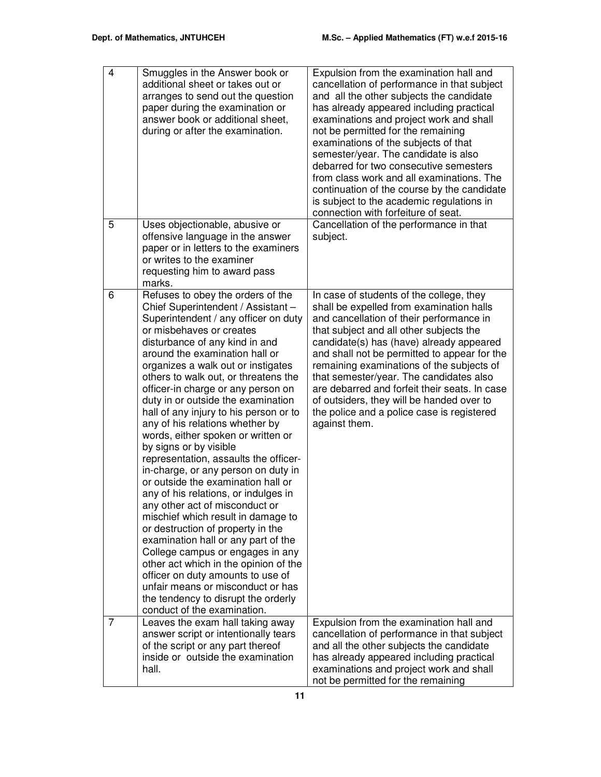| $\overline{4}$ | Smuggles in the Answer book or<br>additional sheet or takes out or<br>arranges to send out the question<br>paper during the examination or<br>answer book or additional sheet,<br>during or after the examination.                                                                                                                                                                                                                                                                                                                                                                                                                                                                                                                                                                                                                                                                                                                                                                                                                                                    | Expulsion from the examination hall and<br>cancellation of performance in that subject<br>and all the other subjects the candidate<br>has already appeared including practical<br>examinations and project work and shall<br>not be permitted for the remaining<br>examinations of the subjects of that<br>semester/year. The candidate is also<br>debarred for two consecutive semesters<br>from class work and all examinations. The<br>continuation of the course by the candidate<br>is subject to the academic regulations in<br>connection with forfeiture of seat. |
|----------------|-----------------------------------------------------------------------------------------------------------------------------------------------------------------------------------------------------------------------------------------------------------------------------------------------------------------------------------------------------------------------------------------------------------------------------------------------------------------------------------------------------------------------------------------------------------------------------------------------------------------------------------------------------------------------------------------------------------------------------------------------------------------------------------------------------------------------------------------------------------------------------------------------------------------------------------------------------------------------------------------------------------------------------------------------------------------------|---------------------------------------------------------------------------------------------------------------------------------------------------------------------------------------------------------------------------------------------------------------------------------------------------------------------------------------------------------------------------------------------------------------------------------------------------------------------------------------------------------------------------------------------------------------------------|
| 5              | Uses objectionable, abusive or<br>offensive language in the answer<br>paper or in letters to the examiners<br>or writes to the examiner<br>requesting him to award pass<br>marks.                                                                                                                                                                                                                                                                                                                                                                                                                                                                                                                                                                                                                                                                                                                                                                                                                                                                                     | Cancellation of the performance in that<br>subject.                                                                                                                                                                                                                                                                                                                                                                                                                                                                                                                       |
| 6              | Refuses to obey the orders of the<br>Chief Superintendent / Assistant -<br>Superintendent / any officer on duty<br>or misbehaves or creates<br>disturbance of any kind in and<br>around the examination hall or<br>organizes a walk out or instigates<br>others to walk out, or threatens the<br>officer-in charge or any person on<br>duty in or outside the examination<br>hall of any injury to his person or to<br>any of his relations whether by<br>words, either spoken or written or<br>by signs or by visible<br>representation, assaults the officer-<br>in-charge, or any person on duty in<br>or outside the examination hall or<br>any of his relations, or indulges in<br>any other act of misconduct or<br>mischief which result in damage to<br>or destruction of property in the<br>examination hall or any part of the<br>College campus or engages in any<br>other act which in the opinion of the<br>officer on duty amounts to use of<br>unfair means or misconduct or has<br>the tendency to disrupt the orderly<br>conduct of the examination. | In case of students of the college, they<br>shall be expelled from examination halls<br>and cancellation of their performance in<br>that subject and all other subjects the<br>candidate(s) has (have) already appeared<br>and shall not be permitted to appear for the<br>remaining examinations of the subjects of<br>that semester/year. The candidates also<br>are debarred and forfeit their seats. In case<br>of outsiders, they will be handed over to<br>the police and a police case is registered<br>against them.                                              |
| $\overline{7}$ | Leaves the exam hall taking away<br>answer script or intentionally tears<br>of the script or any part thereof<br>inside or outside the examination<br>hall.                                                                                                                                                                                                                                                                                                                                                                                                                                                                                                                                                                                                                                                                                                                                                                                                                                                                                                           | Expulsion from the examination hall and<br>cancellation of performance in that subject<br>and all the other subjects the candidate<br>has already appeared including practical<br>examinations and project work and shall<br>not be permitted for the remaining                                                                                                                                                                                                                                                                                                           |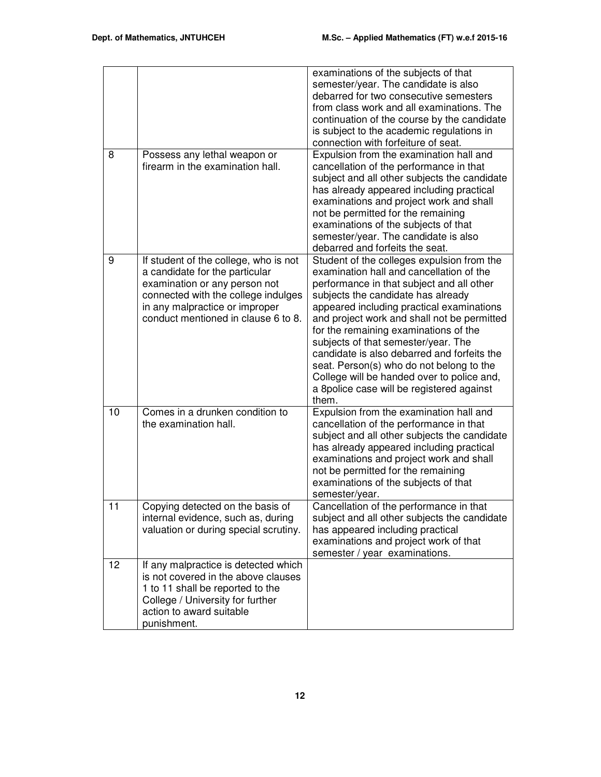|    |                                                                                                                                                                                                                          | examinations of the subjects of that<br>semester/year. The candidate is also<br>debarred for two consecutive semesters<br>from class work and all examinations. The<br>continuation of the course by the candidate<br>is subject to the academic regulations in<br>connection with forfeiture of seat.                                                                                                                                                                                                                                               |
|----|--------------------------------------------------------------------------------------------------------------------------------------------------------------------------------------------------------------------------|------------------------------------------------------------------------------------------------------------------------------------------------------------------------------------------------------------------------------------------------------------------------------------------------------------------------------------------------------------------------------------------------------------------------------------------------------------------------------------------------------------------------------------------------------|
| 8  | Possess any lethal weapon or<br>firearm in the examination hall.                                                                                                                                                         | Expulsion from the examination hall and<br>cancellation of the performance in that<br>subject and all other subjects the candidate<br>has already appeared including practical<br>examinations and project work and shall<br>not be permitted for the remaining<br>examinations of the subjects of that<br>semester/year. The candidate is also<br>debarred and forfeits the seat.                                                                                                                                                                   |
| 9  | If student of the college, who is not<br>a candidate for the particular<br>examination or any person not<br>connected with the college indulges<br>in any malpractice or improper<br>conduct mentioned in clause 6 to 8. | Student of the colleges expulsion from the<br>examination hall and cancellation of the<br>performance in that subject and all other<br>subjects the candidate has already<br>appeared including practical examinations<br>and project work and shall not be permitted<br>for the remaining examinations of the<br>subjects of that semester/year. The<br>candidate is also debarred and forfeits the<br>seat. Person(s) who do not belong to the<br>College will be handed over to police and,<br>a 8police case will be registered against<br>them. |
| 10 | Comes in a drunken condition to<br>the examination hall.                                                                                                                                                                 | Expulsion from the examination hall and<br>cancellation of the performance in that<br>subject and all other subjects the candidate<br>has already appeared including practical<br>examinations and project work and shall<br>not be permitted for the remaining<br>examinations of the subjects of that<br>semester/year.                                                                                                                                                                                                                            |
| 11 | Copying detected on the basis of<br>internal evidence, such as, during<br>valuation or during special scrutiny.                                                                                                          | Cancellation of the performance in that<br>subject and all other subjects the candidate<br>has appeared including practical<br>examinations and project work of that<br>semester / year examinations.                                                                                                                                                                                                                                                                                                                                                |
| 12 | If any malpractice is detected which<br>is not covered in the above clauses<br>1 to 11 shall be reported to the<br>College / University for further<br>action to award suitable<br>punishment.                           |                                                                                                                                                                                                                                                                                                                                                                                                                                                                                                                                                      |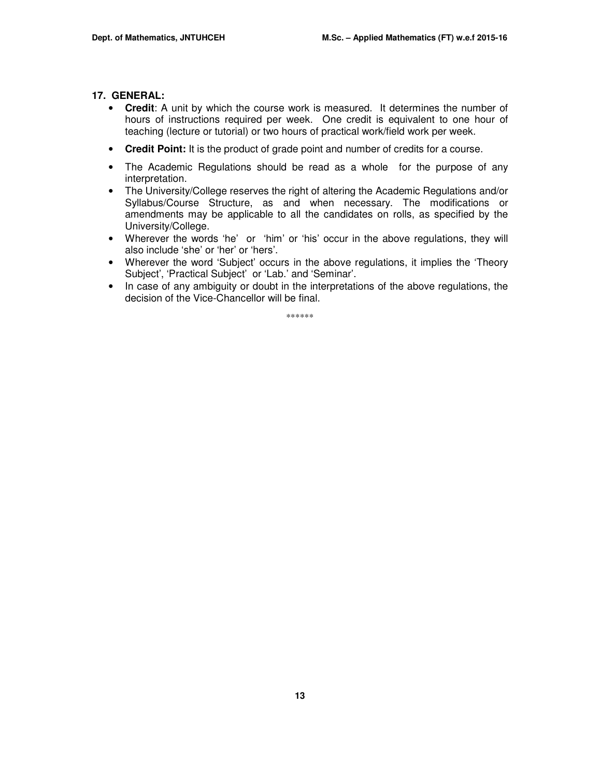#### **17. GENERAL:**

- **Credit**: A unit by which the course work is measured. It determines the number of hours of instructions required per week. One credit is equivalent to one hour of teaching (lecture or tutorial) or two hours of practical work/field work per week.
- **Credit Point:** It is the product of grade point and number of credits for a course.
- The Academic Regulations should be read as a whole for the purpose of any interpretation.
- The University/College reserves the right of altering the Academic Regulations and/or Syllabus/Course Structure, as and when necessary. The modifications or amendments may be applicable to all the candidates on rolls, as specified by the University/College.
- Wherever the words 'he' or 'him' or 'his' occur in the above regulations, they will also include 'she' or 'her' or 'hers'.
- Wherever the word 'Subject' occurs in the above regulations, it implies the 'Theory Subject', 'Practical Subject' or 'Lab.' and 'Seminar'.
- In case of any ambiguity or doubt in the interpretations of the above regulations, the decision of the Vice-Chancellor will be final.

\*\*\*\*\*\*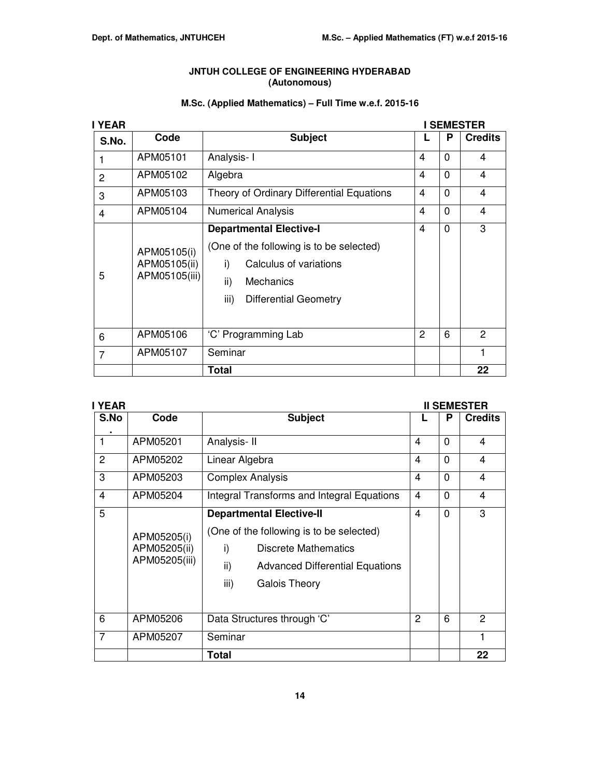## **JNTUH COLLEGE OF ENGINEERING HYDERABAD (Autonomous)**

## **M.Sc. (Applied Mathematics) – Full Time w.e.f. 2015-16**

| I YEAR         |                                              | <b>SEMESTER</b>                                                                                                                                                                           |   |          |                |
|----------------|----------------------------------------------|-------------------------------------------------------------------------------------------------------------------------------------------------------------------------------------------|---|----------|----------------|
| S.No.          | Code                                         | <b>Subject</b>                                                                                                                                                                            |   | P        | <b>Credits</b> |
|                | APM05101                                     | Analysis-1                                                                                                                                                                                | 4 | 0        | 4              |
| $\overline{2}$ | APM05102                                     | Algebra                                                                                                                                                                                   | 4 | 0        | 4              |
| 3              | APM05103                                     | Theory of Ordinary Differential Equations                                                                                                                                                 | 4 | $\Omega$ | 4              |
| $\overline{4}$ | APM05104                                     | <b>Numerical Analysis</b>                                                                                                                                                                 | 4 | 0        | 4              |
| 5              | APM05105(i)<br>APM05105(ii)<br>APM05105(iii) | <b>Departmental Elective-I</b><br>(One of the following is to be selected)<br>Calculus of variations<br>i)<br>$\mathsf{ii}$ )<br><b>Mechanics</b><br>iii)<br><b>Differential Geometry</b> | 4 | $\Omega$ | 3              |
| 6              | APM05106                                     | 'C' Programming Lab                                                                                                                                                                       | 2 | 6        | 2              |
| $\overline{7}$ | APM05107                                     | Seminar                                                                                                                                                                                   |   |          |                |
|                |                                              | <b>Total</b>                                                                                                                                                                              |   |          | 22             |

| <b>YEAR</b>    |               | <b>II SEMESTER</b>                                |                |          |                |
|----------------|---------------|---------------------------------------------------|----------------|----------|----------------|
| S.No           | Code          | <b>Subject</b>                                    |                | P        | <b>Credits</b> |
| 1              | APM05201      | Analysis-II                                       | 4              | $\Omega$ | 4              |
| 2              | APM05202      | Linear Algebra                                    | $\overline{4}$ | $\Omega$ | 4              |
| 3              | APM05203      | <b>Complex Analysis</b>                           | 4              | $\Omega$ | 4              |
| 4              | APM05204      | <b>Integral Transforms and Integral Equations</b> | 4              | $\Omega$ | 4              |
| 5              |               | <b>Departmental Elective-II</b>                   | $\overline{4}$ | $\Omega$ | 3              |
|                | APM05205(i)   | (One of the following is to be selected)          |                |          |                |
|                | APM05205(ii)  | i)<br>Discrete Mathematics                        |                |          |                |
|                | APM05205(iii) | ii)<br><b>Advanced Differential Equations</b>     |                |          |                |
|                |               | iii)<br><b>Galois Theory</b>                      |                |          |                |
| 6              | APM05206      | Data Structures through 'C'                       | 2              | 6        | 2              |
| $\overline{7}$ | APM05207      | Seminar                                           |                |          | 1              |
|                |               | Total                                             |                |          | 22             |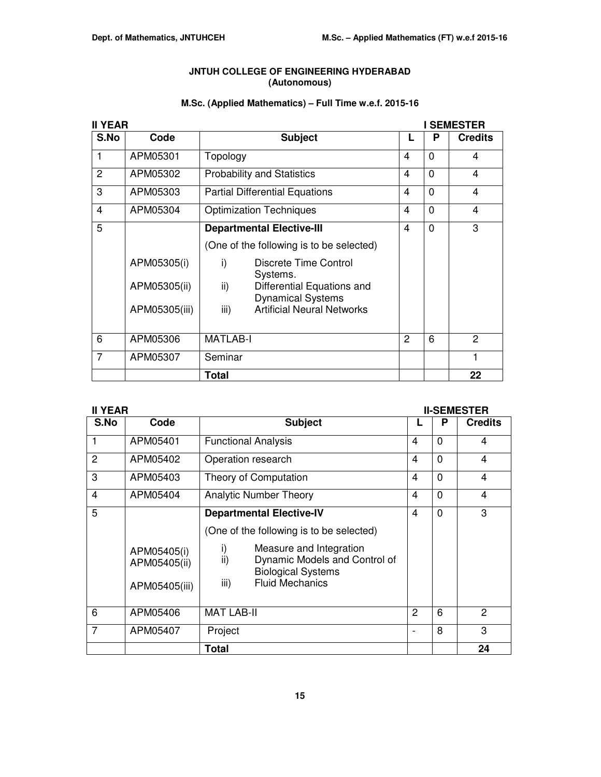## **JNTUH COLLEGE OF ENGINEERING HYDERABAD (Autonomous)**

## **M.Sc. (Applied Mathematics) – Full Time w.e.f. 2015-16**

| <b>II YEAR</b> |               |                                                               | <b>I SEMESTER</b> |          |                |  |  |
|----------------|---------------|---------------------------------------------------------------|-------------------|----------|----------------|--|--|
| S.No           | Code          | <b>Subject</b>                                                |                   | P        | <b>Credits</b> |  |  |
| $\mathbf{1}$   | APM05301      | Topology                                                      | 4                 | $\Omega$ | 4              |  |  |
| 2              | APM05302      | <b>Probability and Statistics</b>                             | 4                 | $\Omega$ | 4              |  |  |
| 3              | APM05303      | <b>Partial Differential Equations</b>                         | 4                 | $\Omega$ | 4              |  |  |
| $\overline{4}$ | APM05304      | <b>Optimization Techniques</b>                                | 4                 | $\Omega$ | 4              |  |  |
| 5              |               | <b>Departmental Elective-III</b>                              | 4                 | $\Omega$ | 3              |  |  |
|                |               | (One of the following is to be selected)                      |                   |          |                |  |  |
|                | APM05305(i)   | i)<br>Discrete Time Control<br>Systems.                       |                   |          |                |  |  |
|                | APM05305(ii)  | ii)<br>Differential Equations and<br><b>Dynamical Systems</b> |                   |          |                |  |  |
|                | APM05305(iii) | iii)<br><b>Artificial Neural Networks</b>                     |                   |          |                |  |  |
| 6              | APM05306      | <b>MATLAB-I</b>                                               | 2                 | 6        | 2              |  |  |
| 7              | APM05307      | Seminar                                                       |                   |          |                |  |  |
|                |               | Total                                                         |                   |          | 22             |  |  |

|                | <b>II YEAR</b><br><b>II-SEMESTER</b>         |                                                                                                                                      |                |             |                |
|----------------|----------------------------------------------|--------------------------------------------------------------------------------------------------------------------------------------|----------------|-------------|----------------|
| S.No           | Code                                         | <b>Subject</b>                                                                                                                       |                | P           | <b>Credits</b> |
|                | APM05401                                     | <b>Functional Analysis</b>                                                                                                           | 4              | $\Omega$    | 4              |
| $\overline{c}$ | APM05402                                     | Operation research                                                                                                                   | $\overline{4}$ | $\Omega$    | $\overline{4}$ |
| 3              | APM05403                                     | Theory of Computation                                                                                                                | 4              | $\mathbf 0$ | 4              |
| $\overline{4}$ | APM05404                                     | <b>Analytic Number Theory</b>                                                                                                        | $\overline{4}$ | $\Omega$    | $\overline{4}$ |
| 5              |                                              | <b>Departmental Elective-IV</b><br>(One of the following is to be selected)                                                          |                | $\Omega$    | 3              |
|                | APM05405(i)<br>APM05405(ii)<br>APM05405(iii) | i)<br>Measure and Integration<br>ii)<br>Dynamic Models and Control of<br><b>Biological Systems</b><br>iii)<br><b>Fluid Mechanics</b> |                |             |                |
| 6              | APM05406                                     | <b>MAT LAB-II</b>                                                                                                                    | 2              | 6           | 2              |
| 7              | APM05407                                     | Project                                                                                                                              |                | 8           | 3              |

**Total 24**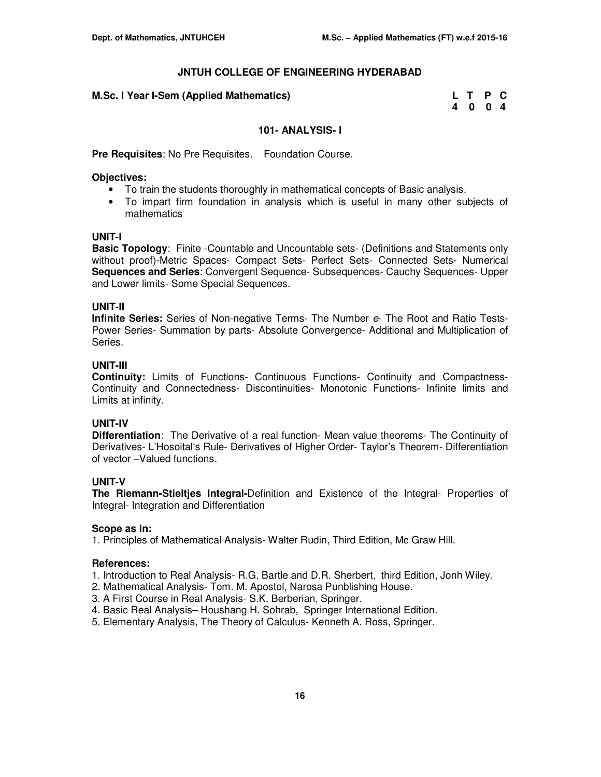| M.Sc. I Year I-Sem (Applied Mathematics) | L T P C |  |
|------------------------------------------|---------|--|
|                                          | 4 0 0 4 |  |

## **101- ANALYSIS- I**

**Pre Requisites**: No Pre Requisites. Foundation Course.

#### **Objectives:**

- To train the students thoroughly in mathematical concepts of Basic analysis.
- To impart firm foundation in analysis which is useful in many other subjects of mathematics

## **UNIT-I**

**Basic Topology**: Finite -Countable and Uncountable sets- (Definitions and Statements only without proof)-Metric Spaces- Compact Sets- Perfect Sets- Connected Sets- Numerical **Sequences and Series**: Convergent Sequence- Subsequences- Cauchy Sequences- Upper and Lower limits- Some Special Sequences.

## **UNIT-II**

**Infinite Series:** Series of Non-negative Terms- The Number e- The Root and Ratio Tests-Power Series- Summation by parts- Absolute Convergence- Additional and Multiplication of Series.

#### **UNIT-III**

**Continuity:** Limits of Functions- Continuous Functions- Continuity and Compactness-Continuity and Connectedness- Discontinuities- Monotonic Functions- Infinite limits and Limits at infinity.

## **UNIT-IV**

**Differentiation**: The Derivative of a real function- Mean value theorems- The Continuity of Derivatives- L'Hosoital's Rule- Derivatives of Higher Order- Taylor's Theorem- Differentiation of vector –Valued functions.

## **UNIT-V**

**The Riemann-Stieltjes Integral-**Definition and Existence of the Integral- Properties of Integral- Integration and Differentiation

## **Scope as in:**

1. Principles of Mathematical Analysis- Walter Rudin, Third Edition, Mc Graw Hill.

## **References:**

- 1. Introduction to Real Analysis- R.G. Bartle and D.R. Sherbert, third Edition, Jonh Wiley.
- 2. Mathematical Analysis- Tom. M. Apostol, Narosa Punblishing House.
- 3. A First Course in Real Analysis- S.K. Berberian, Springer.
- 4. Basic Real Analysis– Houshang H. Sohrab, Springer International Edition.
- 5. Elementary Analysis, The Theory of Calculus- Kenneth A. Ross, Springer.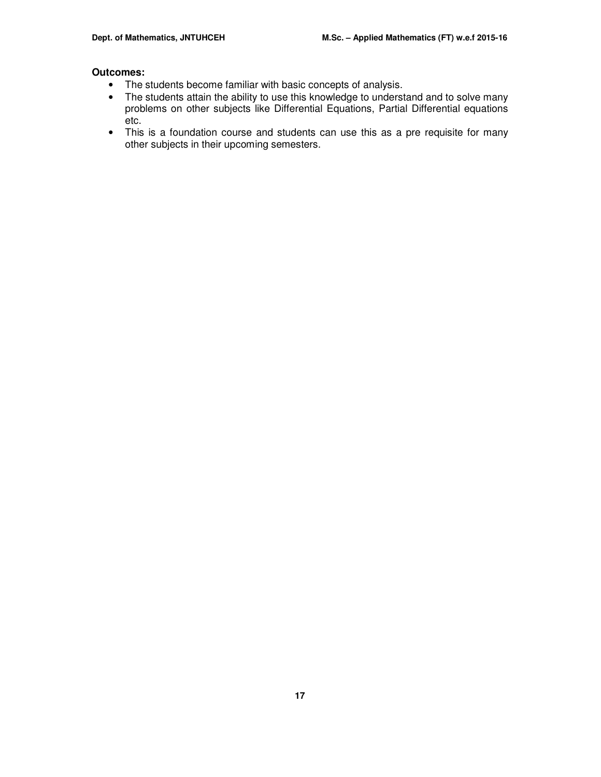- The students become familiar with basic concepts of analysis.
- The students attain the ability to use this knowledge to understand and to solve many problems on other subjects like Differential Equations, Partial Differential equations etc.
- This is a foundation course and students can use this as a pre requisite for many other subjects in their upcoming semesters.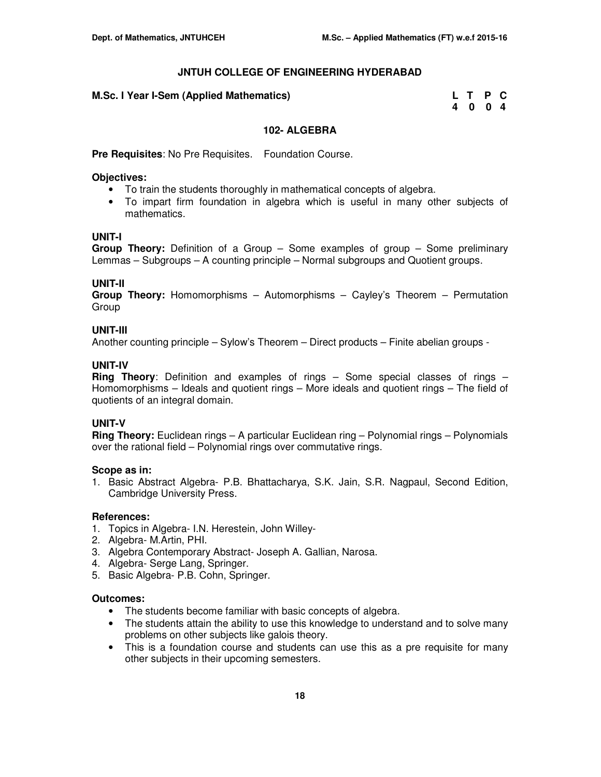| M.Sc. I Year I-Sem (Applied Mathematics) | L T P C |  |
|------------------------------------------|---------|--|
|                                          | 4 0 0 4 |  |

## **102- ALGEBRA**

**Pre Requisites**: No Pre Requisites. Foundation Course.

## **Objectives:**

- To train the students thoroughly in mathematical concepts of algebra.
- To impart firm foundation in algebra which is useful in many other subjects of mathematics.

## **UNIT-I**

**Group Theory:** Definition of a Group – Some examples of group – Some preliminary Lemmas – Subgroups – A counting principle – Normal subgroups and Quotient groups.

## **UNIT-II**

**Group Theory:** Homomorphisms – Automorphisms – Cayley's Theorem – Permutation Group

## **UNIT-III**

Another counting principle – Sylow's Theorem – Direct products – Finite abelian groups -

## **UNIT-IV**

**Ring Theory**: Definition and examples of rings – Some special classes of rings – Homomorphisms – Ideals and quotient rings – More ideals and quotient rings – The field of quotients of an integral domain.

## **UNIT-V**

**Ring Theory:** Euclidean rings – A particular Euclidean ring – Polynomial rings – Polynomials over the rational field – Polynomial rings over commutative rings.

## **Scope as in:**

1. Basic Abstract Algebra- P.B. Bhattacharya, S.K. Jain, S.R. Nagpaul, Second Edition, Cambridge University Press.

## **References:**

- 1. Topics in Algebra- I.N. Herestein, John Willey-
- 2. Algebra- M.Artin, PHI.
- 3. Algebra Contemporary Abstract- Joseph A. Gallian, Narosa.
- 4. Algebra- Serge Lang, Springer.
- 5. Basic Algebra- P.B. Cohn, Springer.

- The students become familiar with basic concepts of algebra.
- The students attain the ability to use this knowledge to understand and to solve many problems on other subjects like galois theory.
- This is a foundation course and students can use this as a pre requisite for many other subjects in their upcoming semesters.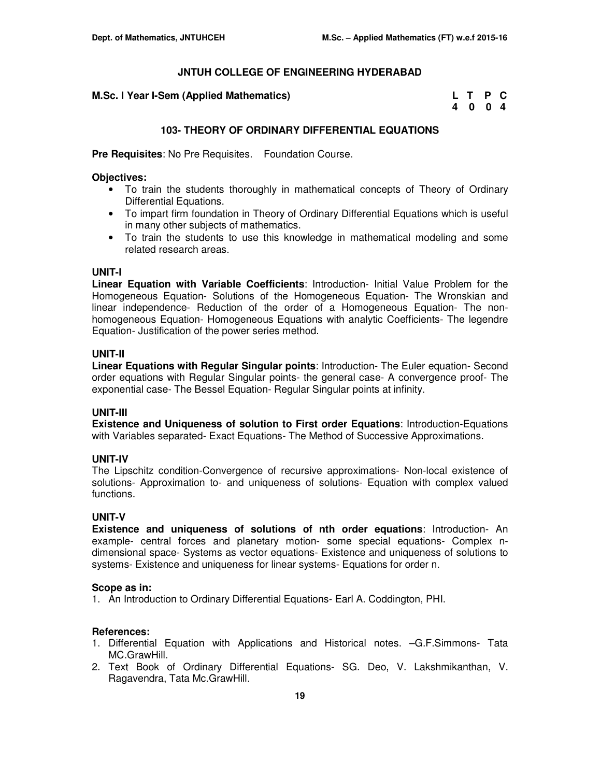**M.Sc. I Year I-Sem (Applied Mathematics)** 

| M.Sc. I Year I-Sem (Applied Mathematics) | L T P C |  |
|------------------------------------------|---------|--|
|                                          | 4 0 0 4 |  |

## **103- THEORY OF ORDINARY DIFFERENTIAL EQUATIONS**

**Pre Requisites**: No Pre Requisites. Foundation Course.

#### **Objectives:**

- To train the students thoroughly in mathematical concepts of Theory of Ordinary Differential Equations.
- To impart firm foundation in Theory of Ordinary Differential Equations which is useful in many other subjects of mathematics.
- To train the students to use this knowledge in mathematical modeling and some related research areas.

#### **UNIT-I**

**Linear Equation with Variable Coefficients**: Introduction- Initial Value Problem for the Homogeneous Equation- Solutions of the Homogeneous Equation- The Wronskian and linear independence- Reduction of the order of a Homogeneous Equation- The nonhomogeneous Equation- Homogeneous Equations with analytic Coefficients- The legendre Equation- Justification of the power series method.

#### **UNIT-II**

**Linear Equations with Regular Singular points**: Introduction- The Euler equation- Second order equations with Regular Singular points- the general case- A convergence proof- The exponential case- The Bessel Equation- Regular Singular points at infinity.

#### **UNIT-III**

**Existence and Uniqueness of solution to First order Equations**: Introduction-Equations with Variables separated- Exact Equations- The Method of Successive Approximations.

## **UNIT-IV**

The Lipschitz condition-Convergence of recursive approximations- Non-local existence of solutions- Approximation to- and uniqueness of solutions- Equation with complex valued functions.

## **UNIT-V**

**Existence and uniqueness of solutions of nth order equations**: Introduction- An example- central forces and planetary motion- some special equations- Complex ndimensional space- Systems as vector equations- Existence and uniqueness of solutions to systems- Existence and uniqueness for linear systems- Equations for order n.

#### **Scope as in:**

1. An Introduction to Ordinary Differential Equations- Earl A. Coddington, PHI.

## **References:**

- 1. Differential Equation with Applications and Historical notes. –G.F.Simmons- Tata MC.GrawHill.
- 2. Text Book of Ordinary Differential Equations- SG. Deo, V. Lakshmikanthan, V. Ragavendra, Tata Mc.GrawHill.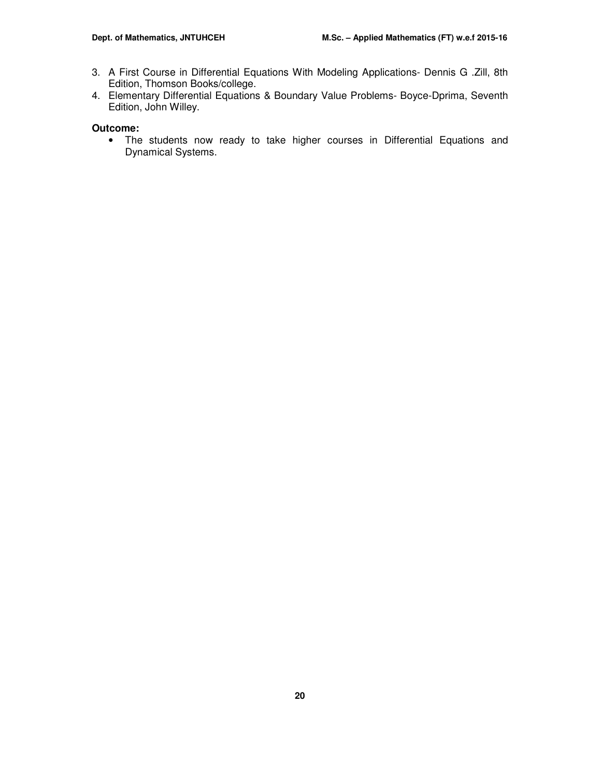- 3. A First Course in Differential Equations With Modeling Applications- Dennis G .Zill, 8th Edition, Thomson Books/college.
- 4. Elementary Differential Equations & Boundary Value Problems- Boyce-Dprima, Seventh Edition, John Willey.

## **Outcome:**

• The students now ready to take higher courses in Differential Equations and Dynamical Systems.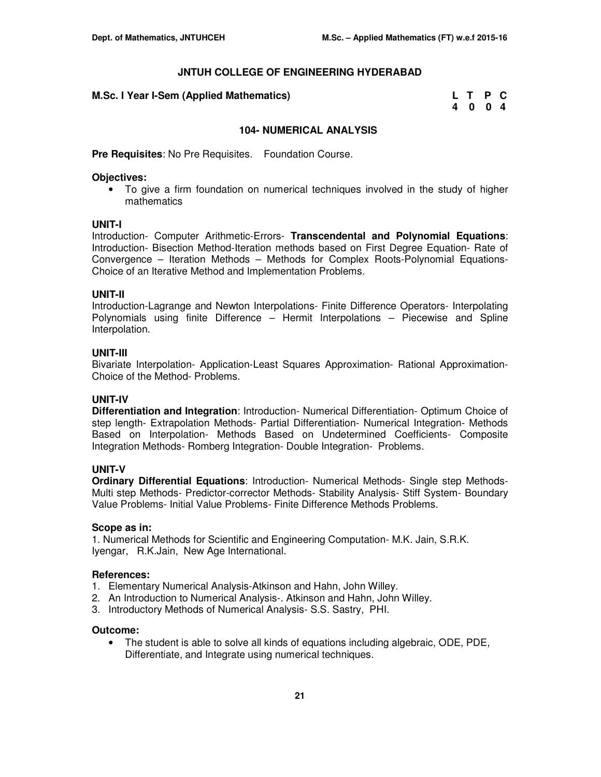| M.Sc. I Year I-Sem (Applied Mathematics) | L T P C |         |  |
|------------------------------------------|---------|---------|--|
|                                          |         | 4 0 0 4 |  |

## **104- NUMERICAL ANALYSIS**

**Pre Requisites**: No Pre Requisites. Foundation Course.

#### **Objectives:**

• To give a firm foundation on numerical techniques involved in the study of higher mathematics

#### **UNIT-I**

Introduction- Computer Arithmetic-Errors- **Transcendental and Polynomial Equations**: Introduction- Bisection Method-Iteration methods based on First Degree Equation- Rate of Convergence – Iteration Methods – Methods for Complex Roots-Polynomial Equations-Choice of an Iterative Method and Implementation Problems.

#### **UNIT-II**

Introduction-Lagrange and Newton Interpolations- Finite Difference Operators- Interpolating Polynomials using finite Difference – Hermit Interpolations – Piecewise and Spline Interpolation.

#### **UNIT-III**

Bivariate Interpolation- Application-Least Squares Approximation- Rational Approximation-Choice of the Method- Problems.

#### **UNIT-IV**

**Differentiation and Integration**: Introduction- Numerical Differentiation- Optimum Choice of step length- Extrapolation Methods- Partial Differentiation- Numerical Integration- Methods Based on Interpolation- Methods Based on Undetermined Coefficients- Composite Integration Methods- Romberg Integration- Double Integration- Problems.

## **UNIT-V**

**Ordinary Differential Equations**: Introduction- Numerical Methods- Single step Methods-Multi step Methods- Predictor-corrector Methods- Stability Analysis- Stiff System- Boundary Value Problems- Initial Value Problems- Finite Difference Methods Problems.

#### **Scope as in:**

1. Numerical Methods for Scientific and Engineering Computation- M.K. Jain, S.R.K. Iyengar, R.K.Jain, New Age International.

#### **References:**

- 1. Elementary Numerical Analysis-Atkinson and Hahn, John Willey.
- 2. An Introduction to Numerical Analysis-. Atkinson and Hahn, John Willey.
- 3. Introductory Methods of Numerical Analysis- S.S. Sastry, PHI.

## **Outcome:**

• The student is able to solve all kinds of equations including algebraic, ODE, PDE, Differentiate, and Integrate using numerical techniques.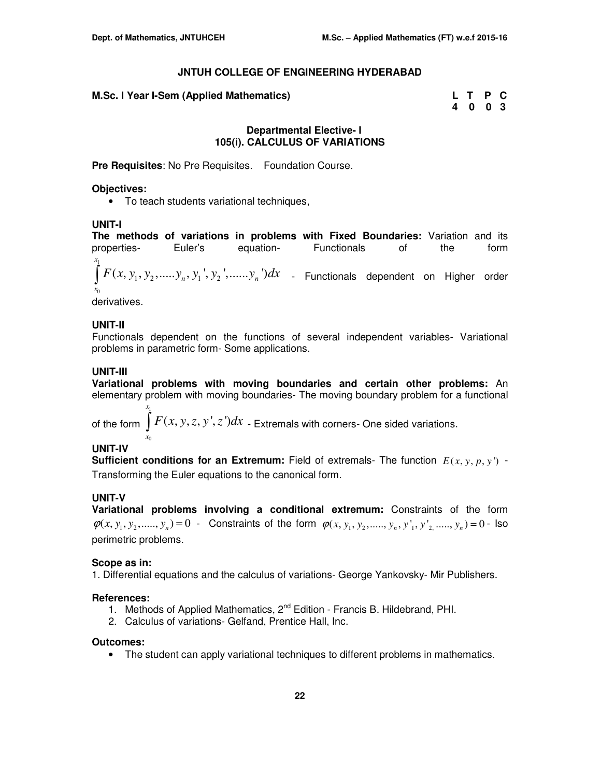| M.Sc. I Year I-Sem (Applied Mathematics) | L T P C |  |
|------------------------------------------|---------|--|
|                                          | 4 0 0 3 |  |

#### **Departmental Elective- I 105(i). CALCULUS OF VARIATIONS**

**Pre Requisites**: No Pre Requisites. Foundation Course.

#### **Objectives:**

• To teach students variational techniques,

#### **UNIT-I**

**The methods of variations in problems with Fixed Boundaries:** Variation and its properties- Euler's equation- Functionals of the form 1 0  $\int F(x, y_1, y_2,.....y_n, y_1', y_2',.....y_n')dx$  <sub>-</sub> Functionals dependent on Higher order *x x*

derivatives.

#### **UNIT-II**

Functionals dependent on the functions of several independent variables- Variational problems in parametric form- Some applications.

#### **UNIT-III**

**Variational problems with moving boundaries and certain other problems:** An elementary problem with moving boundaries- The moving boundary problem for a functional

of the form  $\int\limits_0^{t_1} F(x,y,z,y',z') dx$  <sub>-</sub> Extremals with corners- One sided variations. 0 *x x*

## **UNIT-IV**

**Sufficient conditions for an Extremum:** Field of extremals- The function  $E(x, y, p, y')$  -Transforming the Euler equations to the canonical form.

#### **UNIT-V**

**Variational problems involving a conditional extremum:** Constraints of the form  $\varphi(x, y_1, y_2, \ldots, y_n) = 0$  - Constraints of the form  $\varphi(x, y_1, y_2, \ldots, y_n, y'_1, y'_2, \ldots, y_n) = 0$  - Iso perimetric problems.

#### **Scope as in:**

1. Differential equations and the calculus of variations- George Yankovsky- Mir Publishers.

#### **References:**

- 1. Methods of Applied Mathematics, 2<sup>nd</sup> Edition Francis B. Hildebrand, PHI.
- 2. Calculus of variations- Gelfand, Prentice Hall, Inc.

#### **Outcomes:**

• The student can apply variational techniques to different problems in mathematics.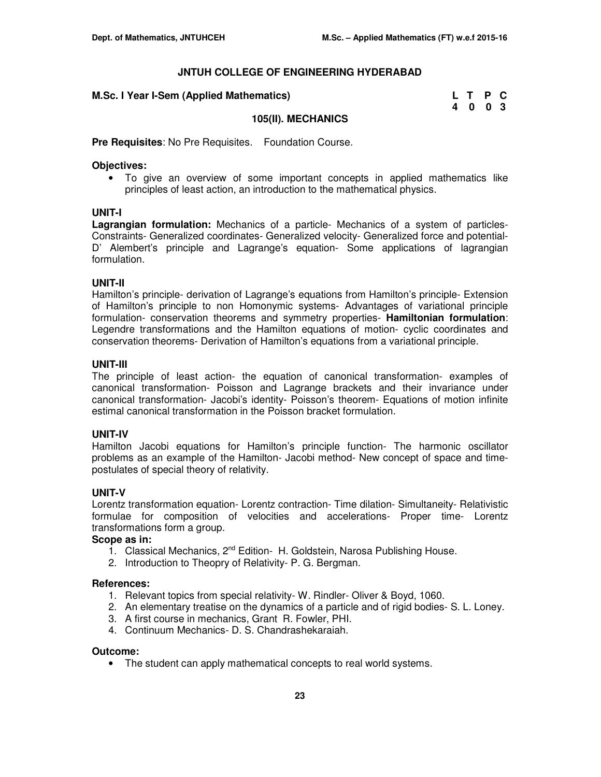| M.Sc. I Year I-Sem (Applied Mathematics) | L T P C |  |
|------------------------------------------|---------|--|
|                                          | 4 0 0 3 |  |

#### **105(II). MECHANICS**

**Pre Requisites**: No Pre Requisites. Foundation Course.

#### **Objectives:**

• To give an overview of some important concepts in applied mathematics like principles of least action, an introduction to the mathematical physics.

#### **UNIT-I**

**Lagrangian formulation:** Mechanics of a particle- Mechanics of a system of particles-Constraints- Generalized coordinates- Generalized velocity- Generalized force and potential-D' Alembert's principle and Lagrange's equation- Some applications of lagrangian formulation.

#### **UNIT-II**

Hamilton's principle- derivation of Lagrange's equations from Hamilton's principle- Extension of Hamilton's principle to non Homonymic systems- Advantages of variational principle formulation- conservation theorems and symmetry properties- **Hamiltonian formulation**: Legendre transformations and the Hamilton equations of motion- cyclic coordinates and conservation theorems- Derivation of Hamilton's equations from a variational principle.

#### **UNIT-III**

The principle of least action- the equation of canonical transformation- examples of canonical transformation- Poisson and Lagrange brackets and their invariance under canonical transformation- Jacobi's identity- Poisson's theorem- Equations of motion infinite estimal canonical transformation in the Poisson bracket formulation.

## **UNIT-IV**

Hamilton Jacobi equations for Hamilton's principle function- The harmonic oscillator problems as an example of the Hamilton- Jacobi method- New concept of space and timepostulates of special theory of relativity.

## **UNIT-V**

Lorentz transformation equation- Lorentz contraction- Time dilation- Simultaneity- Relativistic formulae for composition of velocities and accelerations- Proper time- Lorentz transformations form a group.

#### **Scope as in:**

- 1. Classical Mechanics, 2<sup>nd</sup> Edition- H. Goldstein, Narosa Publishing House.
- 2. Introduction to Theopry of Relativity- P. G. Bergman.

#### **References:**

- 1. Relevant topics from special relativity- W. Rindler- Oliver & Boyd, 1060.
- 2. An elementary treatise on the dynamics of a particle and of rigid bodies- S. L. Loney.
- 3. A first course in mechanics, Grant R. Fowler, PHI.
- 4. Continuum Mechanics- D. S. Chandrashekaraiah.

#### **Outcome:**

• The student can apply mathematical concepts to real world systems.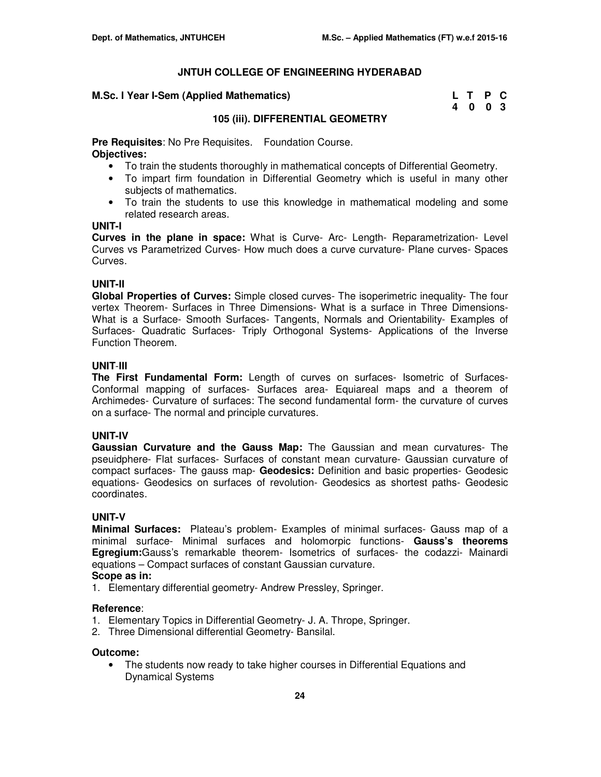#### **M.Sc. I Year I-Sem (Applied Mathematics)**

| M.Sc. I Year I-Sem (Applied Mathematics) | L T P C |  |
|------------------------------------------|---------|--|
|                                          | 4 0 0 3 |  |

## **105 (iii). DIFFERENTIAL GEOMETRY**

**Pre Requisites**: No Pre Requisites. Foundation Course. **Objectives:** 

- To train the students thoroughly in mathematical concepts of Differential Geometry.
- To impart firm foundation in Differential Geometry which is useful in many other subjects of mathematics.
- To train the students to use this knowledge in mathematical modeling and some related research areas.

## **UNIT-I**

**Curves in the plane in space:** What is Curve- Arc- Length- Reparametrization- Level Curves vs Parametrized Curves- How much does a curve curvature- Plane curves- Spaces Curves.

## **UNIT-II**

**Global Properties of Curves:** Simple closed curves- The isoperimetric inequality- The four vertex Theorem- Surfaces in Three Dimensions- What is a surface in Three Dimensions-What is a Surface- Smooth Surfaces- Tangents, Normals and Orientability- Examples of Surfaces- Quadratic Surfaces- Triply Orthogonal Systems- Applications of the Inverse Function Theorem.

## **UNIT**-**III**

**The First Fundamental Form:** Length of curves on surfaces- Isometric of Surfaces-Conformal mapping of surfaces- Surfaces area- Equiareal maps and a theorem of Archimedes- Curvature of surfaces: The second fundamental form- the curvature of curves on a surface- The normal and principle curvatures.

## **UNIT-IV**

**Gaussian Curvature and the Gauss Map:** The Gaussian and mean curvatures- The pseuidphere- Flat surfaces- Surfaces of constant mean curvature- Gaussian curvature of compact surfaces- The gauss map- **Geodesics:** Definition and basic properties- Geodesic equations- Geodesics on surfaces of revolution- Geodesics as shortest paths- Geodesic coordinates.

## **UNIT-V**

**Minimal Surfaces:** Plateau's problem- Examples of minimal surfaces- Gauss map of a minimal surface- Minimal surfaces and holomorpic functions- **Gauss's theorems Egregium:**Gauss's remarkable theorem- Isometrics of surfaces- the codazzi- Mainardi equations – Compact surfaces of constant Gaussian curvature.

**Scope as in:** 

1. Elementary differential geometry- Andrew Pressley, Springer.

## **Reference**:

- 1. Elementary Topics in Differential Geometry- J. A. Thrope, Springer.
- 2. Three Dimensional differential Geometry- Bansilal.

## **Outcome:**

• The students now ready to take higher courses in Differential Equations and Dynamical Systems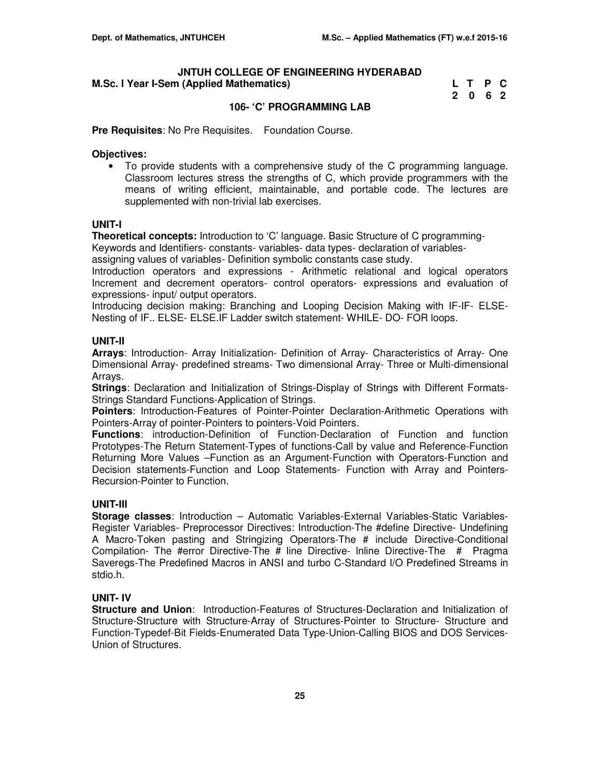#### **JNTUH COLLEGE OF ENGINEERING HYDERABAD M.Sc. I Year I-Sem (Applied Mathematics)**

| M.Sc. I Year I-Sem (Applied Mathematics) | L T P C |  |
|------------------------------------------|---------|--|
|                                          | 2 0 6 2 |  |

## **106- 'C' PROGRAMMING LAB**

**Pre Requisites**: No Pre Requisites. Foundation Course.

#### **Objectives:**

• To provide students with a comprehensive study of the C programming language. Classroom lectures stress the strengths of C, which provide programmers with the means of writing efficient, maintainable, and portable code. The lectures are supplemented with non-trivial lab exercises.

#### **UNIT-I**

**Theoretical concepts:** Introduction to 'C' language. Basic Structure of C programming-

Keywords and Identifiers- constants- variables- data types- declaration of variables-

assigning values of variables- Definition symbolic constants case study.

Introduction operators and expressions - Arithmetic relational and logical operators Increment and decrement operators- control operators- expressions and evaluation of expressions- input/ output operators.

Introducing decision making: Branching and Looping Decision Making with IF-IF- ELSE-Nesting of IF.. ELSE- ELSE.IF Ladder switch statement- WHILE- DO- FOR loops.

## **UNIT-II**

**Arrays**: Introduction- Array Initialization- Definition of Array- Characteristics of Array- One Dimensional Array- predefined streams- Two dimensional Array- Three or Multi-dimensional Arrays.

**Strings**: Declaration and Initialization of Strings-Display of Strings with Different Formats-Strings Standard Functions-Application of Strings.

**Pointers**: Introduction-Features of Pointer-Pointer Declaration-Arithmetic Operations with Pointers-Array of pointer-Pointers to pointers-Void Pointers.

**Functions**: introduction-Definition of Function-Declaration of Function and function Prototypes-The Return Statement-Types of functions-Call by value and Reference-Function Returning More Values –Function as an Argument-Function with Operators-Function and Decision statements-Function and Loop Statements- Function with Array and Pointers-Recursion-Pointer to Function.

## **UNIT-III**

**Storage classes**: Introduction – Automatic Variables-External Variables-Static Variables-Register Variables- Preprocessor Directives: Introduction-The #define Directive- Undefining A Macro-Token pasting and Stringizing Operators-The # include Directive-Conditional Compilation- The #error Directive-The # line Directive- lnline Directive-The # Pragma Saveregs-The Predefined Macros in ANSI and turbo C-Standard I/O Predefined Streams in stdio.h.

## **UNIT- IV**

**Structure and Union**: Introduction-Features of Structures-Declaration and Initialization of Structure-Structure with Structure-Array of Structures-Pointer to Structure- Structure and Function-Typedef-Bit Fields-Enumerated Data Type-Union-Calling BIOS and DOS Services-Union of Structures.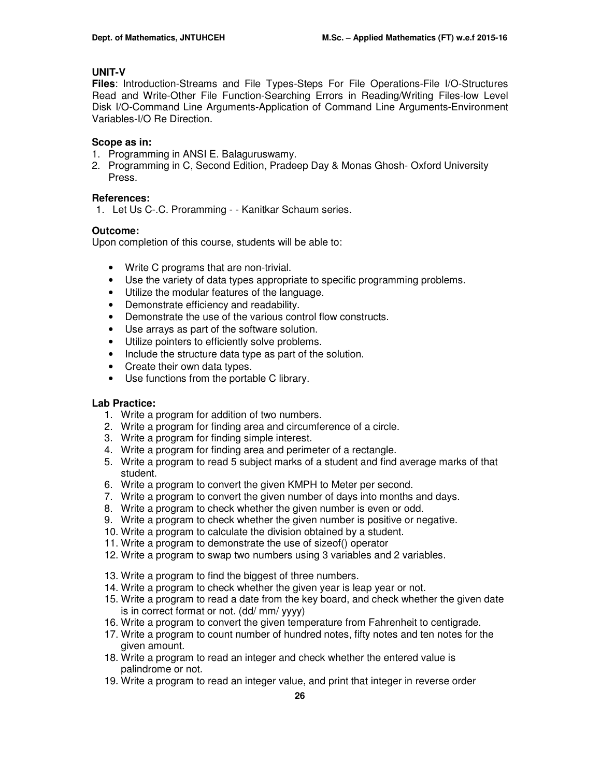## **UNIT-V**

**Files**: Introduction-Streams and File Types-Steps For File Operations-File I/O-Structures Read and Write-Other File Function-Searching Errors in Reading/Writing Files-low Level Disk I/O-Command Line Arguments-Application of Command Line Arguments-Environment Variables-I/O Re Direction.

## **Scope as in:**

- 1. Programming in ANSI E. Balaguruswamy.
- 2. Programming in C, Second Edition, Pradeep Day & Monas Ghosh- Oxford University Press.

## **References:**

1. Let Us C-.C. Proramming - - Kanitkar Schaum series.

## **Outcome:**

Upon completion of this course, students will be able to:

- Write C programs that are non-trivial.
- Use the variety of data types appropriate to specific programming problems.
- Utilize the modular features of the language.
- Demonstrate efficiency and readability.
- Demonstrate the use of the various control flow constructs.
- Use arrays as part of the software solution.
- Utilize pointers to efficiently solve problems.
- Include the structure data type as part of the solution.
- Create their own data types.
- Use functions from the portable C library.

## **Lab Practice:**

- 1. Write a program for addition of two numbers.
- 2. Write a program for finding area and circumference of a circle.
- 3. Write a program for finding simple interest.
- 4. Write a program for finding area and perimeter of a rectangle.
- 5. Write a program to read 5 subject marks of a student and find average marks of that student.
- 6. Write a program to convert the given KMPH to Meter per second.
- 7. Write a program to convert the given number of days into months and days.
- 8. Write a program to check whether the given number is even or odd.
- 9. Write a program to check whether the given number is positive or negative.
- 10. Write a program to calculate the division obtained by a student.
- 11. Write a program to demonstrate the use of sizeof() operator
- 12. Write a program to swap two numbers using 3 variables and 2 variables.
- 13. Write a program to find the biggest of three numbers.
- 14. Write a program to check whether the given year is leap year or not.
- 15. Write a program to read a date from the key board, and check whether the given date is in correct format or not. (dd/ mm/ yyyy)
- 16. Write a program to convert the given temperature from Fahrenheit to centigrade.
- 17. Write a program to count number of hundred notes, fifty notes and ten notes for the given amount.
- 18. Write a program to read an integer and check whether the entered value is palindrome or not.
- 19. Write a program to read an integer value, and print that integer in reverse order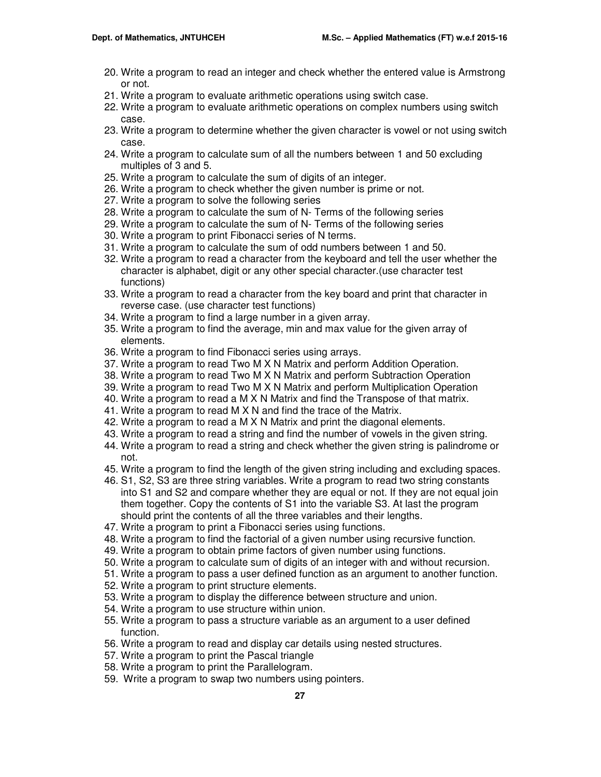- 20. Write a program to read an integer and check whether the entered value is Armstrong or not.
- 21. Write a program to evaluate arithmetic operations using switch case.
- 22. Write a program to evaluate arithmetic operations on complex numbers using switch case.
- 23. Write a program to determine whether the given character is vowel or not using switch case.
- 24. Write a program to calculate sum of all the numbers between 1 and 50 excluding multiples of 3 and 5.
- 25. Write a program to calculate the sum of digits of an integer.
- 26. Write a program to check whether the given number is prime or not.
- 27. Write a program to solve the following series
- 28. Write a program to calculate the sum of N- Terms of the following series
- 29. Write a program to calculate the sum of N- Terms of the following series
- 30. Write a program to print Fibonacci series of N terms.
- 31. Write a program to calculate the sum of odd numbers between 1 and 50.
- 32. Write a program to read a character from the keyboard and tell the user whether the character is alphabet, digit or any other special character.(use character test functions)
- 33. Write a program to read a character from the key board and print that character in reverse case. (use character test functions)
- 34. Write a program to find a large number in a given array.
- 35. Write a program to find the average, min and max value for the given array of elements.
- 36. Write a program to find Fibonacci series using arrays.
- 37. Write a program to read Two M X N Matrix and perform Addition Operation.
- 38. Write a program to read Two M X N Matrix and perform Subtraction Operation
- 39. Write a program to read Two M X N Matrix and perform Multiplication Operation
- 40. Write a program to read a M X N Matrix and find the Transpose of that matrix.
- 41. Write a program to read M X N and find the trace of the Matrix.
- 42. Write a program to read a M X N Matrix and print the diagonal elements.
- 43. Write a program to read a string and find the number of vowels in the given string.
- 44. Write a program to read a string and check whether the given string is palindrome or not.
- 45. Write a program to find the length of the given string including and excluding spaces.
- 46. S1, S2, S3 are three string variables. Write a program to read two string constants into S1 and S2 and compare whether they are equal or not. If they are not equal join them together. Copy the contents of S1 into the variable S3. At last the program should print the contents of all the three variables and their lengths.
- 47. Write a program to print a Fibonacci series using functions.
- 48. Write a program to find the factorial of a given number using recursive function.
- 49. Write a program to obtain prime factors of given number using functions.
- 50. Write a program to calculate sum of digits of an integer with and without recursion.
- 51. Write a program to pass a user defined function as an argument to another function.
- 52. Write a program to print structure elements.
- 53. Write a program to display the difference between structure and union.
- 54. Write a program to use structure within union.
- 55. Write a program to pass a structure variable as an argument to a user defined function.
- 56. Write a program to read and display car details using nested structures.
- 57. Write a program to print the Pascal triangle
- 58. Write a program to print the Parallelogram.
- 59. Write a program to swap two numbers using pointers.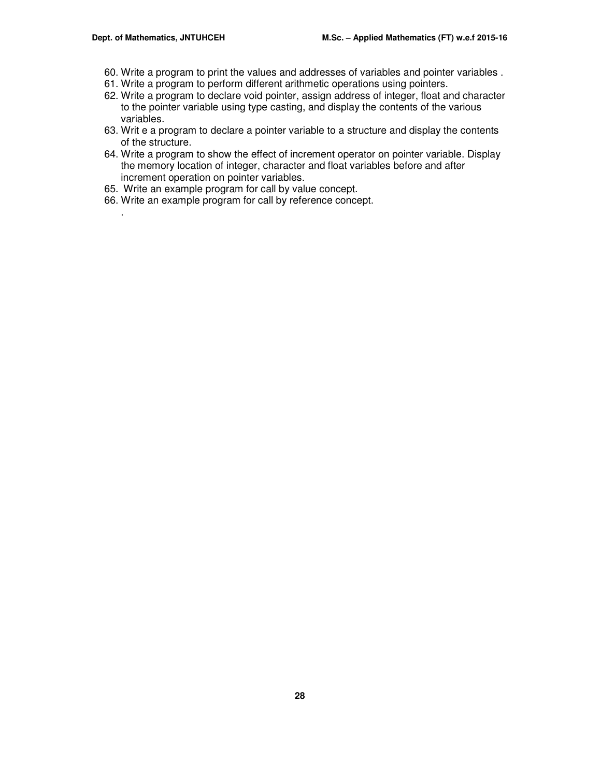.

- 60. Write a program to print the values and addresses of variables and pointer variables .
- 61. Write a program to perform different arithmetic operations using pointers.
- 62. Write a program to declare void pointer, assign address of integer, float and character to the pointer variable using type casting, and display the contents of the various variables.
- 63. Writ e a program to declare a pointer variable to a structure and display the contents of the structure.
- 64. Write a program to show the effect of increment operator on pointer variable. Display the memory location of integer, character and float variables before and after increment operation on pointer variables.
- 65. Write an example program for call by value concept.
- 66. Write an example program for call by reference concept.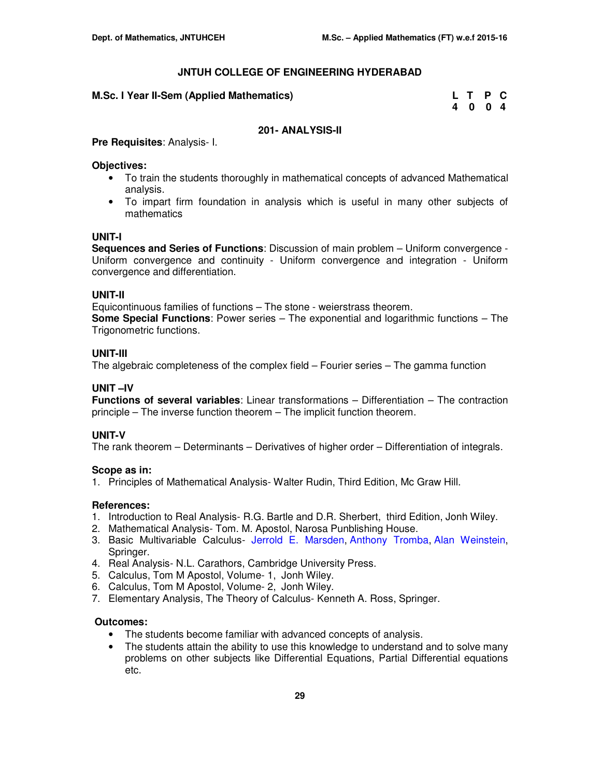| M.Sc. I Year II-Sem (Applied Mathematics) | L T P C |  |
|-------------------------------------------|---------|--|
|                                           |         |  |

| M.Sc. I Year II-Sem (Applied Mathematics) | L T P C |  |
|-------------------------------------------|---------|--|
|                                           | 4 0 0 4 |  |

## **201- ANALYSIS-II**

**Pre Requisites**: Analysis- I.

#### **Objectives:**

- To train the students thoroughly in mathematical concepts of advanced Mathematical analysis.
- To impart firm foundation in analysis which is useful in many other subjects of mathematics

## **UNIT-I**

**Sequences and Series of Functions**: Discussion of main problem – Uniform convergence - Uniform convergence and continuity - Uniform convergence and integration - Uniform convergence and differentiation.

#### **UNIT-II**

Equicontinuous families of functions – The stone - weierstrass theorem.

**Some Special Functions**: Power series – The exponential and logarithmic functions – The Trigonometric functions.

#### **UNIT-III**

The algebraic completeness of the complex field – Fourier series – The gamma function

## **UNIT –IV**

**Functions of several variables**: Linear transformations – Differentiation – The contraction principle – The inverse function theorem – The implicit function theorem.

## **UNIT-V**

The rank theorem – Determinants – Derivatives of higher order – Differentiation of integrals.

## **Scope as in:**

1. Principles of Mathematical Analysis- Walter Rudin, Third Edition, Mc Graw Hill.

#### **References:**

- 1. Introduction to Real Analysis- R.G. Bartle and D.R. Sherbert, third Edition, Jonh Wiley.
- 2. Mathematical Analysis- Tom. M. Apostol, Narosa Punblishing House.
- 3. Basic Multivariable Calculus- Jerrold E. Marsden, Anthony Tromba, Alan Weinstein, Springer.
- 4. Real Analysis- N.L. Carathors, Cambridge University Press.
- 5. Calculus, Tom M Apostol, Volume- 1, Jonh Wiley.
- 6. Calculus, Tom M Apostol, Volume- 2, Jonh Wiley.
- 7. Elementary Analysis, The Theory of Calculus- Kenneth A. Ross, Springer.

- The students become familiar with advanced concepts of analysis.
- The students attain the ability to use this knowledge to understand and to solve many problems on other subjects like Differential Equations, Partial Differential equations etc.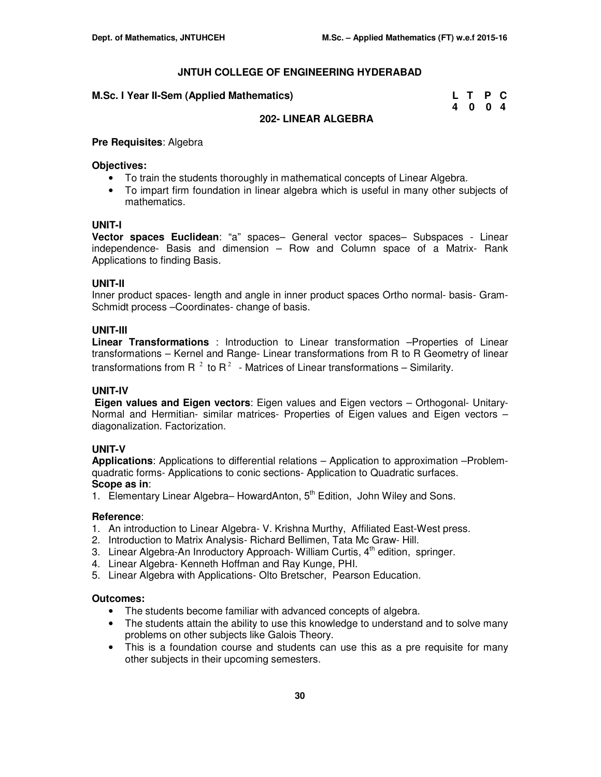#### **M.Sc. I Year II-Sem (Applied Mathematics)**

| <b>Year II-Sem (Applied Mathematics)</b> | L T P C |  |
|------------------------------------------|---------|--|
|                                          | 4 0 0 4 |  |

## **202- LINEAR ALGEBRA**

#### **Pre Requisites**: Algebra

#### **Objectives:**

- To train the students thoroughly in mathematical concepts of Linear Algebra.
- To impart firm foundation in linear algebra which is useful in many other subjects of mathematics.

#### **UNIT-I**

**Vector spaces Euclidean**: "a" spaces– General vector spaces– Subspaces - Linear independence- Basis and dimension – Row and Column space of a Matrix- Rank Applications to finding Basis.

## **UNIT-II**

Inner product spaces- length and angle in inner product spaces Ortho normal- basis- Gram-Schmidt process –Coordinates- change of basis.

#### **UNIT-III**

**Linear Transformations** : Introduction to Linear transformation –Properties of Linear transformations – Kernel and Range- Linear transformations from R to R Geometry of linear transformations from R  $^2$  to R $^2$  - Matrices of Linear transformations – Similarity.

## **UNIT-IV**

 **Eigen values and Eigen vectors**: Eigen values and Eigen vectors – Orthogonal- Unitary-Normal and Hermitian- similar matrices- Properties of Eigen values and Eigen vectors – diagonalization. Factorization.

## **UNIT-V**

**Applications:** Applications to differential relations – Application to approximation –Problemquadratic forms- Applications to conic sections- Application to Quadratic surfaces. **Scope as in**:

1. Elementary Linear Algebra– HowardAnton,  $5<sup>th</sup>$  Edition, John Wiley and Sons.

## **Reference**:

- 1. An introduction to Linear Algebra- V. Krishna Murthy, Affiliated East-West press.
- 2. Introduction to Matrix Analysis- Richard Bellimen, Tata Mc Graw- Hill.
- 3. Linear Algebra-An Inroductory Approach- William Curtis,  $4<sup>th</sup>$  edition, springer.
- 4. Linear Algebra- Kenneth Hoffman and Ray Kunge, PHI.
- 5. Linear Algebra with Applications- Olto Bretscher, Pearson Education.

- The students become familiar with advanced concepts of algebra.
- The students attain the ability to use this knowledge to understand and to solve many problems on other subjects like Galois Theory.
- This is a foundation course and students can use this as a pre requisite for many other subjects in their upcoming semesters.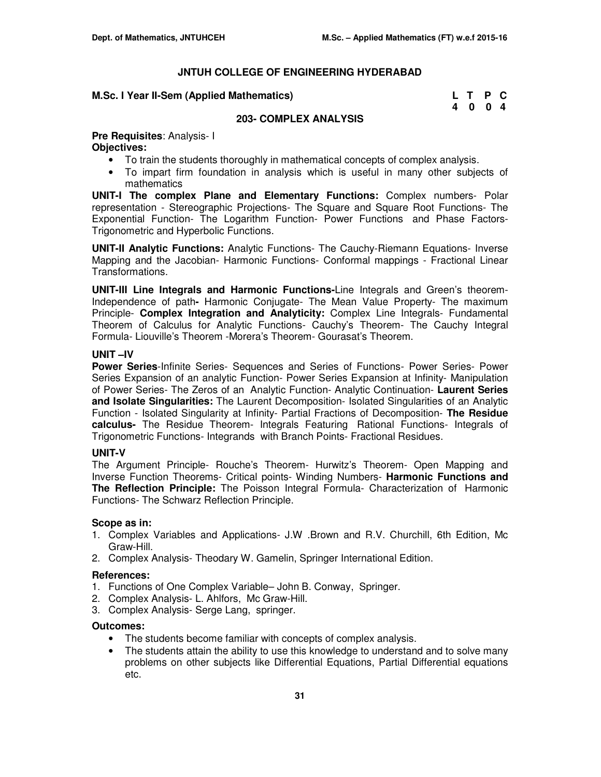#### **M.Sc. I Year II-Sem (Applied Mathematics)**

| M.Sc. I Year II-Sem (Applied Mathematics) | L T P C |  |
|-------------------------------------------|---------|--|
|                                           | 4 0 0 4 |  |

#### **203- COMPLEX ANALYSIS**

## **Pre Requisites**: Analysis- I

## **Objectives:**

- To train the students thoroughly in mathematical concepts of complex analysis.
- To impart firm foundation in analysis which is useful in many other subjects of mathematics

**UNIT-I The complex Plane and Elementary Functions:** Complex numbers- Polar representation - Stereographic Projections- The Square and Square Root Functions- The Exponential Function- The Logarithm Function- Power Functions and Phase Factors-Trigonometric and Hyperbolic Functions.

**UNIT-II Analytic Functions:** Analytic Functions- The Cauchy-Riemann Equations- Inverse Mapping and the Jacobian- Harmonic Functions- Conformal mappings - Fractional Linear Transformations.

**UNIT-III Line Integrals and Harmonic Functions-**Line Integrals and Green's theorem-Independence of path**-** Harmonic Conjugate- The Mean Value Property- The maximum Principle- **Complex Integration and Analyticity:** Complex Line Integrals- Fundamental Theorem of Calculus for Analytic Functions- Cauchy's Theorem- The Cauchy Integral Formula- Liouville's Theorem -Morera's Theorem- Gourasat's Theorem.

## **UNIT –IV**

**Power Series**-Infinite Series- Sequences and Series of Functions- Power Series- Power Series Expansion of an analytic Function- Power Series Expansion at Infinity- Manipulation of Power Series- The Zeros of an Analytic Function- Analytic Continuation- **Laurent Series and Isolate Singularities:** The Laurent Decomposition- Isolated Singularities of an Analytic Function - Isolated Singularity at Infinity- Partial Fractions of Decomposition- **The Residue calculus-** The Residue Theorem- Integrals Featuring Rational Functions- Integrals of Trigonometric Functions- Integrands with Branch Points- Fractional Residues.

## **UNIT-V**

The Argument Principle- Rouche's Theorem- Hurwitz's Theorem- Open Mapping and Inverse Function Theorems- Critical points- Winding Numbers- **Harmonic Functions and The Reflection Principle:** The Poisson Integral Formula- Characterization of Harmonic Functions- The Schwarz Reflection Principle.

## **Scope as in:**

- 1. Complex Variables and Applications- J.W .Brown and R.V. Churchill, 6th Edition, Mc Graw-Hill.
- 2. Complex Analysis- Theodary W. Gamelin, Springer International Edition.

## **References:**

- 1. Functions of One Complex Variable– John B. Conway, Springer.
- 2. Complex Analysis- L. Ahlfors, Mc Graw-Hill.
- 3. Complex Analysis- Serge Lang, springer.

- The students become familiar with concepts of complex analysis.
- The students attain the ability to use this knowledge to understand and to solve many problems on other subjects like Differential Equations, Partial Differential equations etc.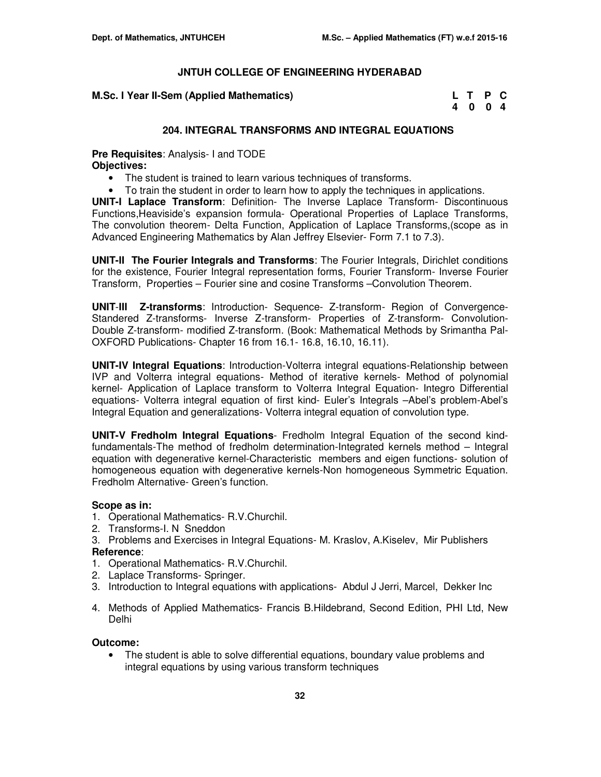**M.Sc. I Year II-Sem (Applied Mathematics)** 

| M.Sc. I Year II-Sem (Applied Mathematics) | L T P C |  |
|-------------------------------------------|---------|--|
|                                           | 4 0 0 4 |  |

## **204. INTEGRAL TRANSFORMS AND INTEGRAL EQUATIONS**

**Pre Requisites**: Analysis- I and TODE **Objectives:** 

- The student is trained to learn various techniques of transforms.
- To train the student in order to learn how to apply the techniques in applications.

**UNIT-I Laplace Transform**: Definition- The Inverse Laplace Transform- Discontinuous Functions,Heaviside's expansion formula- Operational Properties of Laplace Transforms, The convolution theorem- Delta Function, Application of Laplace Transforms,(scope as in Advanced Engineering Mathematics by Alan Jeffrey Elsevier- Form 7.1 to 7.3).

**UNIT-II The Fourier Integrals and Transforms**: The Fourier Integrals, Dirichlet conditions for the existence, Fourier Integral representation forms, Fourier Transform- Inverse Fourier Transform, Properties – Fourier sine and cosine Transforms –Convolution Theorem.

**UNIT**-**III Z-transforms**: Introduction- Sequence- Z-transform- Region of Convergence-Standered Z-transforms- Inverse Z-transform- Properties of Z-transform- Convolution-Double Z-transform- modified Z-transform. (Book: Mathematical Methods by Srimantha Pal-OXFORD Publications- Chapter 16 from 16.1- 16.8, 16.10, 16.11).

**UNIT-IV Integral Equations**: Introduction-Volterra integral equations-Relationship between IVP and Volterra integral equations- Method of iterative kernels- Method of polynomial kernel- Application of Laplace transform to Volterra Integral Equation- Integro Differential equations- Volterra integral equation of first kind- Euler's Integrals –Abel's problem-Abel's Integral Equation and generalizations- Volterra integral equation of convolution type.

**UNIT-V Fredholm Integral Equations**- Fredholm Integral Equation of the second kindfundamentals-The method of fredholm determination-Integrated kernels method – Integral equation with degenerative kernel-Characteristic members and eigen functions- solution of homogeneous equation with degenerative kernels-Non homogeneous Symmetric Equation. Fredholm Alternative- Green's function.

#### **Scope as in:**

- 1. Operational Mathematics- R.V.Churchil.
- 2. Transforms-I. N Sneddon
- 3. Problems and Exercises in Integral Equations- M. Kraslov, A.Kiselev, Mir Publishers **Reference**:
- 1. Operational Mathematics- R.V.Churchil.
- 2. Laplace Transforms- Springer.
- 3. Introduction to Integral equations with applications- Abdul J Jerri, Marcel, Dekker Inc
- 4. Methods of Applied Mathematics- Francis B.Hildebrand, Second Edition, PHI Ltd, New Delhi

#### **Outcome:**

• The student is able to solve differential equations, boundary value problems and integral equations by using various transform techniques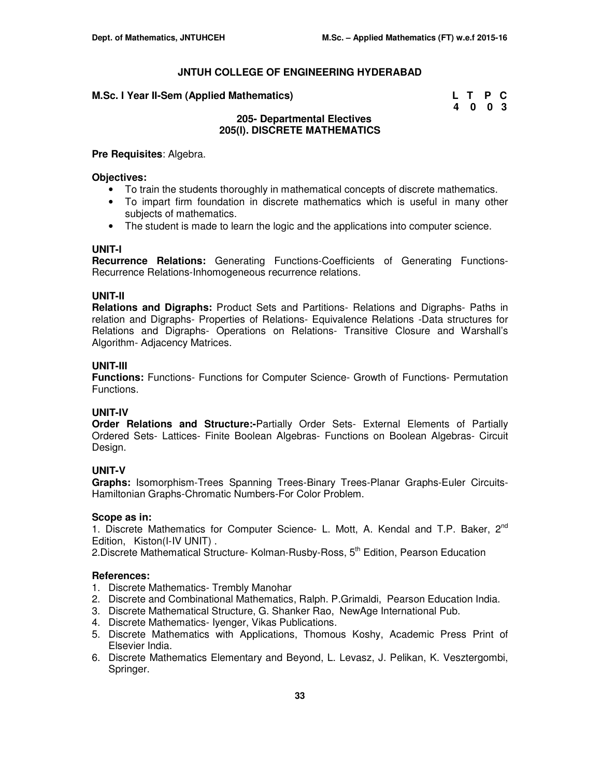#### **M.Sc. I Year II-Sem (Applied Mathematics)**

| Sc. I Year II-Sem (Applied Mathematics) | L T P C |  |
|-----------------------------------------|---------|--|
|                                         | 4 0 0 3 |  |

## **205- Departmental Electives 205(I). DISCRETE MATHEMATICS**

#### **Pre Requisites**: Algebra.

#### **Objectives:**

- To train the students thoroughly in mathematical concepts of discrete mathematics.
- To impart firm foundation in discrete mathematics which is useful in many other subjects of mathematics.
- The student is made to learn the logic and the applications into computer science.

#### **UNIT-I**

**Recurrence Relations:** Generating Functions-Coefficients of Generating Functions-Recurrence Relations-Inhomogeneous recurrence relations.

#### **UNIT-II**

**Relations and Digraphs:** Product Sets and Partitions- Relations and Digraphs- Paths in relation and Digraphs- Properties of Relations- Equivalence Relations -Data structures for Relations and Digraphs- Operations on Relations- Transitive Closure and Warshall's Algorithm- Adjacency Matrices.

#### **UNIT-III**

**Functions:** Functions- Functions for Computer Science- Growth of Functions- Permutation Functions.

#### **UNIT-IV**

**Order Relations and Structure:-**Partially Order Sets- External Elements of Partially Ordered Sets- Lattices- Finite Boolean Algebras- Functions on Boolean Algebras- Circuit Design.

## **UNIT-V**

**Graphs:** Isomorphism-Trees Spanning Trees-Binary Trees-Planar Graphs-Euler Circuits-Hamiltonian Graphs-Chromatic Numbers-For Color Problem.

#### **Scope as in:**

1. Discrete Mathematics for Computer Science- L. Mott, A. Kendal and T.P. Baker, 2<sup>nd</sup> Edition, Kiston(I-IV UNIT) .

2.Discrete Mathematical Structure- Kolman-Rusby-Ross, 5<sup>th</sup> Edition, Pearson Education

#### **References:**

- 1. Discrete Mathematics- Trembly Manohar
- 2. Discrete and Combinational Mathematics, Ralph. P.Grimaldi, Pearson Education India.
- 3. Discrete Mathematical Structure, G. Shanker Rao, NewAge International Pub.
- 4. Discrete Mathematics- Iyenger, Vikas Publications.
- 5. Discrete Mathematics with Applications, Thomous Koshy, Academic Press Print of Elsevier India.
- 6. Discrete Mathematics Elementary and Beyond, L. Levasz, J. Pelikan, K. Vesztergombi, Springer.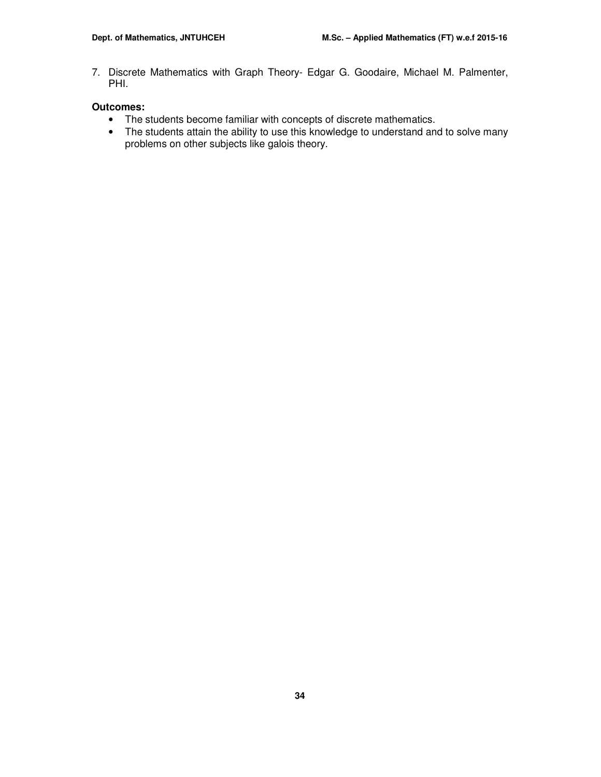7. Discrete Mathematics with Graph Theory- Edgar G. Goodaire, Michael M. Palmenter, PHI.

- The students become familiar with concepts of discrete mathematics.
- The students attain the ability to use this knowledge to understand and to solve many problems on other subjects like galois theory.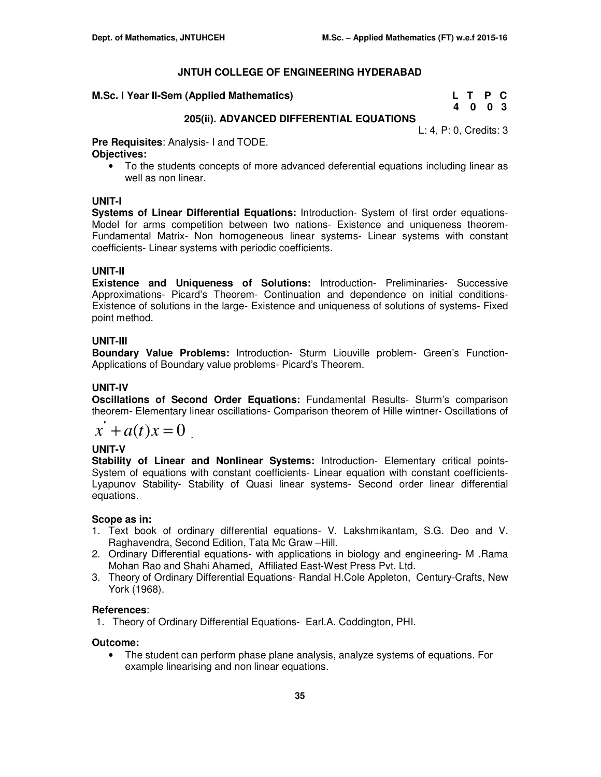#### **M.Sc. I Year II-Sem (Applied Mathematics)**

| M.Sc. I Year II-Sem (Applied Mathematics) | L T P C |  |
|-------------------------------------------|---------|--|
|                                           | 4 0 0 3 |  |

## **205(ii). ADVANCED DIFFERENTIAL EQUATIONS**

L: 4, P: 0, Credits: 3

**Pre Requisites**: Analysis- I and TODE. **Objectives:** 

• To the students concepts of more advanced deferential equations including linear as well as non linear.

## **UNIT-I**

**Systems of Linear Differential Equations:** Introduction- System of first order equations-Model for arms competition between two nations- Existence and uniqueness theorem-Fundamental Matrix- Non homogeneous linear systems- Linear systems with constant coefficients- Linear systems with periodic coefficients.

## **UNIT-II**

**Existence and Uniqueness of Solutions:** Introduction- Preliminaries- Successive Approximations- Picard's Theorem- Continuation and dependence on initial conditions-Existence of solutions in the large- Existence and uniqueness of solutions of systems- Fixed point method.

## **UNIT-III**

**Boundary Value Problems:** Introduction- Sturm Liouville problem- Green's Function-Applications of Boundary value problems- Picard's Theorem.

## **UNIT-IV**

**Oscillations of Second Order Equations:** Fundamental Results- Sturm's comparison theorem- Elementary linear oscillations- Comparison theorem of Hille wintner- Oscillations of

$$
x^{\dagger} + a(t)x = 0
$$

## **UNIT-V**

**Stability of Linear and Nonlinear Systems:** Introduction- Elementary critical points-System of equations with constant coefficients- Linear equation with constant coefficients-Lyapunov Stability- Stability of Quasi linear systems- Second order linear differential equations.

## **Scope as in:**

- 1. Text book of ordinary differential equations- V. Lakshmikantam, S.G. Deo and V. Raghavendra, Second Edition, Tata Mc Graw –Hill.
- 2. Ordinary Differential equations- with applications in biology and engineering- M .Rama Mohan Rao and Shahi Ahamed, Affiliated East-West Press Pvt. Ltd.
- 3. Theory of Ordinary Differential Equations- Randal H.Cole Appleton, Century-Crafts, New York (1968).

## **References**:

1. Theory of Ordinary Differential Equations- Earl.A. Coddington, PHI.

## **Outcome:**

• The student can perform phase plane analysis, analyze systems of equations. For example linearising and non linear equations.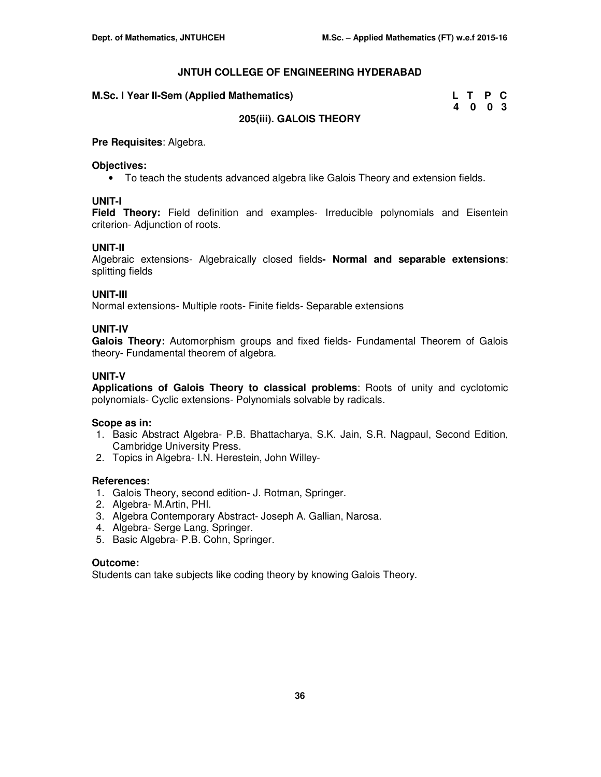| M.Sc. I Year II-Sem (Applied Mathematics) | LTPC |      |  |
|-------------------------------------------|------|------|--|
|                                           |      | 4003 |  |
| <b>2012/11:11 CALOIC THEODY</b>           |      |      |  |

## **205(iii). GALOIS THEORY**

## **Pre Requisites**: Algebra.

## **Objectives:**

• To teach the students advanced algebra like Galois Theory and extension fields.

## **UNIT-I**

**Field Theory:** Field definition and examples- Irreducible polynomials and Eisentein criterion- Adjunction of roots.

## **UNIT-II**

Algebraic extensions- Algebraically closed fields**- Normal and separable extensions**: splitting fields

## **UNIT-III**

Normal extensions- Multiple roots- Finite fields- Separable extensions

#### **UNIT-IV**

**Galois Theory:** Automorphism groups and fixed fields- Fundamental Theorem of Galois theory- Fundamental theorem of algebra.

#### **UNIT-V**

**Applications of Galois Theory to classical problems**: Roots of unity and cyclotomic polynomials- Cyclic extensions- Polynomials solvable by radicals.

#### **Scope as in:**

- 1. Basic Abstract Algebra- P.B. Bhattacharya, S.K. Jain, S.R. Nagpaul, Second Edition, Cambridge University Press.
- 2. Topics in Algebra- I.N. Herestein, John Willey-

## **References:**

- 1. Galois Theory, second edition- J. Rotman, Springer.
- 2. Algebra- M.Artin, PHI.
- 3. Algebra Contemporary Abstract- Joseph A. Gallian, Narosa.
- 4. Algebra- Serge Lang, Springer.
- 5. Basic Algebra- P.B. Cohn, Springer.

## **Outcome:**

Students can take subjects like coding theory by knowing Galois Theory.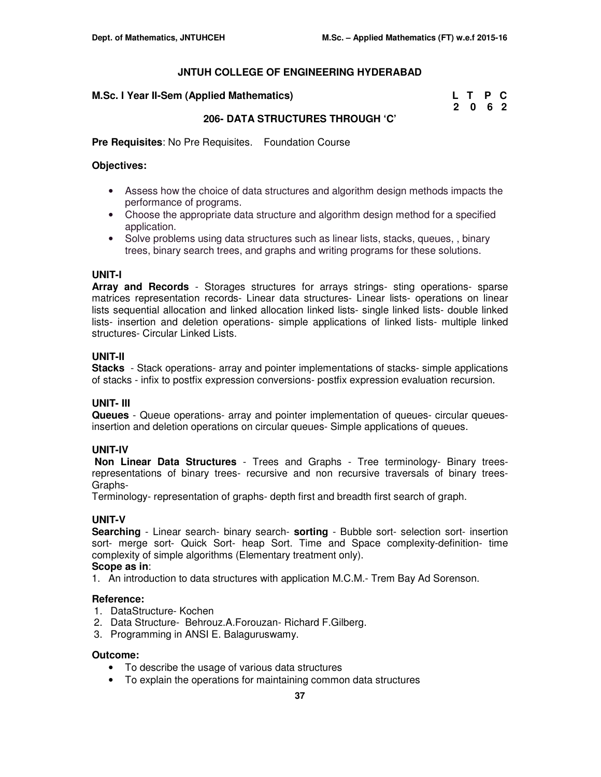#### **M.Sc. I Year II-Sem (Applied Mathematics)**

| M.Sc. I Year II-Sem (Applied Mathematics) | L T P C |  |
|-------------------------------------------|---------|--|
|                                           | 2 0 6 2 |  |

## **206- DATA STRUCTURES THROUGH 'C'**

**Pre Requisites**: No Pre Requisites. Foundation Course

## **Objectives:**

- Assess how the choice of data structures and algorithm design methods impacts the performance of programs.
- Choose the appropriate data structure and algorithm design method for a specified application.
- Solve problems using data structures such as linear lists, stacks, queues, , binary trees, binary search trees, and graphs and writing programs for these solutions.

## **UNIT-I**

**Array and Records** - Storages structures for arrays strings- sting operations- sparse matrices representation records- Linear data structures- Linear lists- operations on linear lists sequential allocation and linked allocation linked lists- single linked lists- double linked lists- insertion and deletion operations- simple applications of linked lists- multiple linked structures- Circular Linked Lists.

## **UNIT-II**

**Stacks** - Stack operations- array and pointer implementations of stacks- simple applications of stacks - infix to postfix expression conversions- postfix expression evaluation recursion.

## **UNIT- III**

**Queues** - Queue operations- array and pointer implementation of queues- circular queuesinsertion and deletion operations on circular queues- Simple applications of queues.

## **UNIT-IV**

**Non Linear Data Structures** - Trees and Graphs - Tree terminology- Binary treesrepresentations of binary trees- recursive and non recursive traversals of binary trees-Graphs-

Terminology- representation of graphs- depth first and breadth first search of graph.

## **UNIT-V**

**Searching** - Linear search- binary search- **sorting** - Bubble sort- selection sort- insertion sort- merge sort- Quick Sort- heap Sort. Time and Space complexity-definition- time complexity of simple algorithms (Elementary treatment only). **Scope as in**:

1. An introduction to data structures with application M.C.M.- Trem Bay Ad Sorenson.

## **Reference:**

- 1. DataStructure- Kochen
- 2. Data Structure- Behrouz.A.Forouzan- Richard F.Gilberg.
- 3. Programming in ANSI E. Balaguruswamy.

- To describe the usage of various data structures
- To explain the operations for maintaining common data structures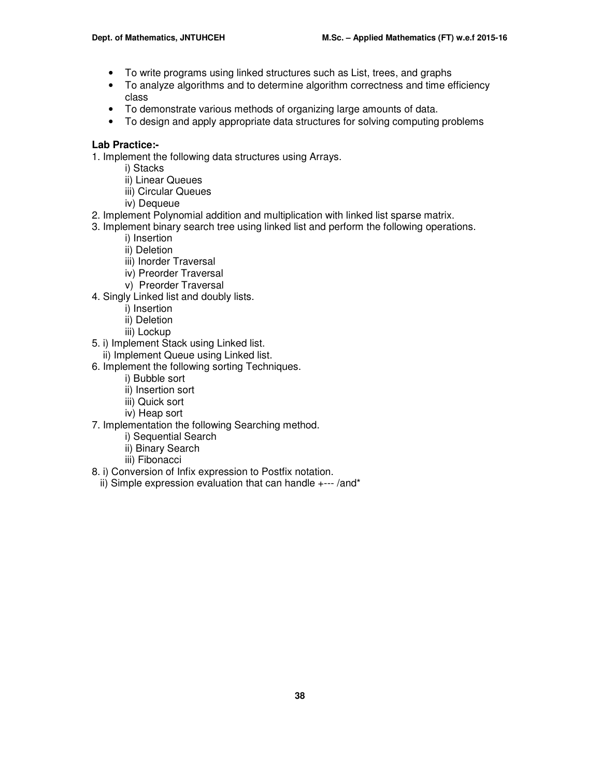- To write programs using linked structures such as List, trees, and graphs
- To analyze algorithms and to determine algorithm correctness and time efficiency class
- To demonstrate various methods of organizing large amounts of data.
- To design and apply appropriate data structures for solving computing problems

## **Lab Practice:-**

1. Implement the following data structures using Arrays.

- i) Stacks
- ii) Linear Queues
- iii) Circular Queues
- iv) Dequeue
- 2. Implement Polynomial addition and multiplication with linked list sparse matrix.
- 3. Implement binary search tree using linked list and perform the following operations.
	- i) Insertion
	- ii) Deletion
	- iii) Inorder Traversal
	- iv) Preorder Traversal
	- v) Preorder Traversal
- 4. Singly Linked list and doubly lists.
	- i) Insertion
	- ii) Deletion
	- iii) Lockup
- 5. i) Implement Stack using Linked list.
- ii) Implement Queue using Linked list.
- 6. Implement the following sorting Techniques.
	- i) Bubble sort
	- ii) Insertion sort
	- iii) Quick sort
	- iv) Heap sort
- 7. Implementation the following Searching method.
	- i) Sequential Search
	- ii) Binary Search
	- iii) Fibonacci
- 8. i) Conversion of Infix expression to Postfix notation.
	- ii) Simple expression evaluation that can handle +--- /and\*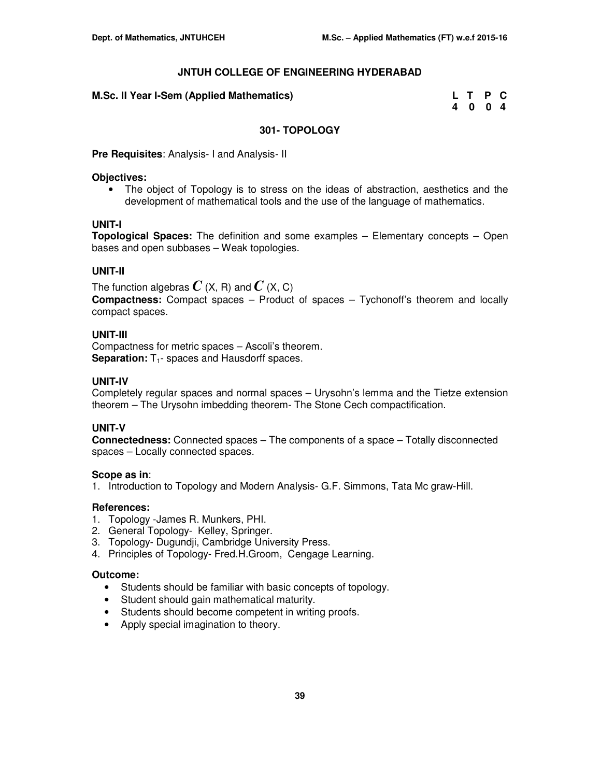| M.Sc. II Year I-Sem (Applied Mathematics) | L T P C |  |
|-------------------------------------------|---------|--|
|                                           | 4 0 0 4 |  |

## **301- TOPOLOGY**

**Pre Requisites**: Analysis- I and Analysis- II

## **Objectives:**

• The object of Topology is to stress on the ideas of abstraction, aesthetics and the development of mathematical tools and the use of the language of mathematics.

## **UNIT-I**

**Topological Spaces:** The definition and some examples – Elementary concepts – Open bases and open subbases – Weak topologies.

## **UNIT-II**

The function algebras  $C$  (X, R) and  $C$  (X, C)

**Compactness:** Compact spaces – Product of spaces – Tychonoff's theorem and locally compact spaces.

## **UNIT-III**

Compactness for metric spaces – Ascoli's theorem. **Separation:** T<sub>1</sub>- spaces and Hausdorff spaces.

## **UNIT-IV**

Completely regular spaces and normal spaces – Urysohn's lemma and the Tietze extension theorem – The Urysohn imbedding theorem- The Stone Cech compactification.

## **UNIT-V**

**Connectedness:** Connected spaces – The components of a space – Totally disconnected spaces – Locally connected spaces.

## **Scope as in**:

1. Introduction to Topology and Modern Analysis- G.F. Simmons, Tata Mc graw-Hill.

## **References:**

- 1. Topology -James R. Munkers, PHI.
- 2. General Topology- Kelley, Springer.
- 3. Topology- Dugundji, Cambridge University Press.
- 4. Principles of Topology- Fred.H.Groom, Cengage Learning.

- Students should be familiar with basic concepts of topology.
- Student should gain mathematical maturity.
- Students should become competent in writing proofs.
- Apply special imagination to theory.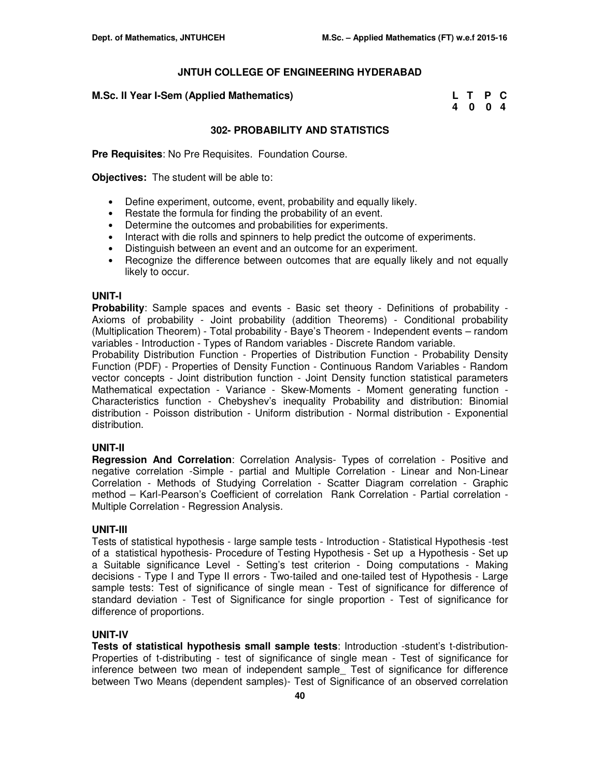| M.Sc. II Year I-Sem (Applied Mathematics) | L T P C |  |
|-------------------------------------------|---------|--|
|                                           | 4004    |  |

## **302- PROBABILITY AND STATISTICS**

**Pre Requisites**: No Pre Requisites. Foundation Course.

**Objectives:** The student will be able to:

- Define experiment, outcome, event, probability and equally likely.
- Restate the formula for finding the probability of an event.
- Determine the outcomes and probabilities for experiments.
- Interact with die rolls and spinners to help predict the outcome of experiments.
- Distinguish between an event and an outcome for an experiment.
- Recognize the difference between outcomes that are equally likely and not equally likely to occur.

#### **UNIT-I**

**Probability**: Sample spaces and events - Basic set theory - Definitions of probability - Axioms of probability - Joint probability (addition Theorems) - Conditional probability (Multiplication Theorem) - Total probability - Baye's Theorem - Independent events – random variables - Introduction - Types of Random variables - Discrete Random variable.

Probability Distribution Function - Properties of Distribution Function - Probability Density Function (PDF) - Properties of Density Function - Continuous Random Variables - Random vector concepts - Joint distribution function - Joint Density function statistical parameters Mathematical expectation - Variance - Skew-Moments - Moment generating function - Characteristics function - Chebyshev's inequality Probability and distribution: Binomial distribution - Poisson distribution - Uniform distribution - Normal distribution - Exponential distribution.

#### **UNIT-II**

**Regression And Correlation**: Correlation Analysis- Types of correlation - Positive and negative correlation -Simple - partial and Multiple Correlation - Linear and Non-Linear Correlation - Methods of Studying Correlation - Scatter Diagram correlation - Graphic method – Karl-Pearson's Coefficient of correlation Rank Correlation - Partial correlation - Multiple Correlation - Regression Analysis.

#### **UNIT-III**

Tests of statistical hypothesis - large sample tests - Introduction - Statistical Hypothesis -test of a statistical hypothesis- Procedure of Testing Hypothesis - Set up a Hypothesis - Set up a Suitable significance Level - Setting's test criterion - Doing computations - Making decisions - Type I and Type II errors - Two-tailed and one-tailed test of Hypothesis - Large sample tests: Test of significance of single mean - Test of significance for difference of standard deviation - Test of Significance for single proportion - Test of significance for difference of proportions.

## **UNIT-IV**

**Tests of statistical hypothesis small sample tests**: Introduction -student's t-distribution-Properties of t-distributing - test of significance of single mean - Test of significance for inference between two mean of independent sample\_ Test of significance for difference between Two Means (dependent samples)- Test of Significance of an observed correlation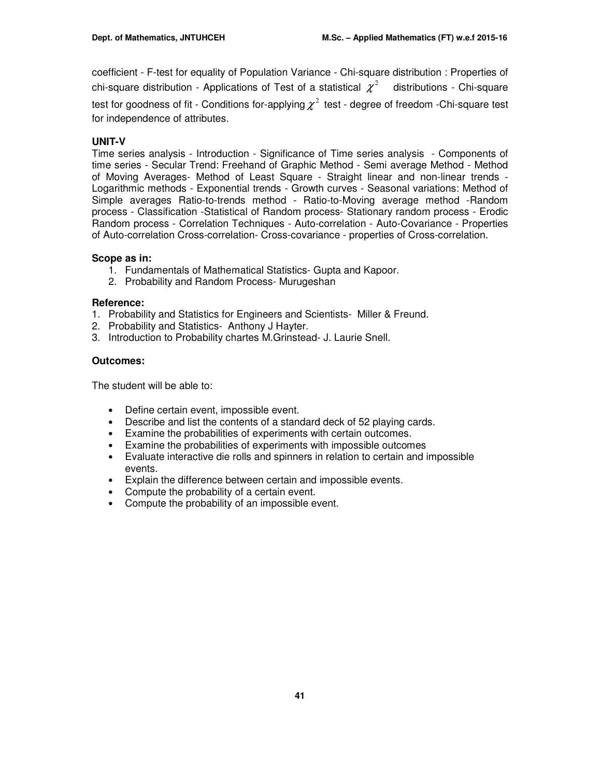coefficient - F-test for equality of Population Variance - Chi-square distribution : Properties of chi-square distribution - Applications of Test of a statistical  $\chi^2$  distributions - Chi-square test for goodness of fit - Conditions for-applying  $\chi^2$  test - degree of freedom -Chi-square test for independence of attributes.

## **UNIT-V**

Time series analysis - Introduction - Significance of Time series analysis - Components of time series - Secular Trend: Freehand of Graphic Method - Semi average Method - Method of Moving Averages- Method of Least Square - Straight linear and non-linear trends - Logarithmic methods - Exponential trends - Growth curves - Seasonal variations: Method of Simple averages Ratio-to-trends method - Ratio-to-Moving average method -Random process - Classification -Statistical of Random process- Stationary random process - Erodic Random process - Correlation Techniques - Auto-correlation - Auto-Covariance - Properties of Auto-correlation Cross-correlation- Cross-covariance - properties of Cross-correlation.

## **Scope as in:**

- 1. Fundamentals of Mathematical Statistics- Gupta and Kapoor.
- 2. Probability and Random Process- Murugeshan

## **Reference:**

- 1. Probability and Statistics for Engineers and Scientists- Miller & Freund.
- 2. Probability and Statistics- Anthony J Hayter.
- 3. Introduction to Probability chartes M.Grinstead- J. Laurie Snell.

## **Outcomes:**

The student will be able to:

- Define certain event, impossible event.
- Describe and list the contents of a standard deck of 52 playing cards.
- Examine the probabilities of experiments with certain outcomes.
- Examine the probabilities of experiments with impossible outcomes
- Evaluate interactive die rolls and spinners in relation to certain and impossible events.
- Explain the difference between certain and impossible events.
- Compute the probability of a certain event.
- Compute the probability of an impossible event.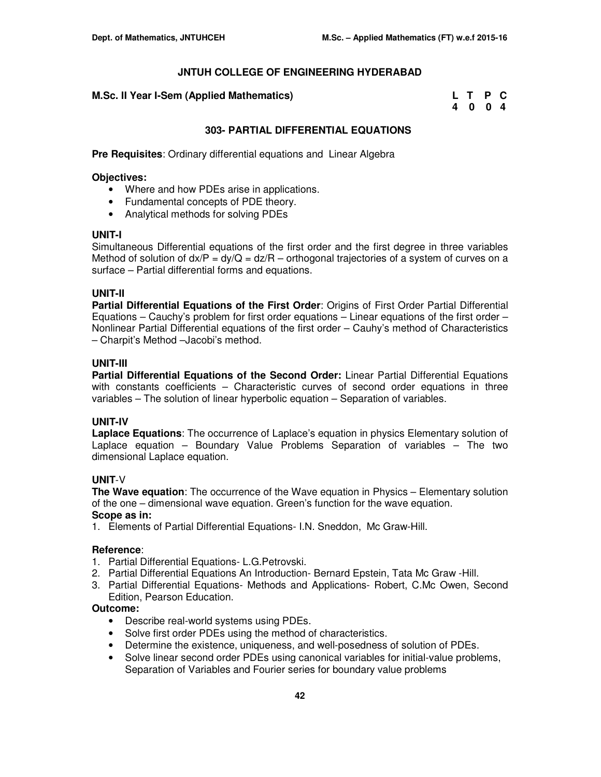#### **M.Sc. II Year I-Sem (Applied Mathematics)**

| M.Sc. II Year I-Sem (Applied Mathematics) | L T P C |  |
|-------------------------------------------|---------|--|
|                                           | 4004    |  |

## **303- PARTIAL DIFFERENTIAL EQUATIONS**

**Pre Requisites**: Ordinary differential equations and Linear Algebra

#### **Objectives:**

- Where and how PDEs arise in applications.
- Fundamental concepts of PDE theory.
- Analytical methods for solving PDEs

#### **UNIT-I**

Simultaneous Differential equations of the first order and the first degree in three variables Method of solution of  $dx/P = dy/Q = dz/R$  – orthogonal trajectories of a system of curves on a surface – Partial differential forms and equations.

## **UNIT-II**

**Partial Differential Equations of the First Order**: Origins of First Order Partial Differential Equations – Cauchy's problem for first order equations – Linear equations of the first order – Nonlinear Partial Differential equations of the first order – Cauhy's method of Characteristics – Charpit's Method –Jacobi's method.

#### **UNIT-III**

**Partial Differential Equations of the Second Order:** Linear Partial Differential Equations with constants coefficients – Characteristic curves of second order equations in three variables – The solution of linear hyperbolic equation – Separation of variables.

## **UNIT-IV**

**Laplace Equations**: The occurrence of Laplace's equation in physics Elementary solution of Laplace equation – Boundary Value Problems Separation of variables – The two dimensional Laplace equation.

## **UNIT**-V

**The Wave equation**: The occurrence of the Wave equation in Physics – Elementary solution of the one – dimensional wave equation. Green's function for the wave equation. **Scope as in:** 

1. Elements of Partial Differential Equations- I.N. Sneddon, Mc Graw-Hill.

## **Reference**:

- 1. Partial Differential Equations- L.G.Petrovski.
- 2. Partial Differential Equations An Introduction- Bernard Epstein, Tata Mc Graw -Hill.
- 3. Partial Differential Equations- Methods and Applications- Robert, C.Mc Owen, Second Edition, Pearson Education.

- Describe real-world systems using PDEs.
- Solve first order PDEs using the method of characteristics.
- Determine the existence, uniqueness, and well-posedness of solution of PDEs.
- Solve linear second order PDEs using canonical variables for initial-value problems, Separation of Variables and Fourier series for boundary value problems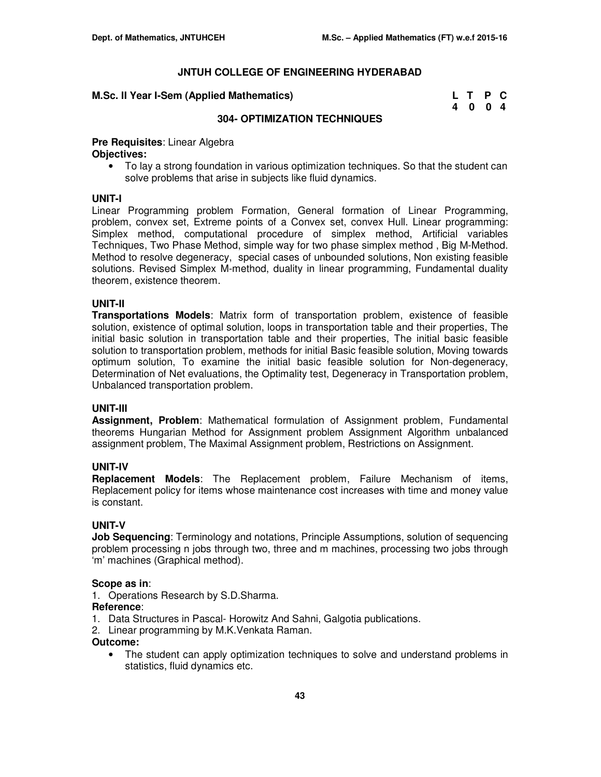#### **M.Sc. II Year I-Sem (Applied Mathematics)**

| M.Sc. II Year I-Sem (Applied Mathematics) | L T P C |  |
|-------------------------------------------|---------|--|
|                                           | 4 0 0 4 |  |

#### **304- OPTIMIZATION TECHNIQUES**

## **Pre Requisites**: Linear Algebra **Objectives:**

• To lay a strong foundation in various optimization techniques. So that the student can solve problems that arise in subjects like fluid dynamics.

#### **UNIT-I**

Linear Programming problem Formation, General formation of Linear Programming, problem, convex set, Extreme points of a Convex set, convex Hull. Linear programming: Simplex method, computational procedure of simplex method, Artificial variables Techniques, Two Phase Method, simple way for two phase simplex method , Big M-Method. Method to resolve degeneracy, special cases of unbounded solutions, Non existing feasible solutions. Revised Simplex M-method, duality in linear programming, Fundamental duality theorem, existence theorem.

## **UNIT-II**

**Transportations Models**: Matrix form of transportation problem, existence of feasible solution, existence of optimal solution, loops in transportation table and their properties, The initial basic solution in transportation table and their properties, The initial basic feasible solution to transportation problem, methods for initial Basic feasible solution, Moving towards optimum solution, To examine the initial basic feasible solution for Non-degeneracy, Determination of Net evaluations, the Optimality test, Degeneracy in Transportation problem, Unbalanced transportation problem.

#### **UNIT-III**

**Assignment, Problem**: Mathematical formulation of Assignment problem, Fundamental theorems Hungarian Method for Assignment problem Assignment Algorithm unbalanced assignment problem, The Maximal Assignment problem, Restrictions on Assignment.

## **UNIT-IV**

**Replacement Models**: The Replacement problem, Failure Mechanism of items, Replacement policy for items whose maintenance cost increases with time and money value is constant.

## **UNIT-V**

**Job Sequencing**: Terminology and notations, Principle Assumptions, solution of sequencing problem processing n jobs through two, three and m machines, processing two jobs through 'm' machines (Graphical method).

## **Scope as in**:

1. Operations Research by S.D.Sharma.

#### **Reference**:

- 1. Data Structures in Pascal- Horowitz And Sahni, Galgotia publications.
- 2. Linear programming by M.K.Venkata Raman.

## **Outcome:**

• The student can apply optimization techniques to solve and understand problems in statistics, fluid dynamics etc.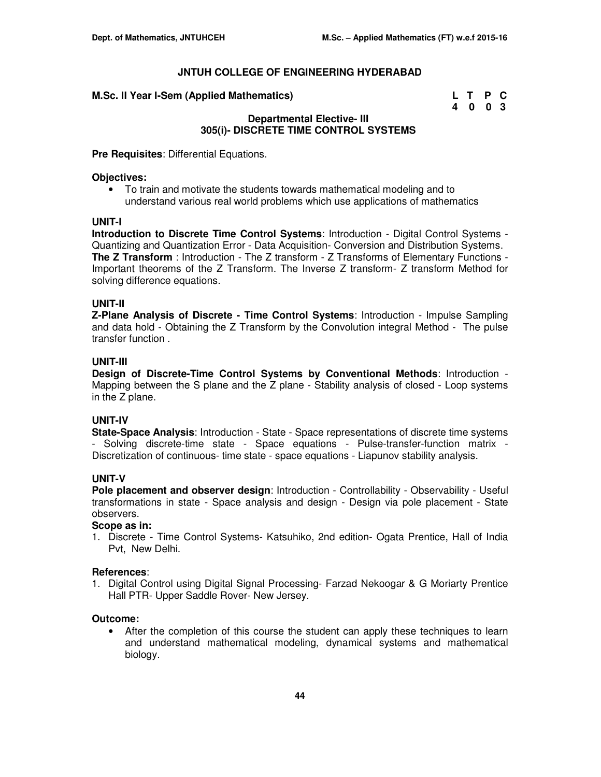| M.Sc. II Year I-Sem (Applied Mathematics) | L T P C |  |
|-------------------------------------------|---------|--|
|                                           | 4 0 0 3 |  |

## **Departmental Elective- III 305(i)- DISCRETE TIME CONTROL SYSTEMS**

**Pre Requisites**: Differential Equations.

#### **Objectives:**

• To train and motivate the students towards mathematical modeling and to understand various real world problems which use applications of mathematics

## **UNIT-I**

**Introduction to Discrete Time Control Systems**: Introduction - Digital Control Systems - Quantizing and Quantization Error - Data Acquisition- Conversion and Distribution Systems. **The Z Transform** : Introduction - The Z transform - Z Transforms of Elementary Functions - Important theorems of the Z Transform. The Inverse Z transform- Z transform Method for solving difference equations.

## **UNIT-II**

**Z-Plane Analysis of Discrete - Time Control Systems**: Introduction - Impulse Sampling and data hold - Obtaining the Z Transform by the Convolution integral Method - The pulse transfer function .

## **UNIT-III**

**Design of Discrete-Time Control Systems by Conventional Methods**: Introduction - Mapping between the S plane and the Z plane - Stability analysis of closed - Loop systems in the Z plane.

## **UNIT-IV**

**State-Space Analysis**: Introduction - State - Space representations of discrete time systems - Solving discrete-time state - Space equations - Pulse-transfer-function matrix - Discretization of continuous- time state - space equations - Liapunov stability analysis.

## **UNIT-V**

**Pole placement and observer design**: Introduction - Controllability - Observability - Useful transformations in state - Space analysis and design - Design via pole placement - State observers.

## **Scope as in:**

1. Discrete - Time Control Systems- Katsuhiko, 2nd edition- Ogata Prentice, Hall of India Pvt, New Delhi.

#### **References**:

1. Digital Control using Digital Signal Processing- Farzad Nekoogar & G Moriarty Prentice Hall PTR- Upper Saddle Rover- New Jersey.

#### **Outcome:**

• After the completion of this course the student can apply these techniques to learn and understand mathematical modeling, dynamical systems and mathematical biology.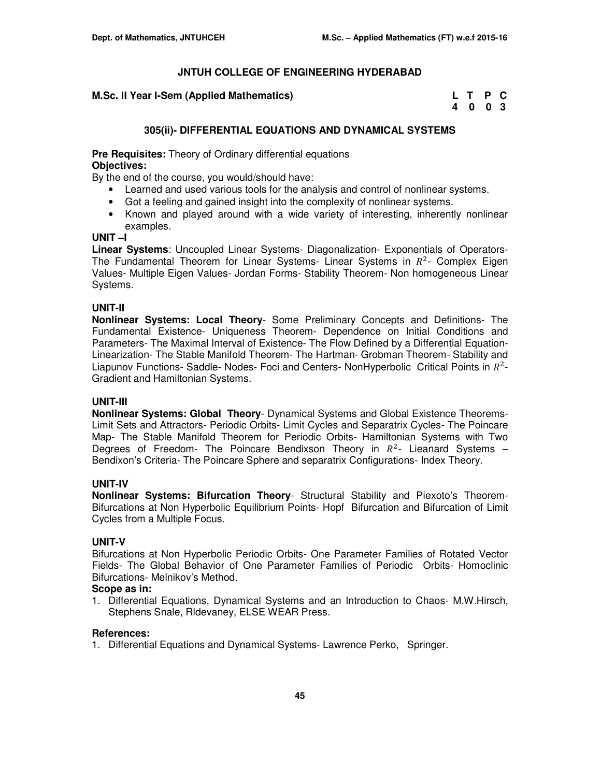| M.Sc. II Year I-Sem (Applied Mathematics) | L T P C |  |
|-------------------------------------------|---------|--|
|                                           | 4 0 0 3 |  |

## **305(ii)- DIFFERENTIAL EQUATIONS AND DYNAMICAL SYSTEMS**

**Pre Requisites:** Theory of Ordinary differential equations **Objectives:** 

By the end of the course, you would/should have:

- Learned and used various tools for the analysis and control of nonlinear systems.
- Got a feeling and gained insight into the complexity of nonlinear systems.
- Known and played around with a wide variety of interesting, inherently nonlinear examples.

## **UNIT –I**

**Linear Systems**: Uncoupled Linear Systems- Diagonalization- Exponentials of Operators-The Fundamental Theorem for Linear Systems- Linear Systems in  $R^2$ - Complex Eigen Values- Multiple Eigen Values- Jordan Forms- Stability Theorem- Non homogeneous Linear Systems.

## **UNIT-II**

**Nonlinear Systems: Local Theory**- Some Preliminary Concepts and Definitions- The Fundamental Existence- Uniqueness Theorem- Dependence on Initial Conditions and Parameters- The Maximal Interval of Existence- The Flow Defined by a Differential Equation-Linearization- The Stable Manifold Theorem- The Hartman- Grobman Theorem- Stability and Liapunov Functions- Saddle- Nodes- Foci and Centers- NonHyperbolic Critical Points in  $R^2$ -Gradient and Hamiltonian Systems.

## **UNIT-III**

**Nonlinear Systems: Global Theory**- Dynamical Systems and Global Existence Theorems-Limit Sets and Attractors- Periodic Orbits- Limit Cycles and Separatrix Cycles- The Poincare Map- The Stable Manifold Theorem for Periodic Orbits- Hamiltonian Systems with Two Degrees of Freedom- The Poincare Bendixson Theory in  $R^2$ - Lieanard Systems  $-$ Bendixon's Criteria- The Poincare Sphere and separatrix Configurations- Index Theory.

## **UNIT-IV**

**Nonlinear Systems: Bifurcation Theory**- Structural Stability and Piexoto's Theorem-Bifurcations at Non Hyperbolic Equilibrium Points- Hopf Bifurcation and Bifurcation of Limit Cycles from a Multiple Focus.

## **UNIT-V**

Bifurcations at Non Hyperbolic Periodic Orbits- One Parameter Families of Rotated Vector Fields- The Global Behavior of One Parameter Families of Periodic Orbits- Homoclinic Bifurcations- Melnikov's Method.

## **Scope as in:**

1. Differential Equations, Dynamical Systems and an Introduction to Chaos- M.W.Hirsch, Stephens Snale, Rldevaney, ELSE WEAR Press.

#### **References:**

1. Differential Equations and Dynamical Systems- Lawrence Perko, Springer.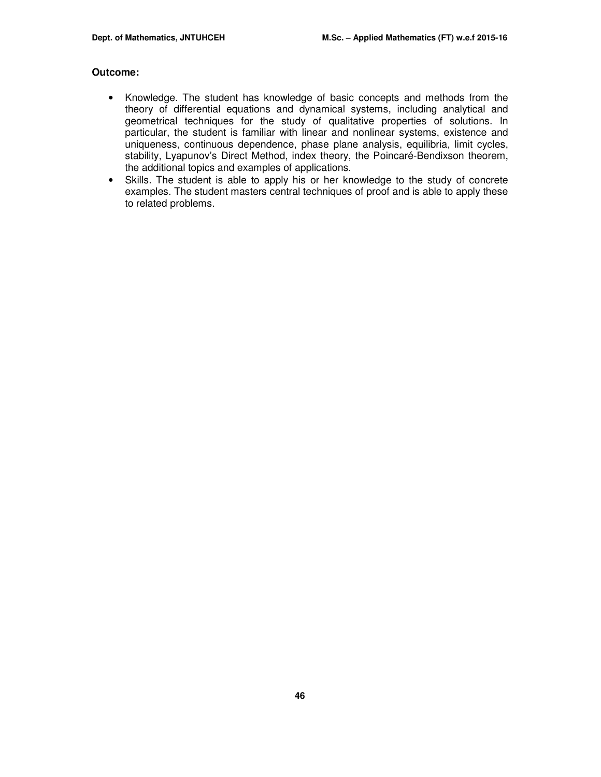- Knowledge. The student has knowledge of basic concepts and methods from the theory of differential equations and dynamical systems, including analytical and geometrical techniques for the study of qualitative properties of solutions. In particular, the student is familiar with linear and nonlinear systems, existence and uniqueness, continuous dependence, phase plane analysis, equilibria, limit cycles, stability, Lyapunov's Direct Method, index theory, the Poincaré-Bendixson theorem, the additional topics and examples of applications.
- Skills. The student is able to apply his or her knowledge to the study of concrete examples. The student masters central techniques of proof and is able to apply these to related problems.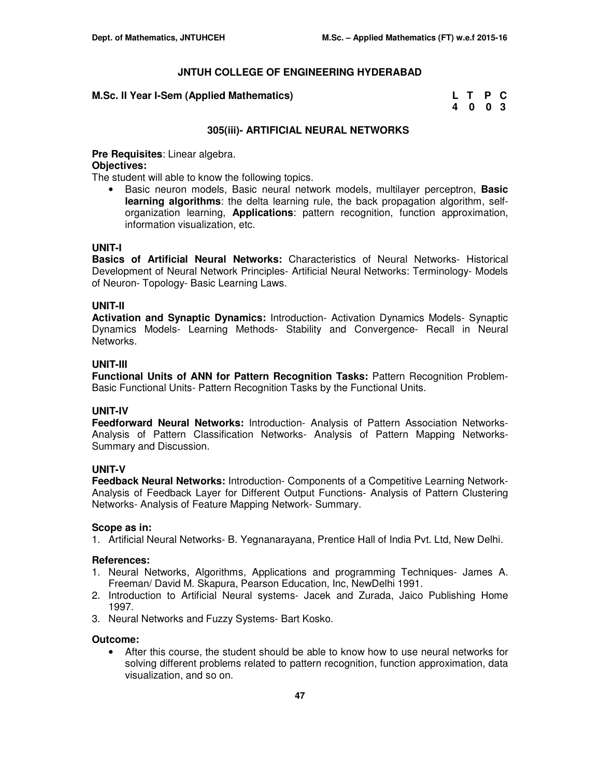#### **M.Sc. II Year I-Sem (Applied Mathematics)**

| M.Sc. II Year I-Sem (Applied Mathematics) | L T P C |  |
|-------------------------------------------|---------|--|
|                                           | 4003    |  |

#### **305(iii)- ARTIFICIAL NEURAL NETWORKS**

#### **Pre Requisites**: Linear algebra.

#### **Objectives:**

The student will able to know the following topics.

• Basic neuron models, Basic neural network models, multilayer perceptron, **Basic learning algorithms**: the delta learning rule, the back propagation algorithm, selforganization learning, **Applications**: pattern recognition, function approximation, information visualization, etc.

## **UNIT-I**

**Basics of Artificial Neural Networks:** Characteristics of Neural Networks- Historical Development of Neural Network Principles- Artificial Neural Networks: Terminology- Models of Neuron- Topology- Basic Learning Laws.

#### **UNIT-II**

**Activation and Synaptic Dynamics:** Introduction- Activation Dynamics Models- Synaptic Dynamics Models- Learning Methods- Stability and Convergence- Recall in Neural Networks.

#### **UNIT-III**

**Functional Units of ANN for Pattern Recognition Tasks:** Pattern Recognition Problem-Basic Functional Units- Pattern Recognition Tasks by the Functional Units.

#### **UNIT-IV**

**Feedforward Neural Networks:** Introduction- Analysis of Pattern Association Networks-Analysis of Pattern Classification Networks- Analysis of Pattern Mapping Networks-Summary and Discussion.

## **UNIT-V**

**Feedback Neural Networks: Introduction- Components of a Competitive Learning Network-**Analysis of Feedback Layer for Different Output Functions- Analysis of Pattern Clustering Networks- Analysis of Feature Mapping Network- Summary.

#### **Scope as in:**

1. Artificial Neural Networks- B. Yegnanarayana, Prentice Hall of India Pvt. Ltd, New Delhi.

#### **References:**

- 1. Neural Networks, Algorithms, Applications and programming Techniques- James A. Freeman/ David M. Skapura, Pearson Education, Inc, NewDelhi 1991.
- 2. Introduction to Artificial Neural systems- Jacek and Zurada, Jaico Publishing Home 1997.
- 3. Neural Networks and Fuzzy Systems- Bart Kosko.

#### **Outcome:**

• After this course, the student should be able to know how to use neural networks for solving different problems related to pattern recognition, function approximation, data visualization, and so on.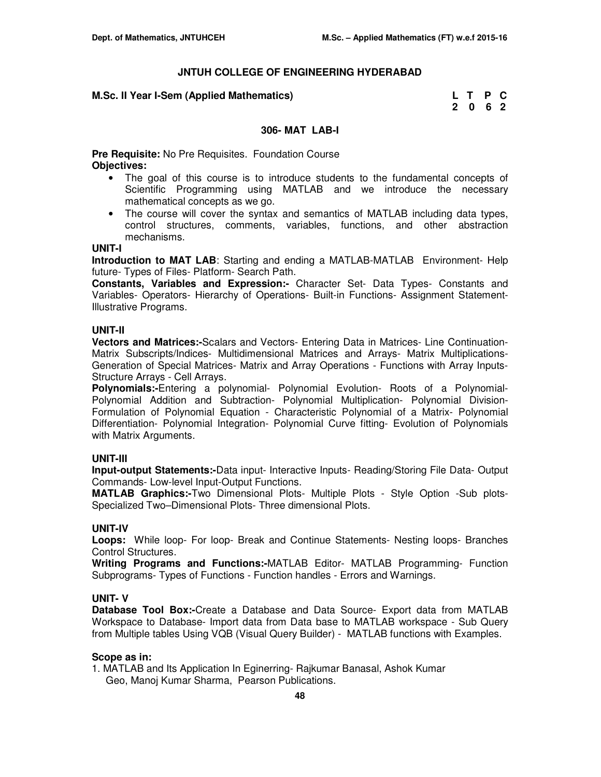#### **M.Sc. II Year I-Sem (Applied Mathematics)**

| M.Sc. II Year I-Sem (Applied Mathematics) | L T P C |  |
|-------------------------------------------|---------|--|
|                                           | 2062    |  |

#### **306- MAT LAB-I**

**Pre Requisite:** No Pre Requisites. Foundation Course **Objectives:** 

- The goal of this course is to introduce students to the fundamental concepts of Scientific Programming using MATLAB and we introduce the necessary mathematical concepts as we go.
- The course will cover the syntax and semantics of MATLAB including data types, control structures, comments, variables, functions, and other abstraction mechanisms.

#### **UNIT-I**

**Introduction to MAT LAB**: Starting and ending a MATLAB-MATLAB Environment- Help future- Types of Files- Platform- Search Path.

**Constants, Variables and Expression:-** Character Set- Data Types- Constants and Variables- Operators- Hierarchy of Operations- Built-in Functions- Assignment Statement-Illustrative Programs.

#### **UNIT-II**

**Vectors and Matrices:-**Scalars and Vectors- Entering Data in Matrices- Line Continuation-Matrix Subscripts/Indices- Multidimensional Matrices and Arrays- Matrix Multiplications-Generation of Special Matrices- Matrix and Array Operations - Functions with Array Inputs-Structure Arrays - Cell Arrays.

**Polynomials:-**Entering a polynomial- Polynomial Evolution- Roots of a Polynomial-Polynomial Addition and Subtraction- Polynomial Multiplication- Polynomial Division-Formulation of Polynomial Equation - Characteristic Polynomial of a Matrix- Polynomial Differentiation- Polynomial Integration- Polynomial Curve fitting- Evolution of Polynomials with Matrix Arguments.

## **UNIT-III**

**Input-output Statements:-**Data input- Interactive Inputs- Reading/Storing File Data- Output Commands- Low-level Input-Output Functions.

**MATLAB Graphics:-**Two Dimensional Plots- Multiple Plots - Style Option -Sub plots-Specialized Two–Dimensional Plots- Three dimensional Plots.

## **UNIT-IV**

**Loops:** While loop- For loop- Break and Continue Statements- Nesting loops- Branches Control Structures.

**Writing Programs and Functions:-**MATLAB Editor- MATLAB Programming- Function Subprograms- Types of Functions - Function handles - Errors and Warnings.

#### **UNIT- V**

**Database Tool Box:-**Create a Database and Data Source- Export data from MATLAB Workspace to Database- Import data from Data base to MATLAB workspace - Sub Query from Multiple tables Using VQB (Visual Query Builder) - MATLAB functions with Examples.

#### **Scope as in:**

1. MATLAB and Its Application In Eginerring- Rajkumar Banasal, Ashok Kumar Geo, Manoj Kumar Sharma, Pearson Publications.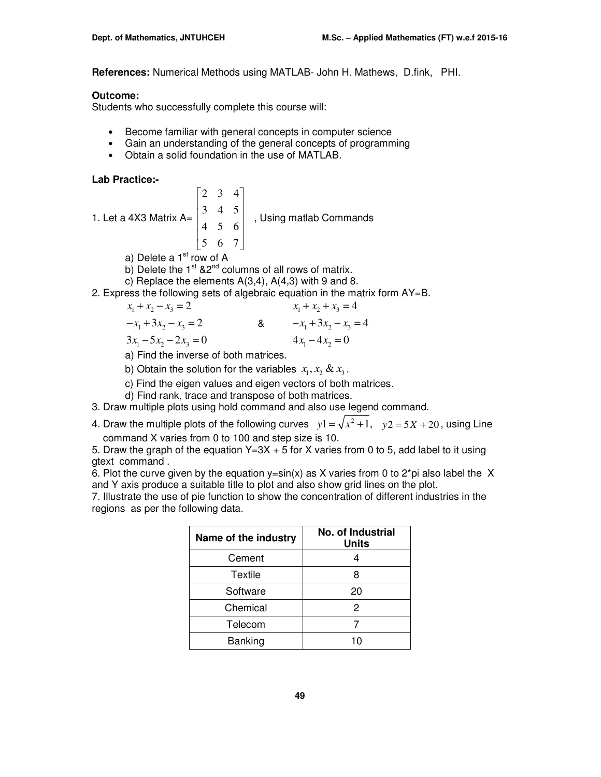**References:** Numerical Methods using MATLAB- John H. Mathews, D.fink, PHI.

## **Outcome:**

Students who successfully complete this course will:

- Become familiar with general concepts in computer science
- Gain an understanding of the general concepts of programming
- Obtain a solid foundation in the use of MATLAB.

**Lab Practice:-** 

1. Let a 4X3 Matrix 
$$
A = \begin{bmatrix} 2 & 3 & 4 \\ 3 & 4 & 5 \\ 4 & 5 & 6 \\ 5 & 6 & 7 \end{bmatrix}
$$
, Using matlab Commons

a) Delete a  $1<sup>st</sup>$  row of A

- b) Delete the  $1^{st}$  &2<sup>nd</sup> columns of all rows of matrix.
- c) Replace the elements A(3,4), A(4,3) with 9 and 8.
- 2. Express the following sets of algebraic equation in the matrix form AY=B.

$$
x_1 + x_2 - x_3 = 2
$$
  
\n
$$
-x_1 + 3x_2 - x_3 = 2
$$
  
\n
$$
3x_1 - 5x_2 - 2x_3 = 0
$$
  
\n
$$
x_1 + x_2 + x_3 = 4
$$
  
\n
$$
-x_1 + 3x_2 - x_3 = 4
$$
  
\n
$$
4x_1 - 4x_2 = 0
$$

a) Find the inverse of both matrices.

b) Obtain the solution for the variables  $x_1, x_2 \& x_3$ .

- c) Find the eigen values and eigen vectors of both matrices.
- d) Find rank, trace and transpose of both matrices.
- 3. Draw multiple plots using hold command and also use legend command.
- 4. Draw the multiple plots of the following curves  $y1 = \sqrt{x^2 + 1}$ ,  $y2 = 5X + 20$ , using Line command X varies from 0 to 100 and step size is 10.

5. Draw the graph of the equation  $Y=3X + 5$  for X varies from 0 to 5, add label to it using gtext command .

6. Plot the curve given by the equation  $y=sin(x)$  as X varies from 0 to 2<sup>\*</sup>pi also label the X and Y axis produce a suitable title to plot and also show grid lines on the plot.

7. Illustrate the use of pie function to show the concentration of different industries in the regions as per the following data.

| Name of the industry | No. of Industrial<br><b>Units</b> |
|----------------------|-----------------------------------|
| Cement               |                                   |
| Textile              |                                   |
| Software             | 20                                |
| Chemical             | 2                                 |
| Telecom              |                                   |
| Banking              | 10                                |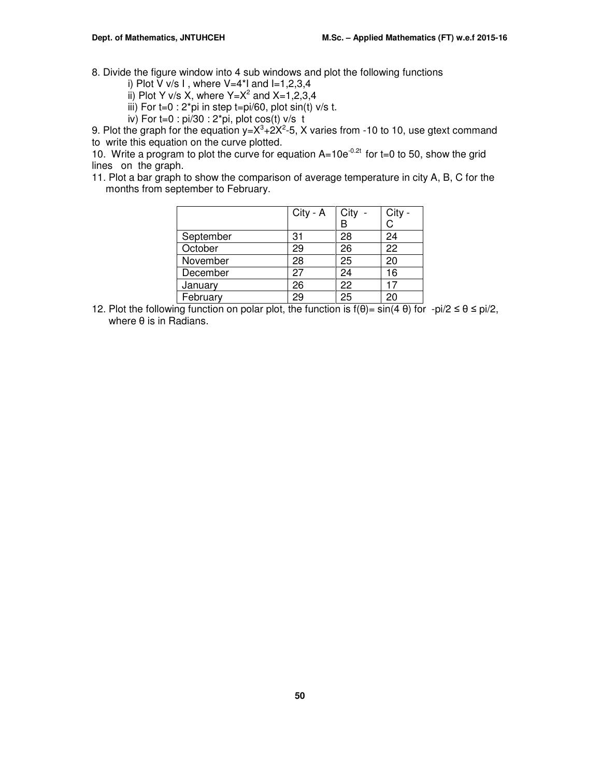8. Divide the figure window into 4 sub windows and plot the following functions

i) Plot V v/s I, where  $V=4$ <sup>\*</sup>I and  $I=1,2,3,4$ 

ii) Plot Y v/s X, where  $Y=X^2$  and  $X=1,2,3,4$ 

iii) For  $t=0$ :  $2*pi$  in step  $t=pi/60$ , plot  $sin(t)$  v/s t.

iv) For  $t=0$  : pi/30 : 2\*pi, plot cos(t) v/s t

9. Plot the graph for the equation  $y = X^3 + 2X^2 - 5$ , X varies from -10 to 10, use gtext command to write this equation on the curve plotted.

10. Write a program to plot the curve for equation  $A=10e^{-0.2t}$  for t=0 to 50, show the grid lines on the graph.

11. Plot a bar graph to show the comparison of average temperature in city A, B, C for the months from september to February.

|           | City - A | City | City - |
|-----------|----------|------|--------|
|           |          |      | C      |
| September | 31       | 28   | 24     |
| October   | 29       | 26   | 22     |
| November  | 28       | 25   | 20     |
| December  | 27       | 24   | 16     |
| January   | 26       | 22   |        |
| February  | 29       | 25   | 20     |

12. Plot the following function on polar plot, the function is  $f(\theta) = \sin(4 \theta)$  for  $-pi/2 \le \theta \le \pi i/2$ , where θ is in Radians.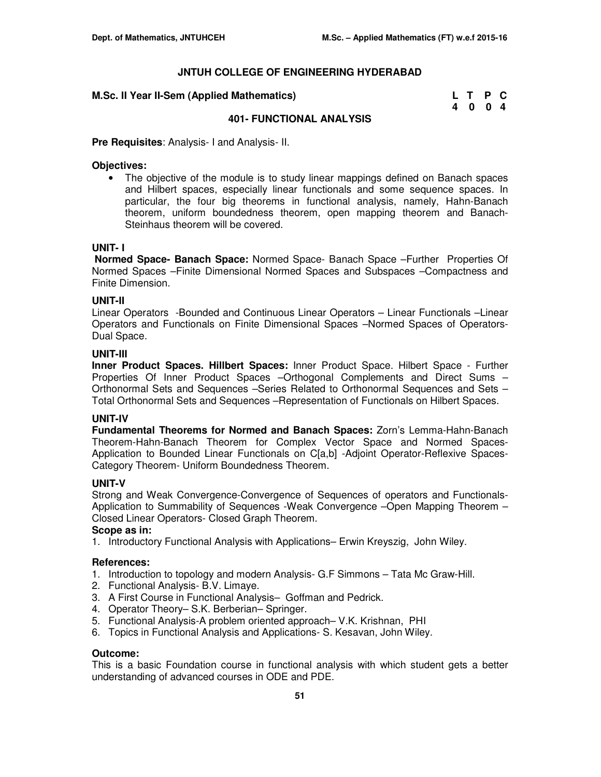| M.Sc. II Year II-Sem (Applied Mathematics) | L T P C |  |
|--------------------------------------------|---------|--|
|                                            | 4 0 0 4 |  |

#### **401- FUNCTIONAL ANALYSIS**

**Pre Requisites**: Analysis- I and Analysis- II.

#### **Objectives:**

• The objective of the module is to study linear mappings defined on Banach spaces and Hilbert spaces, especially linear functionals and some sequence spaces. In particular, the four big theorems in functional analysis, namely, Hahn-Banach theorem, uniform boundedness theorem, open mapping theorem and Banach-Steinhaus theorem will be covered.

#### **UNIT- I**

 **Normed Space- Banach Space:** Normed Space- Banach Space –Further Properties Of Normed Spaces –Finite Dimensional Normed Spaces and Subspaces –Compactness and Finite Dimension.

#### **UNIT-II**

Linear Operators -Bounded and Continuous Linear Operators – Linear Functionals –Linear Operators and Functionals on Finite Dimensional Spaces –Normed Spaces of Operators-Dual Space.

#### **UNIT-III**

**Inner Product Spaces. Hillbert Spaces:** Inner Product Space. Hilbert Space - Further Properties Of Inner Product Spaces –Orthogonal Complements and Direct Sums – Orthonormal Sets and Sequences –Series Related to Orthonormal Sequences and Sets – Total Orthonormal Sets and Sequences –Representation of Functionals on Hilbert Spaces.

#### **UNIT-IV**

**Fundamental Theorems for Normed and Banach Spaces:** Zorn's Lemma-Hahn-Banach Theorem-Hahn-Banach Theorem for Complex Vector Space and Normed Spaces-Application to Bounded Linear Functionals on C[a,b] -Adjoint Operator-Reflexive Spaces-Category Theorem- Uniform Boundedness Theorem.

#### **UNIT-V**

Strong and Weak Convergence-Convergence of Sequences of operators and Functionals-Application to Summability of Sequences -Weak Convergence –Open Mapping Theorem – Closed Linear Operators- Closed Graph Theorem.

## **Scope as in:**

1. Introductory Functional Analysis with Applications– Erwin Kreyszig, John Wiley.

## **References:**

- 1. Introduction to topology and modern Analysis- G.F Simmons Tata Mc Graw-Hill.
- 2. Functional Analysis- B.V. Limaye.
- 3. A First Course in Functional Analysis– Goffman and Pedrick.
- 4. Operator Theory– S.K. Berberian– Springer.
- 5. Functional Analysis-A problem oriented approach– V.K. Krishnan, PHI
- 6. Topics in Functional Analysis and Applications- S. Kesavan, John Wiley.

#### **Outcome:**

This is a basic Foundation course in functional analysis with which student gets a better understanding of advanced courses in ODE and PDE.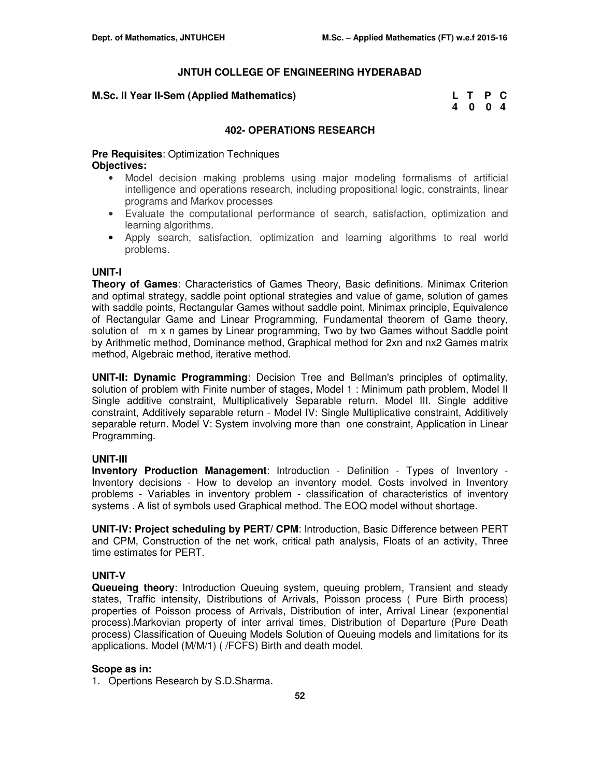## **M.Sc. II Year II-Sem (Applied Mathematics)**

| M.Sc. II Year II-Sem (Applied Mathematics) | L T P C |  |
|--------------------------------------------|---------|--|
|                                            | 4004    |  |

## **402- OPERATIONS RESEARCH**

**Pre Requisites**: Optimization Techniques **Objectives:** 

- Model decision making problems using major modeling formalisms of artificial intelligence and operations research, including propositional logic, constraints, linear programs and Markov processes
- Evaluate the computational performance of search, satisfaction, optimization and learning algorithms.
- Apply search, satisfaction, optimization and learning algorithms to real world problems.

## **UNIT-I**

**Theory of Games**: Characteristics of Games Theory, Basic definitions. Minimax Criterion and optimal strategy, saddle point optional strategies and value of game, solution of games with saddle points, Rectangular Games without saddle point, Minimax principle, Equivalence of Rectangular Game and Linear Programming, Fundamental theorem of Game theory, solution of m x n games by Linear programming, Two by two Games without Saddle point by Arithmetic method, Dominance method, Graphical method for 2xn and nx2 Games matrix method, Algebraic method, iterative method.

**UNIT-II: Dynamic Programming**: Decision Tree and Bellman's principles of optimality, solution of problem with Finite number of stages, Model 1 : Minimum path problem, Model II Single additive constraint, Multiplicatively Separable return. Model III. Single additive constraint, Additively separable return - Model IV: Single Multiplicative constraint, Additively separable return. Model V: System involving more than one constraint, Application in Linear Programming.

## **UNIT-III**

**Inventory Production Management**: Introduction - Definition - Types of Inventory - Inventory decisions - How to develop an inventory model. Costs involved in Inventory problems - Variables in inventory problem - classification of characteristics of inventory systems . A list of symbols used Graphical method. The EOQ model without shortage.

**UNIT-IV: Project scheduling by PERT/ CPM**: Introduction, Basic Difference between PERT and CPM, Construction of the net work, critical path analysis, Floats of an activity, Three time estimates for PERT.

## **UNIT-V**

**Queueing theory**: Introduction Queuing system, queuing problem, Transient and steady states, Traffic intensity, Distributions of Arrivals, Poisson process ( Pure Birth process) properties of Poisson process of Arrivals, Distribution of inter, Arrival Linear (exponential process).Markovian property of inter arrival times, Distribution of Departure (Pure Death process) Classification of Queuing Models Solution of Queuing models and limitations for its applications. Model (M/M/1) ( /FCFS) Birth and death model.

## **Scope as in:**

1. Opertions Research by S.D.Sharma.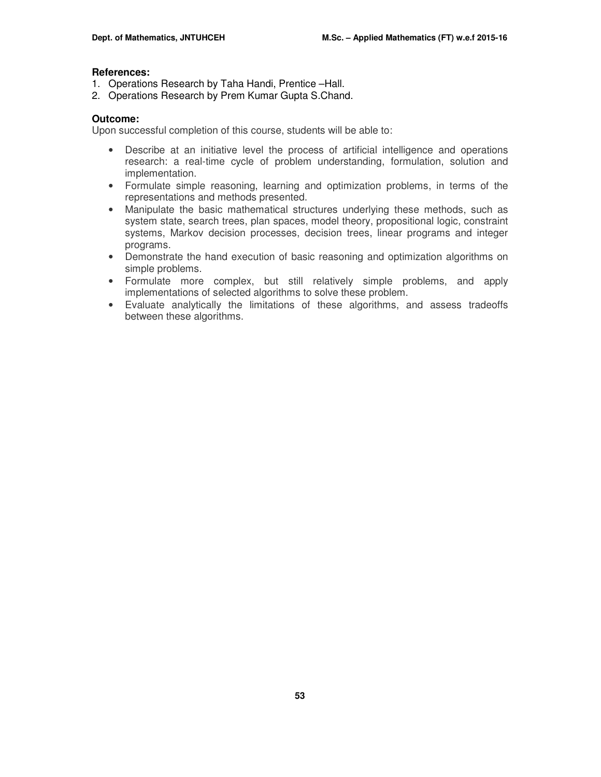#### **References:**

- 1. Operations Research by Taha Handi, Prentice –Hall.
- 2. Operations Research by Prem Kumar Gupta S.Chand.

#### **Outcome:**

Upon successful completion of this course, students will be able to:

- Describe at an initiative level the process of artificial intelligence and operations research: a real-time cycle of problem understanding, formulation, solution and implementation.
- Formulate simple reasoning, learning and optimization problems, in terms of the representations and methods presented.
- Manipulate the basic mathematical structures underlying these methods, such as system state, search trees, plan spaces, model theory, propositional logic, constraint systems, Markov decision processes, decision trees, linear programs and integer programs.
- Demonstrate the hand execution of basic reasoning and optimization algorithms on simple problems.
- Formulate more complex, but still relatively simple problems, and apply implementations of selected algorithms to solve these problem.
- Evaluate analytically the limitations of these algorithms, and assess tradeoffs between these algorithms.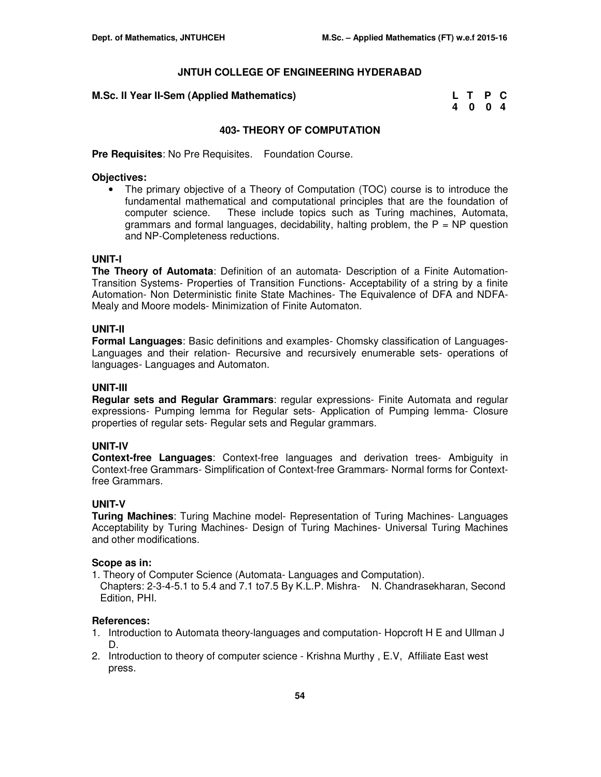| M.Sc. II Year II-Sem (Applied Mathematics) | L T P C |  |
|--------------------------------------------|---------|--|
|                                            | 4 0 0 4 |  |

## **403- THEORY OF COMPUTATION**

**Pre Requisites**: No Pre Requisites. Foundation Course.

#### **Objectives:**

• The primary objective of a Theory of Computation (TOC) course is to introduce the fundamental mathematical and computational principles that are the foundation of computer science. These include topics such as Turing machines, Automata, grammars and formal languages, decidability, halting problem, the  $P = NP$  question and NP-Completeness reductions.

## **UNIT-I**

**The Theory of Automata**: Definition of an automata- Description of a Finite Automation-Transition Systems- Properties of Transition Functions- Acceptability of a string by a finite Automation- Non Deterministic finite State Machines- The Equivalence of DFA and NDFA-Mealy and Moore models- Minimization of Finite Automaton.

#### **UNIT-II**

**Formal Languages**: Basic definitions and examples- Chomsky classification of Languages-Languages and their relation- Recursive and recursively enumerable sets- operations of languages- Languages and Automaton.

## **UNIT-III**

**Regular sets and Regular Grammars**: regular expressions- Finite Automata and regular expressions- Pumping lemma for Regular sets- Application of Pumping lemma- Closure properties of regular sets- Regular sets and Regular grammars.

#### **UNIT-IV**

**Context-free Languages**: Context-free languages and derivation trees- Ambiguity in Context-free Grammars- Simplification of Context-free Grammars- Normal forms for Contextfree Grammars.

## **UNIT-V**

**Turing Machines**: Turing Machine model- Representation of Turing Machines- Languages Acceptability by Turing Machines- Design of Turing Machines- Universal Turing Machines and other modifications.

#### **Scope as in:**

- 1. Theory of Computer Science (Automata- Languages and Computation).
- Chapters: 2-3-4-5.1 to 5.4 and 7.1 to7.5 By K.L.P. Mishra- N. Chandrasekharan, Second Edition, PHI.

#### **References:**

- 1. Introduction to Automata theory-languages and computation- Hopcroft H E and Ullman J D.
- 2. Introduction to theory of computer science Krishna Murthy , E.V, Affiliate East west press.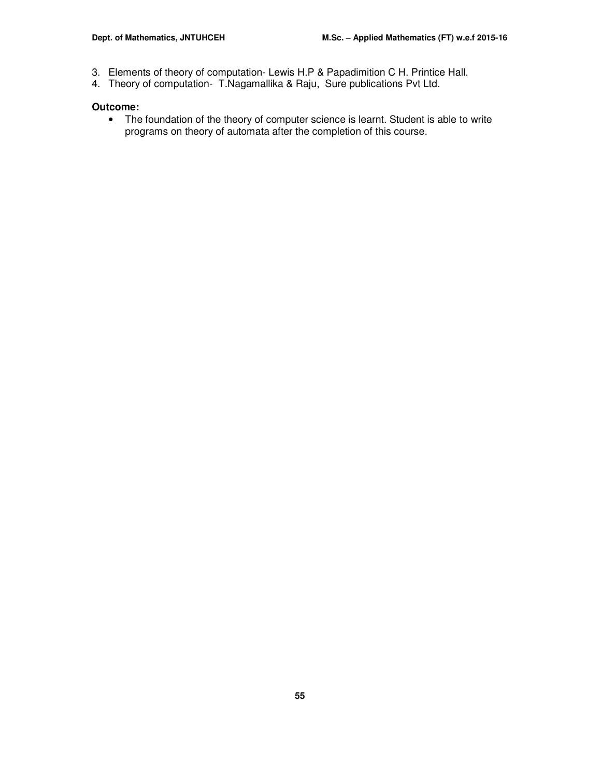- 3. Elements of theory of computation- Lewis H.P & Papadimition C H. Printice Hall.
- 4. Theory of computation- T.Nagamallika & Raju, Sure publications Pvt Ltd.

## **Outcome:**

• The foundation of the theory of computer science is learnt. Student is able to write programs on theory of automata after the completion of this course.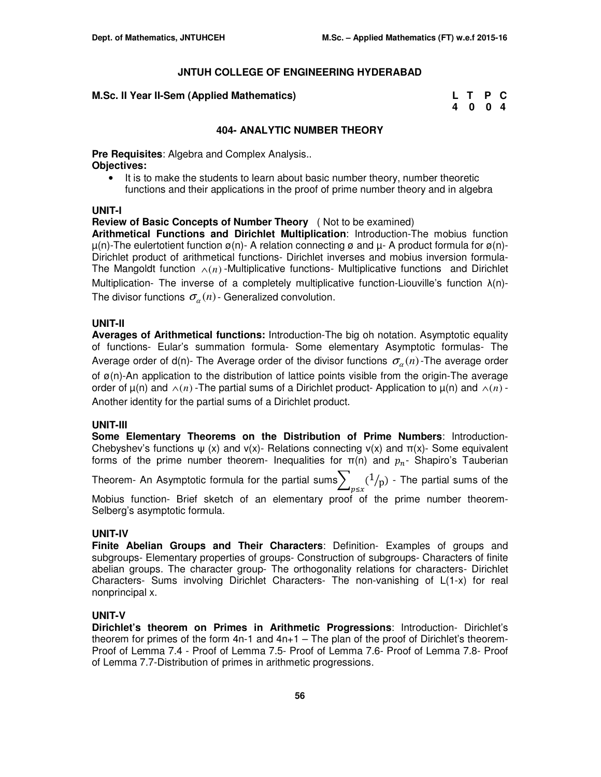#### **M.Sc. II Year II-Sem (Applied Mathematics)**

| M.Sc. II Year II-Sem (Applied Mathematics) | L T P C |  |
|--------------------------------------------|---------|--|
|                                            | 4004    |  |

#### **404- ANALYTIC NUMBER THEORY**

**Pre Requisites**: Algebra and Complex Analysis.. **Objectives:** 

• It is to make the students to learn about basic number theory, number theoretic functions and their applications in the proof of prime number theory and in algebra

#### **UNIT-I**

**Review of Basic Concepts of Number Theory** ( Not to be examined)

**Arithmetical Functions and Dirichlet Multiplication**: Introduction-The mobius function  $\mu(n)$ -The eulertotient function  $\alpha(n)$ - A relation connecting  $\alpha$  and  $\mu$ - A product formula for  $\alpha(n)$ -Dirichlet product of arithmetical functions- Dirichlet inverses and mobius inversion formula-The Mangoldt function  $\wedge$ (*n*) -Multiplicative functions- Multiplicative functions and Dirichlet Multiplication- The inverse of a completely multiplicative function-Liouville's function λ(n)- The divisor functions  $\sigma_\alpha(n)$  - Generalized convolution.

## **UNIT-II**

**Averages of Arithmetical functions:** Introduction-The big oh notation. Asymptotic equality of functions- Eular's summation formula- Some elementary Asymptotic formulas- The Average order of d(n)- The Average order of the divisor functions  $\sigma_\alpha(n)$ -The average order of  $\alpha(n)$ -An application to the distribution of lattice points visible from the origin-The average order of  $\mu(n)$  and  $\wedge(n)$  -The partial sums of a Dirichlet product- Application to  $\mu(n)$  and  $\wedge(n)$  -Another identity for the partial sums of a Dirichlet product.

#### **UNIT-III**

**Some Elementary Theorems on the Distribution of Prime Numbers**: Introduction-Chebyshev's functions  $\psi$  (x) and v(x)- Relations connecting v(x) and  $\pi(x)$ - Some equivalent forms of the prime number theorem- Inequalities for  $\pi(n)$  and  $p_n$ - Shapiro's Tauberian

Theorem- An Asymptotic formula for the partial sums $\sum_{p \leq x} (1/p)$ - The partial sums of the

Mobius function- Brief sketch of an elementary proof of the prime number theorem-Selberg's asymptotic formula.

## **UNIT-IV**

**Finite Abelian Groups and Their Characters**: Definition- Examples of groups and subgroups- Elementary properties of groups- Construction of subgroups- Characters of finite abelian groups. The character group- The orthogonality relations for characters- Dirichlet Characters- Sums involving Dirichlet Characters- The non-vanishing of L(1-x) for real nonprincipal x.

## **UNIT-V**

**Dirichlet's theorem on Primes in Arithmetic Progressions**: Introduction- Dirichlet's theorem for primes of the form  $4n-1$  and  $4n+1$  – The plan of the proof of Dirichlet's theorem-Proof of Lemma 7.4 - Proof of Lemma 7.5- Proof of Lemma 7.6- Proof of Lemma 7.8- Proof of Lemma 7.7-Distribution of primes in arithmetic progressions.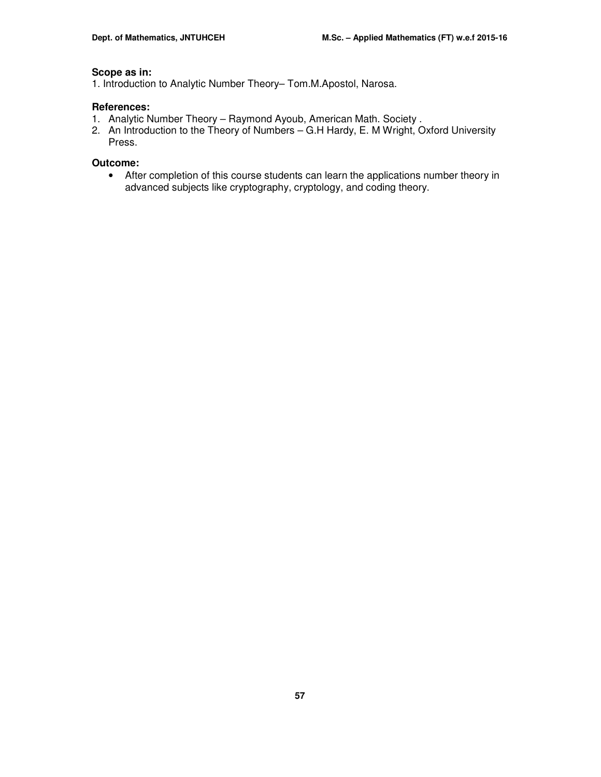## **Scope as in:**

1. Introduction to Analytic Number Theory– Tom.M.Apostol, Narosa.

## **References:**

- 1. Analytic Number Theory Raymond Ayoub, American Math. Society .
- 2. An Introduction to the Theory of Numbers G.H Hardy, E. M Wright, Oxford University Press.

## **Outcome:**

• After completion of this course students can learn the applications number theory in advanced subjects like cryptography, cryptology, and coding theory.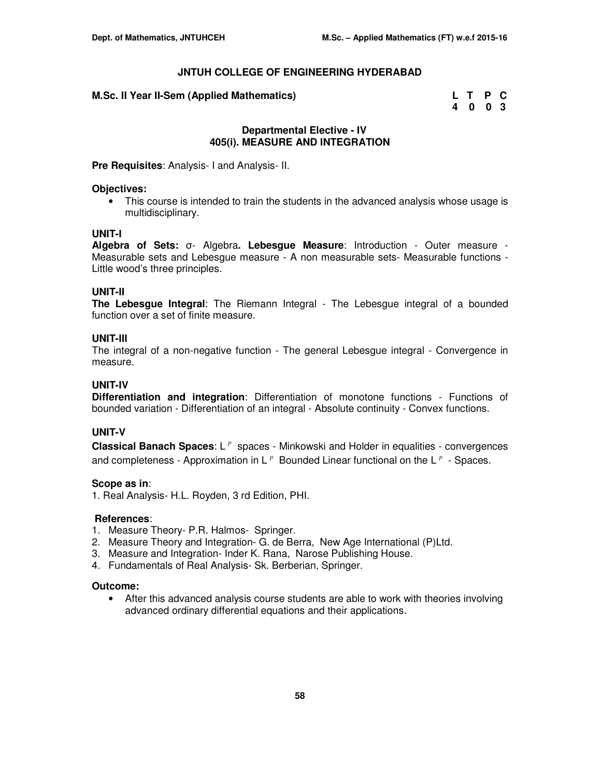| M.Sc. II Year II-Sem (Applied Mathematics) | L T P C |  |
|--------------------------------------------|---------|--|
|                                            | 4 0 0 3 |  |

## **Departmental Elective - IV 405(i). MEASURE AND INTEGRATION**

**Pre Requisites**: Analysis- I and Analysis- II.

#### **Objectives:**

• This course is intended to train the students in the advanced analysis whose usage is multidisciplinary.

#### **UNIT-I**

**Algebra of Sets:** σ- Algebra**. Lebesgue Measure**: Introduction - Outer measure - Measurable sets and Lebesgue measure - A non measurable sets- Measurable functions - Little wood's three principles.

#### **UNIT-II**

**The Lebesgue Integral**: The Riemann Integral - The Lebesgue integral of a bounded function over a set of finite measure.

#### **UNIT-III**

The integral of a non-negative function - The general Lebesgue integral - Convergence in measure.

#### **UNIT-IV**

**Differentiation and integration**: Differentiation of monotone functions - Functions of bounded variation - Differentiation of an integral - Absolute continuity - Convex functions.

#### **UNIT-V**

**Classical Banach Spaces**: L<sup>*P*</sup> spaces - Minkowski and Holder in equalities - convergences and completeness - Approximation in  $L^p$  Bounded Linear functional on the  $L^p$  - Spaces.

#### **Scope as in**:

1. Real Analysis- H.L. Royden, 3 rd Edition, PHI.

#### **References**:

- 1. Measure Theory- P.R. Halmos- Springer.
- 2. Measure Theory and Integration- G. de Berra, New Age International (P)Ltd.
- 3. Measure and Integration- Inder K. Rana, Narose Publishing House.
- 4. Fundamentals of Real Analysis- Sk. Berberian, Springer.

#### **Outcome:**

• After this advanced analysis course students are able to work with theories involving advanced ordinary differential equations and their applications.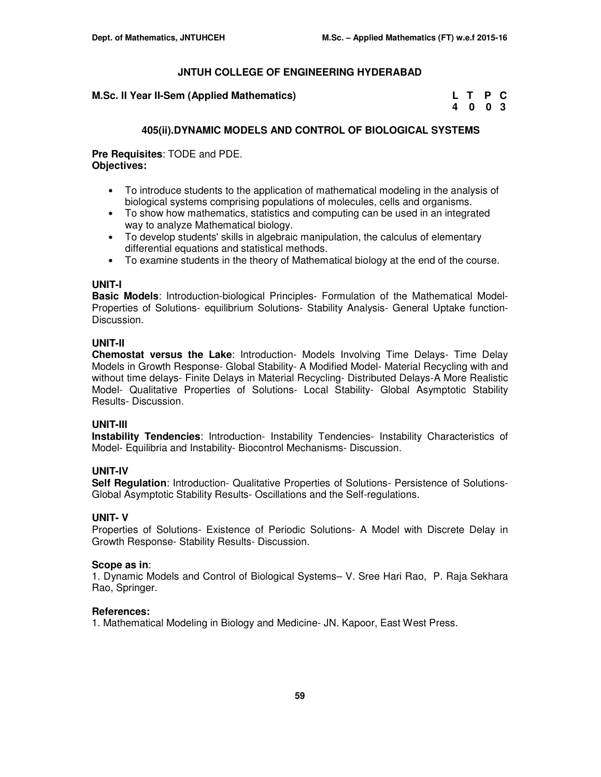| M.Sc. II Year II-Sem (Applied Mathematics) | L T P C |  |
|--------------------------------------------|---------|--|
|                                            | 4003    |  |

## **405(ii).DYNAMIC MODELS AND CONTROL OF BIOLOGICAL SYSTEMS**

**Pre Requisites**: TODE and PDE. **Objectives:** 

- To introduce students to the application of mathematical modeling in the analysis of biological systems comprising populations of molecules, cells and organisms.
- To show how mathematics, statistics and computing can be used in an integrated way to analyze Mathematical biology.
- To develop students' skills in algebraic manipulation, the calculus of elementary differential equations and statistical methods.
- To examine students in the theory of Mathematical biology at the end of the course.

#### **UNIT-I**

**Basic Models**: Introduction-biological Principles- Formulation of the Mathematical Model-Properties of Solutions- equilibrium Solutions- Stability Analysis- General Uptake function-Discussion.

## **UNIT-II**

**Chemostat versus the Lake**: Introduction- Models Involving Time Delays- Time Delay Models in Growth Response- Global Stability- A Modified Model- Material Recycling with and without time delays- Finite Delays in Material Recycling- Distributed Delays-A More Realistic Model- Qualitative Properties of Solutions- Local Stability- Global Asymptotic Stability Results- Discussion.

## **UNIT-III**

**Instability Tendencies**: Introduction- Instability Tendencies- Instability Characteristics of Model- Equilibria and Instability- Biocontrol Mechanisms- Discussion.

## **UNIT-IV**

**Self Regulation**: Introduction- Qualitative Properties of Solutions- Persistence of Solutions-Global Asymptotic Stability Results- Oscillations and the Self-regulations.

## **UNIT- V**

Properties of Solutions- Existence of Periodic Solutions- A Model with Discrete Delay in Growth Response- Stability Results- Discussion.

## **Scope as in**:

1. Dynamic Models and Control of Biological Systems– V. Sree Hari Rao, P. Raja Sekhara Rao, Springer.

## **References:**

1. Mathematical Modeling in Biology and Medicine- JN. Kapoor, East West Press.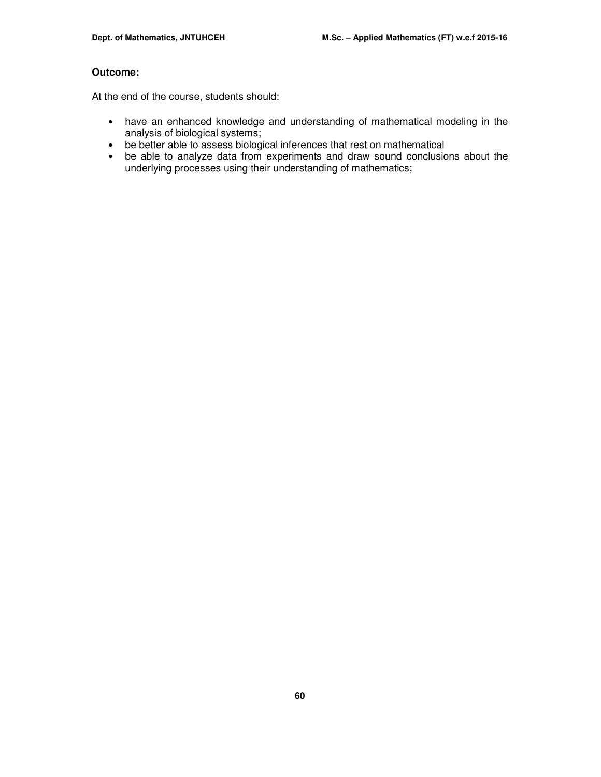## **Outcome:**

At the end of the course, students should:

- have an enhanced knowledge and understanding of mathematical modeling in the analysis of biological systems;
- be better able to assess biological inferences that rest on mathematical
- be able to analyze data from experiments and draw sound conclusions about the underlying processes using their understanding of mathematics;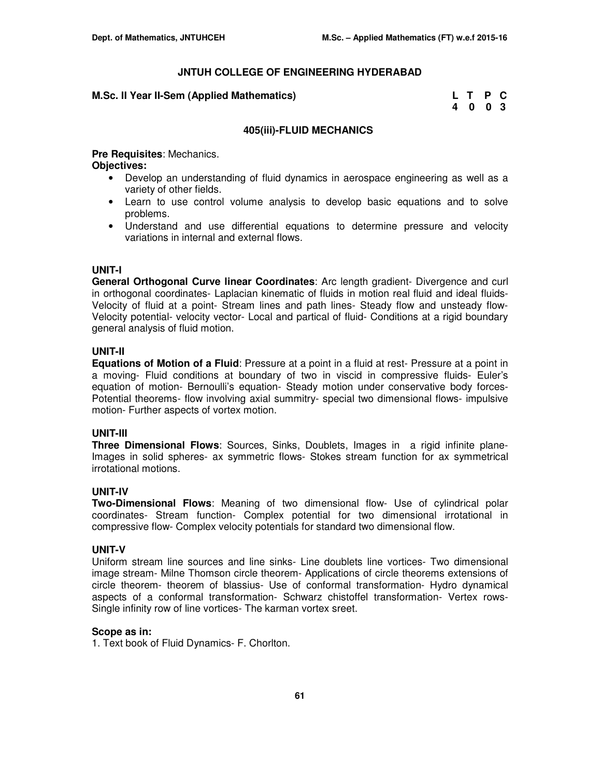#### **M.Sc. II Year II-Sem (Applied Mathematics)**

| M.Sc. II Year II-Sem (Applied Mathematics) | L T P C |  |
|--------------------------------------------|---------|--|
|                                            | 4 0 0 3 |  |

#### **405(iii)-FLUID MECHANICS**

**Pre Requisites**: Mechanics.

**Objectives:** 

- Develop an understanding of fluid dynamics in aerospace engineering as well as a variety of other fields.
- Learn to use control volume analysis to develop basic equations and to solve problems.
- Understand and use differential equations to determine pressure and velocity variations in internal and external flows.

## **UNIT-I**

**General Orthogonal Curve linear Coordinates**: Arc length gradient- Divergence and curl in orthogonal coordinates- Laplacian kinematic of fluids in motion real fluid and ideal fluids-Velocity of fluid at a point- Stream lines and path lines- Steady flow and unsteady flow-Velocity potential- velocity vector- Local and partical of fluid- Conditions at a rigid boundary general analysis of fluid motion.

#### **UNIT-II**

**Equations of Motion of a Fluid**: Pressure at a point in a fluid at rest- Pressure at a point in a moving- Fluid conditions at boundary of two in viscid in compressive fluids- Euler's equation of motion- Bernoulli's equation- Steady motion under conservative body forces-Potential theorems- flow involving axial summitry- special two dimensional flows- impulsive motion- Further aspects of vortex motion.

## **UNIT-III**

**Three Dimensional Flows**: Sources, Sinks, Doublets, Images in a rigid infinite plane-Images in solid spheres- ax symmetric flows- Stokes stream function for ax symmetrical irrotational motions.

## **UNIT-IV**

**Two-Dimensional Flows**: Meaning of two dimensional flow- Use of cylindrical polar coordinates- Stream function- Complex potential for two dimensional irrotational in compressive flow- Complex velocity potentials for standard two dimensional flow.

## **UNIT-V**

Uniform stream line sources and line sinks- Line doublets line vortices- Two dimensional image stream- Milne Thomson circle theorem- Applications of circle theorems extensions of circle theorem- theorem of blassius- Use of conformal transformation- Hydro dynamical aspects of a conformal transformation- Schwarz chistoffel transformation- Vertex rows-Single infinity row of line vortices- The karman vortex sreet.

#### **Scope as in:**

1. Text book of Fluid Dynamics- F. Chorlton.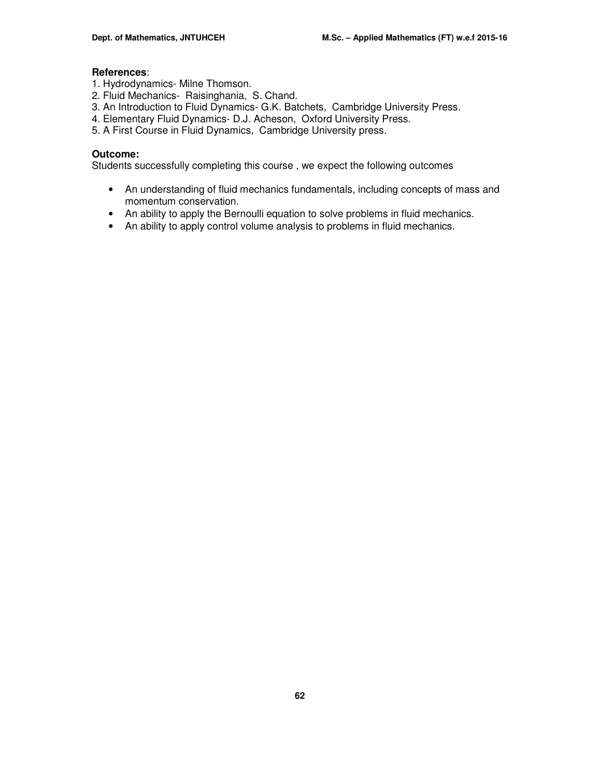## **References**:

- 1. Hydrodynamics- Milne Thomson.
- 2. Fluid Mechanics- Raisinghania, S. Chand.
- 3. An Introduction to Fluid Dynamics- G.K. Batchets, Cambridge University Press.
- 4. Elementary Fluid Dynamics- D.J. Acheson, Oxford University Press.
- 5. A First Course in Fluid Dynamics, Cambridge University press.

## **Outcome:**

Students successfully completing this course , we expect the following outcomes

- An understanding of fluid mechanics fundamentals, including concepts of mass and momentum conservation.
- An ability to apply the Bernoulli equation to solve problems in fluid mechanics.
- An ability to apply control volume analysis to problems in fluid mechanics.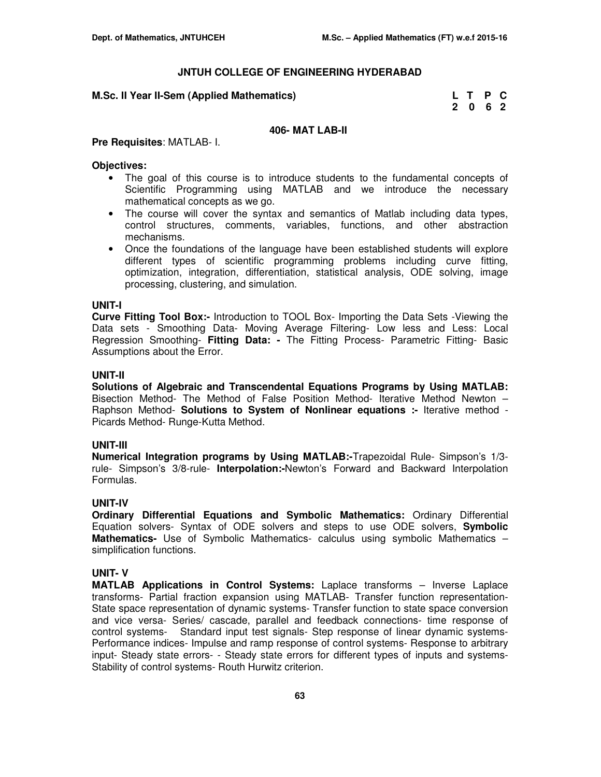#### **M.Sc. II Year II-Sem (Applied Mathematics)**

| M.Sc. II Year II-Sem (Applied Mathematics) | L T P C |  |
|--------------------------------------------|---------|--|
|                                            | 2 0 6 2 |  |

## **406- MAT LAB-II**

#### **Pre Requisites**: MATLAB- I.

#### **Objectives:**

- The goal of this course is to introduce students to the fundamental concepts of Scientific Programming using MATLAB and we introduce the necessary mathematical concepts as we go.
- The course will cover the syntax and semantics of Matlab including data types, control structures, comments, variables, functions, and other abstraction mechanisms.
- Once the foundations of the language have been established students will explore different types of scientific programming problems including curve fitting, optimization, integration, differentiation, statistical analysis, ODE solving, image processing, clustering, and simulation.

#### **UNIT-I**

**Curve Fitting Tool Box:-** Introduction to TOOL Box- Importing the Data Sets -Viewing the Data sets - Smoothing Data- Moving Average Filtering- Low less and Less: Local Regression Smoothing- **Fitting Data: -** The Fitting Process- Parametric Fitting- Basic Assumptions about the Error.

#### **UNIT-II**

**Solutions of Algebraic and Transcendental Equations Programs by Using MATLAB:**  Bisection Method- The Method of False Position Method- Iterative Method Newton – Raphson Method- **Solutions to System of Nonlinear equations :-** Iterative method - Picards Method- Runge-Kutta Method.

#### **UNIT-III**

**Numerical Integration programs by Using MATLAB:-**Trapezoidal Rule- Simpson's 1/3 rule- Simpson's 3/8-rule- **Interpolation:-**Newton's Forward and Backward Interpolation Formulas.

## **UNIT-IV**

**Ordinary Differential Equations and Symbolic Mathematics:** Ordinary Differential Equation solvers- Syntax of ODE solvers and steps to use ODE solvers, **Symbolic Mathematics-** Use of Symbolic Mathematics- calculus using symbolic Mathematics – simplification functions.

#### **UNIT- V**

**MATLAB Applications in Control Systems:** Laplace transforms – Inverse Laplace transforms- Partial fraction expansion using MATLAB- Transfer function representation-State space representation of dynamic systems- Transfer function to state space conversion and vice versa- Series/ cascade, parallel and feedback connections- time response of control systems- Standard input test signals- Step response of linear dynamic systems-Performance indices- Impulse and ramp response of control systems- Response to arbitrary input- Steady state errors- - Steady state errors for different types of inputs and systems-Stability of control systems- Routh Hurwitz criterion.